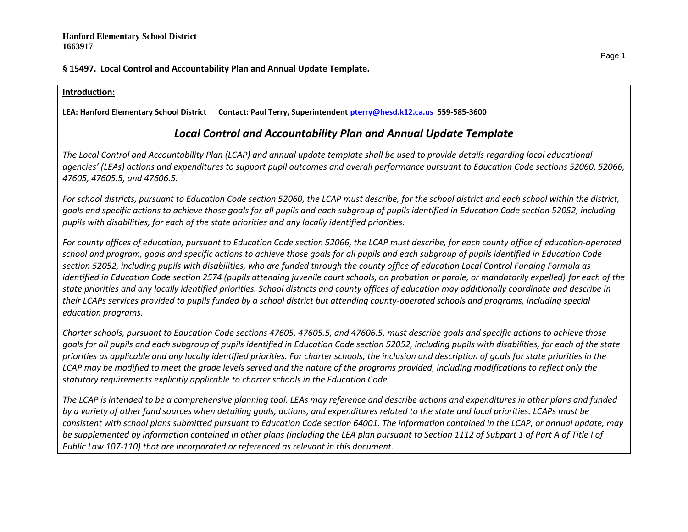# **§ 15497. Local Control and Accountability Plan and Annual Update Template.**

## **Introduction:**

**LEA: Hanford Elementary School District Contact: Paul Terry, Superintendent [pterry@hesd.k12.ca.us](mailto:pterry@hesd.k12.ca.us) 559-585-3600**

# *Local Control and Accountability Plan and Annual Update Template*

*The Local Control and Accountability Plan (LCAP) and annual update template shall be used to provide details regarding local educational agencies' (LEAs) actions and expenditures to support pupil outcomes and overall performance pursuant to Education Code sections 52060, 52066, 47605, 47605.5, and 47606.5.* 

*For school districts, pursuant to Education Code section 52060, the LCAP must describe, for the school district and each school within the district, goals and specific actions to achieve those goals for all pupils and each subgroup of pupils identified in Education Code section 52052, including pupils with disabilities, for each of the state priorities and any locally identified priorities.*

*For county offices of education, pursuant to Education Code section 52066, the LCAP must describe, for each county office of education-operated school and program, goals and specific actions to achieve those goals for all pupils and each subgroup of pupils identified in Education Code section 52052, including pupils with disabilities, who are funded through the county office of education Local Control Funding Formula as identified in Education Code section 2574 (pupils attending juvenile court schools, on probation or parole, or mandatorily expelled) for each of the state priorities and any locally identified priorities. School districts and county offices of education may additionally coordinate and describe in their LCAPs services provided to pupils funded by a school district but attending county-operated schools and programs, including special education programs.*

*Charter schools, pursuant to Education Code sections 47605, 47605.5, and 47606.5, must describe goals and specific actions to achieve those goals for all pupils and each subgroup of pupils identified in Education Code section 52052, including pupils with disabilities, for each of the state priorities as applicable and any locally identified priorities. For charter schools, the inclusion and description of goals for state priorities in the LCAP may be modified to meet the grade levels served and the nature of the programs provided, including modifications to reflect only the statutory requirements explicitly applicable to charter schools in the Education Code.*

*The LCAP is intended to be a comprehensive planning tool. LEAs may reference and describe actions and expenditures in other plans and funded by a variety of other fund sources when detailing goals, actions, and expenditures related to the state and local priorities. LCAPs must be consistent with school plans submitted pursuant to Education Code section 64001. The information contained in the LCAP, or annual update, may be supplemented by information contained in other plans (including the LEA plan pursuant to Section 1112 of Subpart 1 of Part A of Title I of Public Law 107-110) that are incorporated or referenced as relevant in this document.*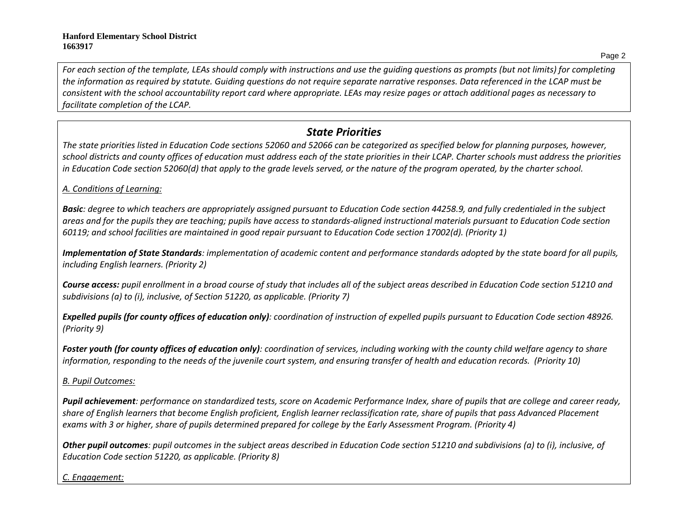*For each section of the template, LEAs should comply with instructions and use the guiding questions as prompts (but not limits) for completing the information as required by statute. Guiding questions do not require separate narrative responses. Data referenced in the LCAP must be consistent with the school accountability report card where appropriate. LEAs may resize pages or attach additional pages as necessary to facilitate completion of the LCAP.*

# *State Priorities*

*The state priorities listed in Education Code sections 52060 and 52066 can be categorized as specified below for planning purposes, however, school districts and county offices of education must address each of the state priorities in their LCAP. Charter schools must address the priorities*  in Education Code section 52060(d) that apply to the grade levels served, or the nature of the program operated, by the charter school.

# *A. Conditions of Learning:*

*Basic: degree to which teachers are appropriately assigned pursuant to Education Code section 44258.9, and fully credentialed in the subject areas and for the pupils they are teaching; pupils have access to standards-aligned instructional materials pursuant to Education Code section 60119; and school facilities are maintained in good repair pursuant to Education Code section 17002(d). (Priority 1)*

*Implementation of State Standards: implementation of academic content and performance standards adopted by the state board for all pupils, including English learners. (Priority 2)*

*Course access: pupil enrollment in a broad course of study that includes all of the subject areas described in Education Code section 51210 and subdivisions (a) to (i), inclusive, of Section 51220, as applicable. (Priority 7)*

*Expelled pupils (for county offices of education only): coordination of instruction of expelled pupils pursuant to Education Code section 48926. (Priority 9)*

*Foster youth (for county offices of education only): coordination of services, including working with the county child welfare agency to share information, responding to the needs of the juvenile court system, and ensuring transfer of health and education records. (Priority 10)*

# *B. Pupil Outcomes:*

*Pupil achievement: performance on standardized tests, score on Academic Performance Index, share of pupils that are college and career ready, share of English learners that become English proficient, English learner reclassification rate, share of pupils that pass Advanced Placement exams with 3 or higher, share of pupils determined prepared for college by the Early Assessment Program. (Priority 4)*

*Other pupil outcomes: pupil outcomes in the subject areas described in Education Code section 51210 and subdivisions (a) to (i), inclusive, of Education Code section 51220, as applicable. (Priority 8)* 

# *C. Engagement:*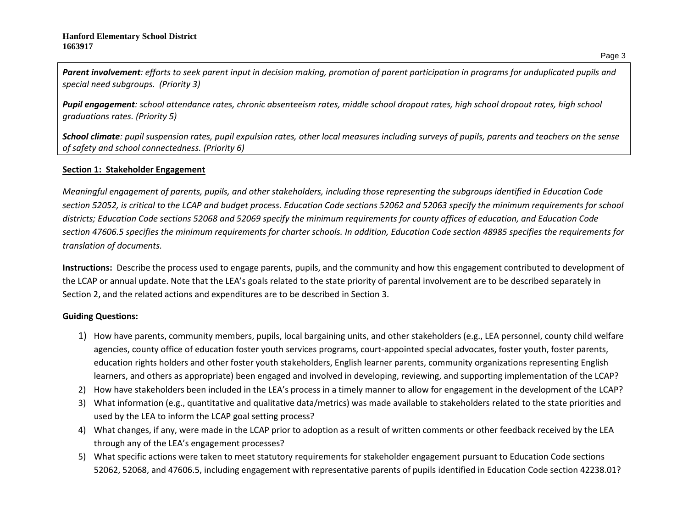*Parent involvement: efforts to seek parent input in decision making, promotion of parent participation in programs for unduplicated pupils and special need subgroups. (Priority 3)*

*Pupil engagement: school attendance rates, chronic absenteeism rates, middle school dropout rates, high school dropout rates, high school graduations rates. (Priority 5)*

*School climate: pupil suspension rates, pupil expulsion rates, other local measures including surveys of pupils, parents and teachers on the sense of safety and school connectedness. (Priority 6)*

## **Section 1: Stakeholder Engagement**

*Meaningful engagement of parents, pupils, and other stakeholders, including those representing the subgroups identified in Education Code section 52052, is critical to the LCAP and budget process. Education Code sections 52062 and 52063 specify the minimum requirements for school districts; Education Code sections 52068 and 52069 specify the minimum requirements for county offices of education, and Education Code section 47606.5 specifies the minimum requirements for charter schools. In addition, Education Code section 48985 specifies the requirements for translation of documents.*

**Instructions:** Describe the process used to engage parents, pupils, and the community and how this engagement contributed to development of the LCAP or annual update. Note that the LEA's goals related to the state priority of parental involvement are to be described separately in Section 2, and the related actions and expenditures are to be described in Section 3.

## **Guiding Questions:**

- 1) How have parents, community members, pupils, local bargaining units, and other stakeholders (e.g., LEA personnel, county child welfare agencies, county office of education foster youth services programs, court-appointed special advocates, foster youth, foster parents, education rights holders and other foster youth stakeholders, English learner parents, community organizations representing English learners, and others as appropriate) been engaged and involved in developing, reviewing, and supporting implementation of the LCAP?
- 2) How have stakeholders been included in the LEA's process in a timely manner to allow for engagement in the development of the LCAP?
- 3) What information (e.g., quantitative and qualitative data/metrics) was made available to stakeholders related to the state priorities and used by the LEA to inform the LCAP goal setting process?
- 4) What changes, if any, were made in the LCAP prior to adoption as a result of written comments or other feedback received by the LEA through any of the LEA's engagement processes?
- 5) What specific actions were taken to meet statutory requirements for stakeholder engagement pursuant to Education Code sections 52062, 52068, and 47606.5, including engagement with representative parents of pupils identified in Education Code section 42238.01?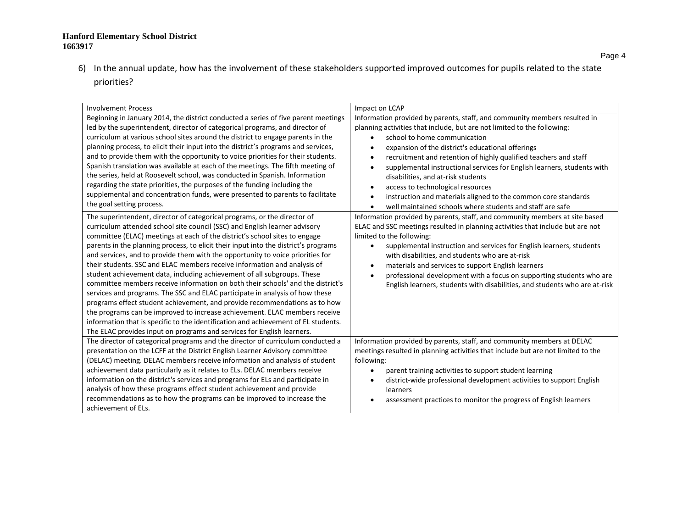6) In the annual update, how has the involvement of these stakeholders supported improved outcomes for pupils related to the state priorities?

| <b>Involvement Process</b>                                                                                                                                                                                                                                                                                                                                                                                                                                                                                                                                                                                                                                                                                                                                                                                                                                                                                                                                                                                                                                                                                                                                                                                                                                                                                                                                                                                                                                                                                                                                                                                            | Impact on LCAP                                                                                                                                                                                                                                                                                                                                                                                                                                                                                                                                                                                                                                                                                                                                                                                                                                                                                                                                                                                                                                                                                                                                                                                                                                       |
|-----------------------------------------------------------------------------------------------------------------------------------------------------------------------------------------------------------------------------------------------------------------------------------------------------------------------------------------------------------------------------------------------------------------------------------------------------------------------------------------------------------------------------------------------------------------------------------------------------------------------------------------------------------------------------------------------------------------------------------------------------------------------------------------------------------------------------------------------------------------------------------------------------------------------------------------------------------------------------------------------------------------------------------------------------------------------------------------------------------------------------------------------------------------------------------------------------------------------------------------------------------------------------------------------------------------------------------------------------------------------------------------------------------------------------------------------------------------------------------------------------------------------------------------------------------------------------------------------------------------------|------------------------------------------------------------------------------------------------------------------------------------------------------------------------------------------------------------------------------------------------------------------------------------------------------------------------------------------------------------------------------------------------------------------------------------------------------------------------------------------------------------------------------------------------------------------------------------------------------------------------------------------------------------------------------------------------------------------------------------------------------------------------------------------------------------------------------------------------------------------------------------------------------------------------------------------------------------------------------------------------------------------------------------------------------------------------------------------------------------------------------------------------------------------------------------------------------------------------------------------------------|
| Beginning in January 2014, the district conducted a series of five parent meetings<br>led by the superintendent, director of categorical programs, and director of<br>curriculum at various school sites around the district to engage parents in the<br>planning process, to elicit their input into the district's programs and services,<br>and to provide them with the opportunity to voice priorities for their students.<br>Spanish translation was available at each of the meetings. The fifth meeting of<br>the series, held at Roosevelt school, was conducted in Spanish. Information<br>regarding the state priorities, the purposes of the funding including the<br>supplemental and concentration funds, were presented to parents to facilitate<br>the goal setting process.<br>The superintendent, director of categorical programs, or the director of<br>curriculum attended school site council (SSC) and English learner advisory<br>committee (ELAC) meetings at each of the district's school sites to engage<br>parents in the planning process, to elicit their input into the district's programs<br>and services, and to provide them with the opportunity to voice priorities for<br>their students. SSC and ELAC members receive information and analysis of<br>student achievement data, including achievement of all subgroups. These<br>committee members receive information on both their schools' and the district's<br>services and programs. The SSC and ELAC participate in analysis of how these<br>programs effect student achievement, and provide recommendations as to how | Information provided by parents, staff, and community members resulted in<br>planning activities that include, but are not limited to the following:<br>school to home communication<br>$\bullet$<br>expansion of the district's educational offerings<br>٠<br>recruitment and retention of highly qualified teachers and staff<br>$\bullet$<br>supplemental instructional services for English learners, students with<br>$\bullet$<br>disabilities, and at-risk students<br>access to technological resources<br>$\bullet$<br>instruction and materials aligned to the common core standards<br>$\bullet$<br>well maintained schools where students and staff are safe<br>Information provided by parents, staff, and community members at site based<br>ELAC and SSC meetings resulted in planning activities that include but are not<br>limited to the following:<br>supplemental instruction and services for English learners, students<br>$\bullet$<br>with disabilities, and students who are at-risk<br>materials and services to support English learners<br>$\bullet$<br>professional development with a focus on supporting students who are<br>$\bullet$<br>English learners, students with disabilities, and students who are at-risk |
| the programs can be improved to increase achievement. ELAC members receive<br>information that is specific to the identification and achievement of EL students.<br>The ELAC provides input on programs and services for English learners.                                                                                                                                                                                                                                                                                                                                                                                                                                                                                                                                                                                                                                                                                                                                                                                                                                                                                                                                                                                                                                                                                                                                                                                                                                                                                                                                                                            |                                                                                                                                                                                                                                                                                                                                                                                                                                                                                                                                                                                                                                                                                                                                                                                                                                                                                                                                                                                                                                                                                                                                                                                                                                                      |
| The director of categorical programs and the director of curriculum conducted a<br>presentation on the LCFF at the District English Learner Advisory committee<br>(DELAC) meeting. DELAC members receive information and analysis of student<br>achievement data particularly as it relates to ELs. DELAC members receive<br>information on the district's services and programs for ELs and participate in<br>analysis of how these programs effect student achievement and provide<br>recommendations as to how the programs can be improved to increase the                                                                                                                                                                                                                                                                                                                                                                                                                                                                                                                                                                                                                                                                                                                                                                                                                                                                                                                                                                                                                                                        | Information provided by parents, staff, and community members at DELAC<br>meetings resulted in planning activities that include but are not limited to the<br>following:<br>parent training activities to support student learning<br>$\bullet$<br>district-wide professional development activities to support English<br>learners                                                                                                                                                                                                                                                                                                                                                                                                                                                                                                                                                                                                                                                                                                                                                                                                                                                                                                                  |
| achievement of ELs.                                                                                                                                                                                                                                                                                                                                                                                                                                                                                                                                                                                                                                                                                                                                                                                                                                                                                                                                                                                                                                                                                                                                                                                                                                                                                                                                                                                                                                                                                                                                                                                                   | assessment practices to monitor the progress of English learners                                                                                                                                                                                                                                                                                                                                                                                                                                                                                                                                                                                                                                                                                                                                                                                                                                                                                                                                                                                                                                                                                                                                                                                     |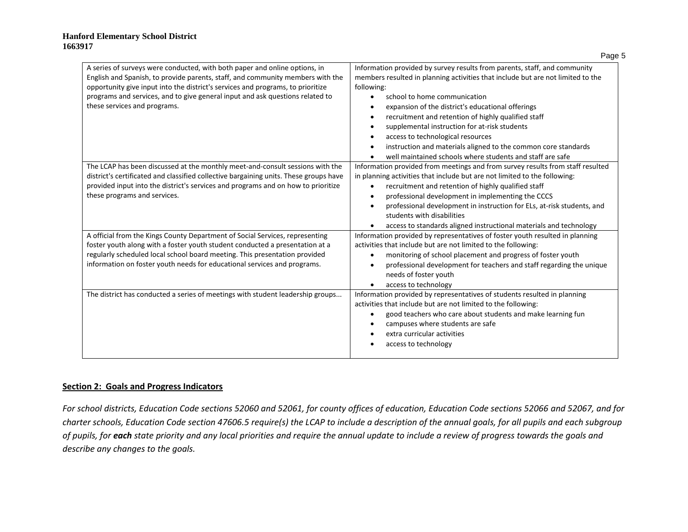| A series of surveys were conducted, with both paper and online options, in<br>English and Spanish, to provide parents, staff, and community members with the<br>opportunity give input into the district's services and programs, to prioritize<br>programs and services, and to give general input and ask questions related to<br>these services and programs. | Information provided by survey results from parents, staff, and community<br>members resulted in planning activities that include but are not limited to the<br>following:<br>school to home communication<br>expansion of the district's educational offerings<br>recruitment and retention of highly qualified staff<br>supplemental instruction for at-risk students<br>access to technological resources<br>instruction and materials aligned to the common core standards<br>well maintained schools where students and staff are safe |
|------------------------------------------------------------------------------------------------------------------------------------------------------------------------------------------------------------------------------------------------------------------------------------------------------------------------------------------------------------------|---------------------------------------------------------------------------------------------------------------------------------------------------------------------------------------------------------------------------------------------------------------------------------------------------------------------------------------------------------------------------------------------------------------------------------------------------------------------------------------------------------------------------------------------|
| The LCAP has been discussed at the monthly meet-and-consult sessions with the<br>district's certificated and classified collective bargaining units. These groups have<br>provided input into the district's services and programs and on how to prioritize<br>these programs and services.                                                                      | Information provided from meetings and from survey results from staff resulted<br>in planning activities that include but are not limited to the following:<br>recruitment and retention of highly qualified staff<br>$\bullet$<br>professional development in implementing the CCCS<br>professional development in instruction for ELs, at-risk students, and<br>students with disabilities<br>access to standards aligned instructional materials and technology                                                                          |
| A official from the Kings County Department of Social Services, representing<br>foster youth along with a foster youth student conducted a presentation at a<br>regularly scheduled local school board meeting. This presentation provided<br>information on foster youth needs for educational services and programs.                                           | Information provided by representatives of foster youth resulted in planning<br>activities that include but are not limited to the following:<br>monitoring of school placement and progress of foster youth<br>professional development for teachers and staff regarding the unique<br>needs of foster youth<br>access to technology                                                                                                                                                                                                       |
| The district has conducted a series of meetings with student leadership groups                                                                                                                                                                                                                                                                                   | Information provided by representatives of students resulted in planning<br>activities that include but are not limited to the following:<br>good teachers who care about students and make learning fun<br>campuses where students are safe<br>extra curricular activities<br>access to technology                                                                                                                                                                                                                                         |

#### **Section 2: Goals and Progress Indicators**

*For school districts, Education Code sections 52060 and 52061, for county offices of education, Education Code sections 52066 and 52067, and for charter schools, Education Code section 47606.5 require(s) the LCAP to include a description of the annual goals, for all pupils and each subgroup of pupils, for each state priority and any local priorities and require the annual update to include a review of progress towards the goals and describe any changes to the goals.* 

Page 5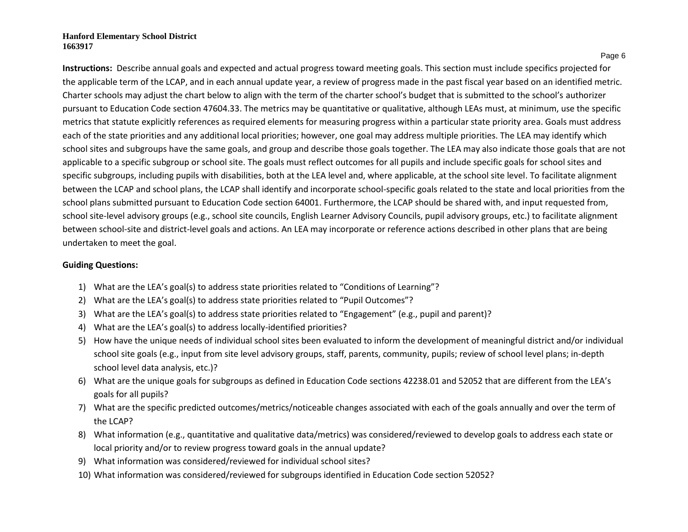Page 6

**Instructions:** Describe annual goals and expected and actual progress toward meeting goals. This section must include specifics projected for the applicable term of the LCAP, and in each annual update year, a review of progress made in the past fiscal year based on an identified metric. Charter schools may adjust the chart below to align with the term of the charter school's budget that is submitted to the school's authorizer pursuant to Education Code section 47604.33. The metrics may be quantitative or qualitative, although LEAs must, at minimum, use the specific metrics that statute explicitly references as required elements for measuring progress within a particular state priority area. Goals must address each of the state priorities and any additional local priorities; however, one goal may address multiple priorities. The LEA may identify which school sites and subgroups have the same goals, and group and describe those goals together. The LEA may also indicate those goals that are not applicable to a specific subgroup or school site. The goals must reflect outcomes for all pupils and include specific goals for school sites and specific subgroups, including pupils with disabilities, both at the LEA level and, where applicable, at the school site level. To facilitate alignment between the LCAP and school plans, the LCAP shall identify and incorporate school-specific goals related to the state and local priorities from the school plans submitted pursuant to Education Code section 64001. Furthermore, the LCAP should be shared with, and input requested from, school site-level advisory groups (e.g., school site councils, English Learner Advisory Councils, pupil advisory groups, etc.) to facilitate alignment between school-site and district-level goals and actions. An LEA may incorporate or reference actions described in other plans that are being undertaken to meet the goal.

### **Guiding Questions:**

- 1) What are the LEA's goal(s) to address state priorities related to "Conditions of Learning"?
- 2) What are the LEA's goal(s) to address state priorities related to "Pupil Outcomes"?
- 3) What are the LEA's goal(s) to address state priorities related to "Engagement" (e.g., pupil and parent)?
- 4) What are the LEA's goal(s) to address locally-identified priorities?
- 5) How have the unique needs of individual school sites been evaluated to inform the development of meaningful district and/or individual school site goals (e.g., input from site level advisory groups, staff, parents, community, pupils; review of school level plans; in-depth school level data analysis, etc.)?
- 6) What are the unique goals for subgroups as defined in Education Code sections 42238.01 and 52052 that are different from the LEA's goals for all pupils?
- 7) What are the specific predicted outcomes/metrics/noticeable changes associated with each of the goals annually and over the term of the LCAP?
- 8) What information (e.g., quantitative and qualitative data/metrics) was considered/reviewed to develop goals to address each state or local priority and/or to review progress toward goals in the annual update?
- 9) What information was considered/reviewed for individual school sites?
- 10) What information was considered/reviewed for subgroups identified in Education Code section 52052?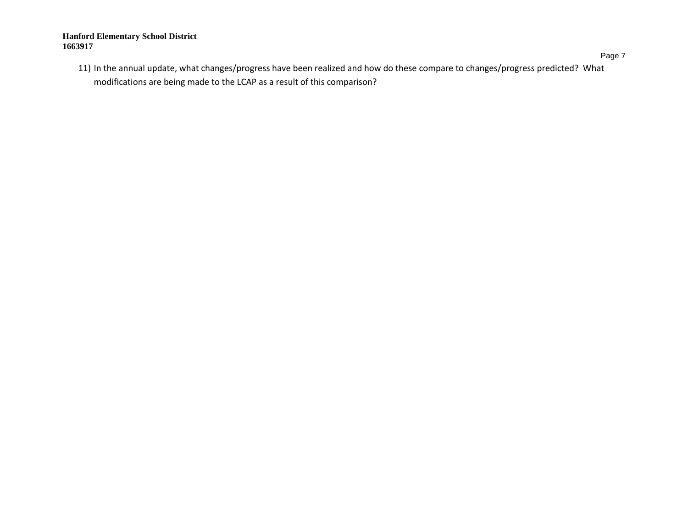Page 7

11) In the annual update, what changes/progress have been realized and how do these compare to changes/progress predicted? What modifications are being made to the LCAP as a result of this comparison?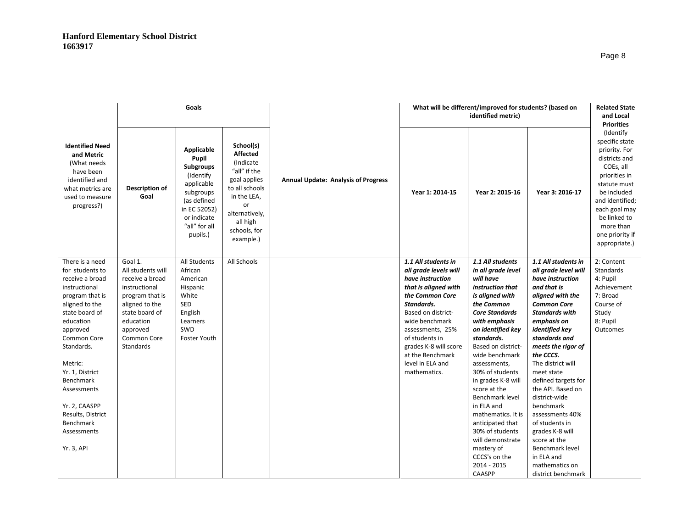|                                                                                                                                                                                                                                                                                                                               |                                                                                                                                                                                     | Goals                                                                                                                                               |                                                                                                                                                                              |                                            |                                                                                                                                                                                                                                                                                          | What will be different/improved for students? (based on<br>identified metric)                                                                                                                                                                                                                                                                                                                                                                                                    |                                                                                                                                                                                                                                                                                                                                                                                                                                                                                                      | <b>Related State</b><br>and Local<br><b>Priorities</b>                                                                                                                                                                          |
|-------------------------------------------------------------------------------------------------------------------------------------------------------------------------------------------------------------------------------------------------------------------------------------------------------------------------------|-------------------------------------------------------------------------------------------------------------------------------------------------------------------------------------|-----------------------------------------------------------------------------------------------------------------------------------------------------|------------------------------------------------------------------------------------------------------------------------------------------------------------------------------|--------------------------------------------|------------------------------------------------------------------------------------------------------------------------------------------------------------------------------------------------------------------------------------------------------------------------------------------|----------------------------------------------------------------------------------------------------------------------------------------------------------------------------------------------------------------------------------------------------------------------------------------------------------------------------------------------------------------------------------------------------------------------------------------------------------------------------------|------------------------------------------------------------------------------------------------------------------------------------------------------------------------------------------------------------------------------------------------------------------------------------------------------------------------------------------------------------------------------------------------------------------------------------------------------------------------------------------------------|---------------------------------------------------------------------------------------------------------------------------------------------------------------------------------------------------------------------------------|
| <b>Identified Need</b><br>and Metric<br>(What needs)<br>have been<br>identified and<br>what metrics are<br>used to measure<br>progress?)                                                                                                                                                                                      | Description of<br>Goal                                                                                                                                                              | Applicable<br>Pupil<br>Subgroups<br>(Identify<br>applicable<br>subgroups<br>(as defined<br>in EC 52052)<br>or indicate<br>"all" for all<br>pupils.) | School(s)<br><b>Affected</b><br>(Indicate)<br>"all" if the<br>goal applies<br>to all schools<br>in the LEA,<br>or<br>alternatively,<br>all high<br>schools, for<br>example.) | <b>Annual Update: Analysis of Progress</b> | Year 1: 2014-15                                                                                                                                                                                                                                                                          | Year 2: 2015-16                                                                                                                                                                                                                                                                                                                                                                                                                                                                  | Year 3: 2016-17                                                                                                                                                                                                                                                                                                                                                                                                                                                                                      | (Identify<br>specific state<br>priority. For<br>districts and<br>COEs, all<br>priorities in<br>statute must<br>be included<br>and identified;<br>each goal may<br>be linked to<br>more than<br>one priority if<br>appropriate.) |
| There is a need<br>for students to<br>receive a broad<br>instructional<br>program that is<br>aligned to the<br>state board of<br>education<br>approved<br>Common Core<br>Standards.<br>Metric:<br>Yr. 1, District<br>Benchmark<br>Assessments<br>Yr. 2, CAASPP<br>Results, District<br>Benchmark<br>Assessments<br>Yr. 3, API | Goal 1.<br>All students will<br>receive a broad<br>instructional<br>program that is<br>aligned to the<br>state board of<br>education<br>approved<br>Common Core<br><b>Standards</b> | All Students<br>African<br>American<br>Hispanic<br>White<br>SED<br>English<br>Learners<br>SWD<br>Foster Youth                                       | All Schools                                                                                                                                                                  |                                            | 1.1 All students in<br>all grade levels will<br>have instruction<br>that is aligned with<br>the Common Core<br>Standards.<br>Based on district-<br>wide benchmark<br>assessments, 25%<br>of students in<br>grades K-8 will score<br>at the Benchmark<br>level in ELA and<br>mathematics. | 1.1 All students<br>in all grade level<br>will have<br>instruction that<br>is aligned with<br>the Common<br><b>Core Standards</b><br>with emphasis<br>on identified key<br>standards.<br>Based on district-<br>wide benchmark<br>assessments,<br>30% of students<br>in grades K-8 will<br>score at the<br>Benchmark level<br>in ELA and<br>mathematics. It is<br>anticipated that<br>30% of students<br>will demonstrate<br>mastery of<br>CCCS's on the<br>2014 - 2015<br>CAASPP | 1.1 All students in<br>all grade level will<br>have instruction<br>and that is<br>aligned with the<br><b>Common Core</b><br><b>Standards with</b><br>emphasis on<br>identified key<br>standards and<br>meets the rigor of<br>the CCCS.<br>The district will<br>meet state<br>defined targets for<br>the API. Based on<br>district-wide<br>benchmark<br>assessments 40%<br>of students in<br>grades K-8 will<br>score at the<br>Benchmark level<br>in ELA and<br>mathematics on<br>district benchmark | 2: Content<br><b>Standards</b><br>4: Pupil<br>Achievement<br>7: Broad<br>Course of<br>Study<br>8: Pupil<br>Outcomes                                                                                                             |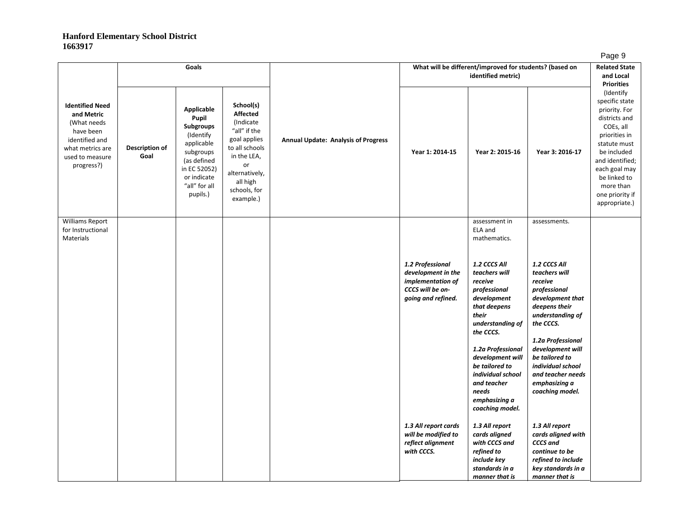|                                                                                                                                         |                        | Goals                                                                                                                                                             |                                                                                                                                                                             |                                            |                                                                                                       | What will be different/improved for students? (based on<br>identified metric)                                                                                                                                                                                                 |                                                                                                                                                                                                                                                                         | ັ<br><b>Related State</b><br>and Local<br><b>Priorities</b>                                                                                                                                                                     |
|-----------------------------------------------------------------------------------------------------------------------------------------|------------------------|-------------------------------------------------------------------------------------------------------------------------------------------------------------------|-----------------------------------------------------------------------------------------------------------------------------------------------------------------------------|--------------------------------------------|-------------------------------------------------------------------------------------------------------|-------------------------------------------------------------------------------------------------------------------------------------------------------------------------------------------------------------------------------------------------------------------------------|-------------------------------------------------------------------------------------------------------------------------------------------------------------------------------------------------------------------------------------------------------------------------|---------------------------------------------------------------------------------------------------------------------------------------------------------------------------------------------------------------------------------|
| <b>Identified Need</b><br>and Metric<br>(What needs<br>have been<br>identified and<br>what metrics are<br>used to measure<br>progress?) | Description of<br>Goal | <b>Applicable</b><br>Pupil<br><b>Subgroups</b><br>(Identify<br>applicable<br>subgroups<br>(as defined<br>in EC 52052)<br>or indicate<br>"all" for all<br>pupils.) | School(s)<br><b>Affected</b><br>(Indicate<br>"all" if the<br>goal applies<br>to all schools<br>in the LEA,<br>or<br>alternatively,<br>all high<br>schools, for<br>example.) | <b>Annual Update: Analysis of Progress</b> | Year 1: 2014-15                                                                                       | Year 2: 2015-16                                                                                                                                                                                                                                                               | Year 3: 2016-17                                                                                                                                                                                                                                                         | (Identify<br>specific state<br>priority. For<br>districts and<br>COEs, all<br>priorities in<br>statute must<br>be included<br>and identified;<br>each goal may<br>be linked to<br>more than<br>one priority if<br>appropriate.) |
| Williams Report<br>for Instructional<br>Materials                                                                                       |                        |                                                                                                                                                                   |                                                                                                                                                                             |                                            |                                                                                                       | assessment in<br>ELA and<br>mathematics.                                                                                                                                                                                                                                      | assessments.                                                                                                                                                                                                                                                            |                                                                                                                                                                                                                                 |
|                                                                                                                                         |                        |                                                                                                                                                                   |                                                                                                                                                                             |                                            | 1.2 Professional<br>development in the<br>implementation of<br>CCCS will be on-<br>going and refined. | 1.2 CCCS All<br>teachers will<br>receive<br>professional<br>development<br>that deepens<br>their<br>understanding of<br>the CCCS.<br>1.2a Professional<br>development will<br>be tailored to<br>individual school<br>and teacher<br>needs<br>emphasizing a<br>coaching model. | 1.2 CCCS All<br>teachers will<br>receive<br>professional<br>development that<br>deepens their<br>understanding of<br>the CCCS.<br>1.2a Professional<br>development will<br>be tailored to<br>individual school<br>and teacher needs<br>emphasizing a<br>coaching model. |                                                                                                                                                                                                                                 |
|                                                                                                                                         |                        |                                                                                                                                                                   |                                                                                                                                                                             |                                            | 1.3 All report cards<br>will be modified to<br>reflect alignment<br>with CCCS.                        | 1.3 All report<br>cards aligned<br>with CCCS and<br>refined to<br>include key<br>standards in a<br>manner that is                                                                                                                                                             | 1.3 All report<br>cards aligned with<br><b>CCCS</b> and<br>continue to be<br>refined to include<br>key standards in a<br>manner that is                                                                                                                                 |                                                                                                                                                                                                                                 |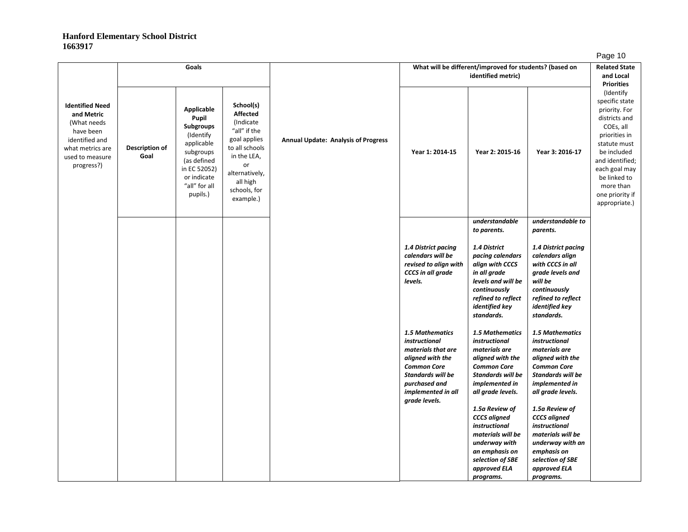|                                                                                                                                         |                        | Goals                                                                                                                                               |                                                                                                                                                                             |                                            |                                                                                                                                                                               | What will be different/improved for students? (based on<br>identified metric)                                                                                                                    |                                                                                                                                                                                                  | −ອ−<br><b>Related State</b><br>and Local                                                                                                                                                                                                             |
|-----------------------------------------------------------------------------------------------------------------------------------------|------------------------|-----------------------------------------------------------------------------------------------------------------------------------------------------|-----------------------------------------------------------------------------------------------------------------------------------------------------------------------------|--------------------------------------------|-------------------------------------------------------------------------------------------------------------------------------------------------------------------------------|--------------------------------------------------------------------------------------------------------------------------------------------------------------------------------------------------|--------------------------------------------------------------------------------------------------------------------------------------------------------------------------------------------------|------------------------------------------------------------------------------------------------------------------------------------------------------------------------------------------------------------------------------------------------------|
| <b>Identified Need</b><br>and Metric<br>(What needs<br>have been<br>identified and<br>what metrics are<br>used to measure<br>progress?) | Description of<br>Goal | Applicable<br>Pupil<br>Subgroups<br>(Identify<br>applicable<br>subgroups<br>(as defined<br>in EC 52052)<br>or indicate<br>"all" for all<br>pupils.) | School(s)<br><b>Affected</b><br>(Indicate<br>"all" if the<br>goal applies<br>to all schools<br>in the LEA,<br>or<br>alternatively,<br>all high<br>schools, for<br>example.) | <b>Annual Update: Analysis of Progress</b> | Year 1: 2014-15                                                                                                                                                               | Year 2: 2015-16                                                                                                                                                                                  | Year 3: 2016-17                                                                                                                                                                                  | <b>Priorities</b><br>(Identify<br>specific state<br>priority. For<br>districts and<br>COEs, all<br>priorities in<br>statute must<br>be included<br>and identified;<br>each goal may<br>be linked to<br>more than<br>one priority if<br>appropriate.) |
|                                                                                                                                         |                        |                                                                                                                                                     |                                                                                                                                                                             |                                            | 1.4 District pacing<br>calendars will be<br>revised to align with<br><b>CCCS</b> in all grade<br>levels.                                                                      | understandable<br>to parents.<br>1.4 District<br>pacing calendars<br>align with CCCS<br>in all grade<br>levels and will be<br>continuously<br>refined to reflect<br>identified key<br>standards. | understandable to<br>parents.<br>1.4 District pacing<br>calendars align<br>with CCCS in all<br>grade levels and<br>will be<br>continuously<br>refined to reflect<br>identified key<br>standards. |                                                                                                                                                                                                                                                      |
|                                                                                                                                         |                        |                                                                                                                                                     |                                                                                                                                                                             |                                            | 1.5 Mathematics<br>instructional<br>materials that are<br>aligned with the<br><b>Common Core</b><br>Standards will be<br>purchased and<br>implemented in all<br>grade levels. | 1.5 Mathematics<br>instructional<br>materials are<br>aligned with the<br><b>Common Core</b><br><b>Standards will be</b><br>implemented in<br>all grade levels.<br>1.5a Review of                 | 1.5 Mathematics<br>instructional<br>materials are<br>aligned with the<br><b>Common Core</b><br><b>Standards will be</b><br>implemented in<br>all grade levels.<br>1.5a Review of                 |                                                                                                                                                                                                                                                      |
|                                                                                                                                         |                        |                                                                                                                                                     |                                                                                                                                                                             |                                            |                                                                                                                                                                               | <b>CCCS</b> aligned<br><i>instructional</i><br>materials will be<br>underway with<br>an emphasis on<br>selection of SBE<br>approved ELA<br>programs.                                             | <b>CCCS</b> aligned<br>instructional<br>materials will be<br>underway with an<br>emphasis on<br>selection of SBE<br>approved ELA<br>programs.                                                    |                                                                                                                                                                                                                                                      |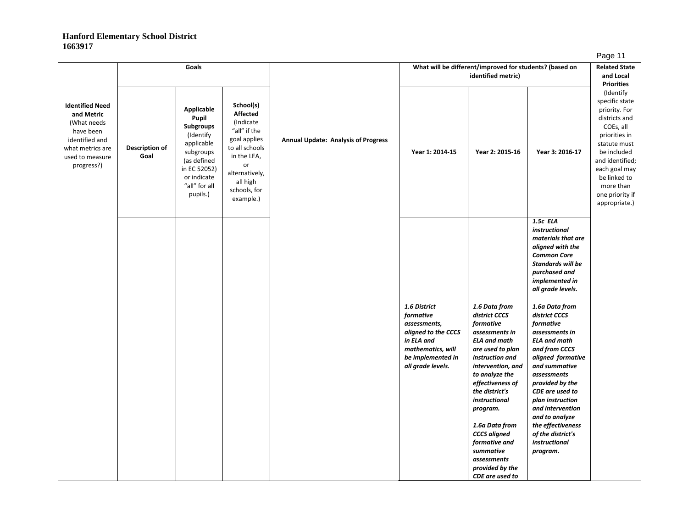|                                                                                                                                         |                        | Goals                                                                                                                                                                                                                                                                                                                                                                                                             |                 |                                                                                                                                               | What will be different/improved for students? (based on<br>identified metric)                                                                                                                                                                                                                                                                                     |                                                                                                                                                                                                                                                                                                                                                                                                                                                                                                                     | <b>Related State</b><br>and Local |
|-----------------------------------------------------------------------------------------------------------------------------------------|------------------------|-------------------------------------------------------------------------------------------------------------------------------------------------------------------------------------------------------------------------------------------------------------------------------------------------------------------------------------------------------------------------------------------------------------------|-----------------|-----------------------------------------------------------------------------------------------------------------------------------------------|-------------------------------------------------------------------------------------------------------------------------------------------------------------------------------------------------------------------------------------------------------------------------------------------------------------------------------------------------------------------|---------------------------------------------------------------------------------------------------------------------------------------------------------------------------------------------------------------------------------------------------------------------------------------------------------------------------------------------------------------------------------------------------------------------------------------------------------------------------------------------------------------------|-----------------------------------|
| <b>Identified Need</b><br>and Metric<br>(What needs<br>have been<br>identified and<br>what metrics are<br>used to measure<br>progress?) | Description of<br>Goal | School(s)<br><b>Applicable</b><br><b>Affected</b><br>Pupil<br>(Indicate<br><b>Subgroups</b><br>"all" if the<br>(Identify<br>goal applies<br><b>Annual Update: Analysis of Progress</b><br>applicable<br>to all schools<br>subgroups<br>Year 1: 2014-15<br>in the LEA,<br>(as defined<br>or<br>in EC 52052)<br>alternatively,<br>or indicate<br>all high<br>"all" for all<br>schools, for<br>pupils.)<br>example.) | Year 2: 2015-16 | Year 3: 2016-17                                                                                                                               | <b>Priorities</b><br>(Identify<br>specific state<br>priority. For<br>districts and<br>COEs, all<br>priorities in<br>statute must<br>be included<br>and identified;<br>each goal may<br>be linked to<br>more than<br>one priority if<br>appropriate.)                                                                                                              |                                                                                                                                                                                                                                                                                                                                                                                                                                                                                                                     |                                   |
|                                                                                                                                         |                        |                                                                                                                                                                                                                                                                                                                                                                                                                   |                 | 1.6 District<br>formative<br>assessments,<br>aligned to the CCCS<br>in ELA and<br>mathematics, will<br>be implemented in<br>all grade levels. | 1.6 Data from<br>district CCCS<br>formative<br>assessments in<br><b>ELA and math</b><br>are used to plan<br>instruction and<br>intervention, and<br>to analyze the<br>effectiveness of<br>the district's<br>instructional<br>program.<br>1.6a Data from<br><b>CCCS</b> aligned<br>formative and<br>summative<br>assessments<br>provided by the<br>CDE are used to | 1.5c ELA<br>instructional<br>materials that are<br>aligned with the<br><b>Common Core</b><br><b>Standards will be</b><br>purchased and<br>implemented in<br>all grade levels.<br>1.6a Data from<br>district CCCS<br>formative<br>assessments in<br><b>ELA and math</b><br>and from CCCS<br>aligned formative<br>and summative<br>assessments<br>provided by the<br>CDE are used to<br>plan instruction<br>and intervention<br>and to analyze<br>the effectiveness<br>of the district's<br>instructional<br>program. |                                   |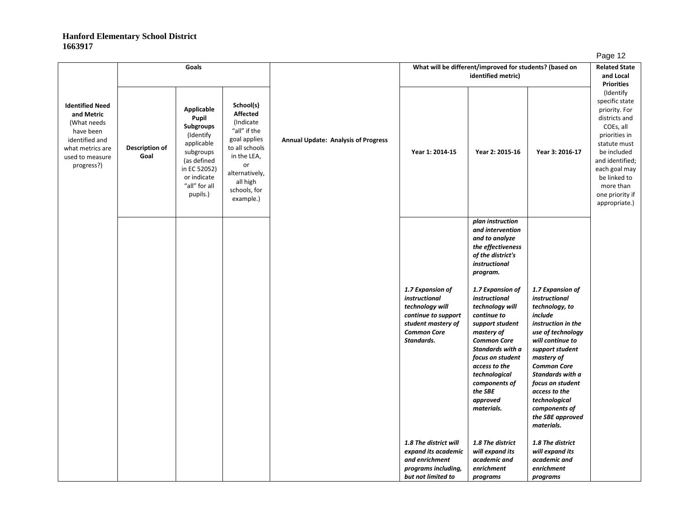|                                                                                                                                         |                        | Goals                                                                                                                                                      |                                                                                                                                                                             |                                            |                                                                                                                                       | What will be different/improved for students? (based on<br>identified metric)                                                                                                                                                                              |                                                                                                                                                                                                                                                                                                                   | −ອ−<br><b>Related State</b><br>and Local<br><b>Priorities</b>                                                                                                                                                                   |
|-----------------------------------------------------------------------------------------------------------------------------------------|------------------------|------------------------------------------------------------------------------------------------------------------------------------------------------------|-----------------------------------------------------------------------------------------------------------------------------------------------------------------------------|--------------------------------------------|---------------------------------------------------------------------------------------------------------------------------------------|------------------------------------------------------------------------------------------------------------------------------------------------------------------------------------------------------------------------------------------------------------|-------------------------------------------------------------------------------------------------------------------------------------------------------------------------------------------------------------------------------------------------------------------------------------------------------------------|---------------------------------------------------------------------------------------------------------------------------------------------------------------------------------------------------------------------------------|
| <b>Identified Need</b><br>and Metric<br>(What needs<br>have been<br>identified and<br>what metrics are<br>used to measure<br>progress?) | Description of<br>Goal | Applicable<br>Pupil<br><b>Subgroups</b><br>(Identify<br>applicable<br>subgroups<br>(as defined<br>in EC 52052)<br>or indicate<br>"all" for all<br>pupils.) | School(s)<br><b>Affected</b><br>(Indicate<br>"all" if the<br>goal applies<br>to all schools<br>in the LEA,<br>or<br>alternatively,<br>all high<br>schools, for<br>example.) | <b>Annual Update: Analysis of Progress</b> | Year 1: 2014-15                                                                                                                       | Year 2: 2015-16                                                                                                                                                                                                                                            | Year 3: 2016-17                                                                                                                                                                                                                                                                                                   | (Identify<br>specific state<br>priority. For<br>districts and<br>COEs, all<br>priorities in<br>statute must<br>be included<br>and identified;<br>each goal may<br>be linked to<br>more than<br>one priority if<br>appropriate.) |
|                                                                                                                                         |                        |                                                                                                                                                            |                                                                                                                                                                             |                                            |                                                                                                                                       | plan instruction<br>and intervention<br>and to analyze<br>the effectiveness<br>of the district's<br>instructional<br>program.                                                                                                                              |                                                                                                                                                                                                                                                                                                                   |                                                                                                                                                                                                                                 |
|                                                                                                                                         |                        |                                                                                                                                                            |                                                                                                                                                                             |                                            | 1.7 Expansion of<br>instructional<br>technology will<br>continue to support<br>student mastery of<br><b>Common Core</b><br>Standards. | 1.7 Expansion of<br>instructional<br>technology will<br>continue to<br>support student<br>mastery of<br><b>Common Core</b><br>Standards with a<br>focus on student<br>access to the<br>technological<br>components of<br>the SBE<br>approved<br>materials. | 1.7 Expansion of<br>instructional<br>technology, to<br>include<br>instruction in the<br>use of technology<br>will continue to<br>support student<br>mastery of<br><b>Common Core</b><br>Standards with a<br>focus on student<br>access to the<br>technological<br>components of<br>the SBE approved<br>materials. |                                                                                                                                                                                                                                 |
|                                                                                                                                         |                        |                                                                                                                                                            |                                                                                                                                                                             |                                            | 1.8 The district will<br>expand its academic<br>and enrichment<br>programs including,<br>but not limited to                           | 1.8 The district<br>will expand its<br>academic and<br>enrichment<br>programs                                                                                                                                                                              | 1.8 The district<br>will expand its<br>academic and<br>enrichment<br>programs                                                                                                                                                                                                                                     |                                                                                                                                                                                                                                 |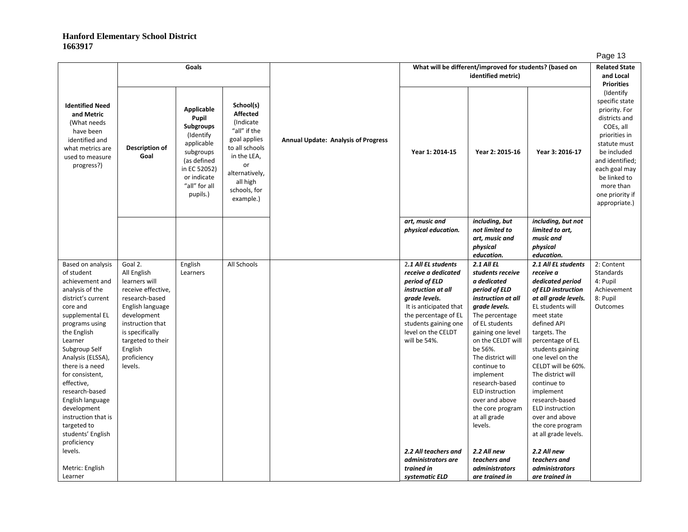|                                                                                                                                         |                                     |                                                                                                                                                             |                                                                                                                                                                              |                                            |                                     |                                                                               |                                            | . ∽ອ~                                                                                                                                                                                                                           |
|-----------------------------------------------------------------------------------------------------------------------------------------|-------------------------------------|-------------------------------------------------------------------------------------------------------------------------------------------------------------|------------------------------------------------------------------------------------------------------------------------------------------------------------------------------|--------------------------------------------|-------------------------------------|-------------------------------------------------------------------------------|--------------------------------------------|---------------------------------------------------------------------------------------------------------------------------------------------------------------------------------------------------------------------------------|
|                                                                                                                                         |                                     | Goals                                                                                                                                                       |                                                                                                                                                                              |                                            |                                     | What will be different/improved for students? (based on<br>identified metric) |                                            | <b>Related State</b><br>and Local<br><b>Priorities</b>                                                                                                                                                                          |
| <b>Identified Need</b><br>and Metric<br>(What needs<br>have been<br>identified and<br>what metrics are<br>used to measure<br>progress?) | Description of<br>Goal              | Applicable<br>Pupil<br><b>Subgroups</b><br>(Identify)<br>applicable<br>subgroups<br>(as defined<br>in EC 52052)<br>or indicate<br>"all" for all<br>pupils.) | School(s)<br><b>Affected</b><br>(Indicate)<br>"all" if the<br>goal applies<br>to all schools<br>in the LEA,<br>or<br>alternatively,<br>all high<br>schools, for<br>example.) | <b>Annual Update: Analysis of Progress</b> | Year 1: 2014-15                     | Year 2: 2015-16                                                               | Year 3: 2016-17                            | (Identify<br>specific state<br>priority. For<br>districts and<br>COEs, all<br>priorities in<br>statute must<br>be included<br>and identified;<br>each goal may<br>be linked to<br>more than<br>one priority if<br>appropriate.) |
|                                                                                                                                         |                                     |                                                                                                                                                             |                                                                                                                                                                              |                                            | art, music and                      | including, but                                                                | including, but not                         |                                                                                                                                                                                                                                 |
|                                                                                                                                         |                                     |                                                                                                                                                             |                                                                                                                                                                              |                                            | physical education.                 | not limited to                                                                | limited to art,                            |                                                                                                                                                                                                                                 |
|                                                                                                                                         |                                     |                                                                                                                                                             |                                                                                                                                                                              |                                            |                                     | art, music and                                                                | music and                                  |                                                                                                                                                                                                                                 |
|                                                                                                                                         |                                     |                                                                                                                                                             |                                                                                                                                                                              |                                            |                                     | physical                                                                      | physical                                   |                                                                                                                                                                                                                                 |
|                                                                                                                                         |                                     |                                                                                                                                                             |                                                                                                                                                                              |                                            |                                     | education.                                                                    | education.                                 |                                                                                                                                                                                                                                 |
| Based on analysis                                                                                                                       | Goal 2.                             | English                                                                                                                                                     | All Schools                                                                                                                                                                  |                                            | 2.1 All EL students                 | <b>2.1 All EL</b>                                                             | 2.1 All EL students                        | 2: Content                                                                                                                                                                                                                      |
| of student                                                                                                                              | All English                         | Learners                                                                                                                                                    |                                                                                                                                                                              |                                            | receive a dedicated                 | students receive                                                              | receive a                                  | Standards                                                                                                                                                                                                                       |
| achievement and                                                                                                                         | learners will<br>receive effective, |                                                                                                                                                             |                                                                                                                                                                              |                                            | period of ELD<br>instruction at all | a dedicated                                                                   | dedicated period                           | 4: Pupil                                                                                                                                                                                                                        |
| analysis of the<br>district's current                                                                                                   | research-based                      |                                                                                                                                                             |                                                                                                                                                                              |                                            | grade levels.                       | period of ELD<br>instruction at all                                           | of ELD instruction<br>at all grade levels. | Achievement<br>8: Pupil                                                                                                                                                                                                         |
| core and                                                                                                                                | English language                    |                                                                                                                                                             |                                                                                                                                                                              |                                            | It is anticipated that              | grade levels.                                                                 | EL students will                           | Outcomes                                                                                                                                                                                                                        |
| supplemental EL                                                                                                                         | development                         |                                                                                                                                                             |                                                                                                                                                                              |                                            | the percentage of EL                | The percentage                                                                | meet state                                 |                                                                                                                                                                                                                                 |
| programs using                                                                                                                          | instruction that                    |                                                                                                                                                             |                                                                                                                                                                              |                                            | students gaining one                | of EL students                                                                | defined API                                |                                                                                                                                                                                                                                 |
| the English                                                                                                                             | is specifically                     |                                                                                                                                                             |                                                                                                                                                                              |                                            | level on the CELDT                  | gaining one level                                                             | targets. The                               |                                                                                                                                                                                                                                 |
| Learner                                                                                                                                 | targeted to their                   |                                                                                                                                                             |                                                                                                                                                                              |                                            | will be 54%.                        | on the CELDT will                                                             | percentage of EL                           |                                                                                                                                                                                                                                 |
| Subgroup Self                                                                                                                           | English                             |                                                                                                                                                             |                                                                                                                                                                              |                                            |                                     | be 56%.                                                                       | students gaining                           |                                                                                                                                                                                                                                 |
| Analysis (ELSSA),                                                                                                                       | proficiency                         |                                                                                                                                                             |                                                                                                                                                                              |                                            |                                     | The district will                                                             | one level on the                           |                                                                                                                                                                                                                                 |
| there is a need                                                                                                                         | levels.                             |                                                                                                                                                             |                                                                                                                                                                              |                                            |                                     | continue to                                                                   | CELDT will be 60%.                         |                                                                                                                                                                                                                                 |
| for consistent,                                                                                                                         |                                     |                                                                                                                                                             |                                                                                                                                                                              |                                            |                                     | implement                                                                     | The district will                          |                                                                                                                                                                                                                                 |
| effective,                                                                                                                              |                                     |                                                                                                                                                             |                                                                                                                                                                              |                                            |                                     | research-based                                                                | continue to                                |                                                                                                                                                                                                                                 |
| research-based                                                                                                                          |                                     |                                                                                                                                                             |                                                                                                                                                                              |                                            |                                     | <b>ELD</b> instruction                                                        | implement                                  |                                                                                                                                                                                                                                 |
| English language<br>development                                                                                                         |                                     |                                                                                                                                                             |                                                                                                                                                                              |                                            |                                     | over and above<br>the core program                                            | research-based<br><b>ELD</b> instruction   |                                                                                                                                                                                                                                 |
| instruction that is                                                                                                                     |                                     |                                                                                                                                                             |                                                                                                                                                                              |                                            |                                     | at all grade                                                                  | over and above                             |                                                                                                                                                                                                                                 |
| targeted to                                                                                                                             |                                     |                                                                                                                                                             |                                                                                                                                                                              |                                            |                                     | levels.                                                                       | the core program                           |                                                                                                                                                                                                                                 |
| students' English                                                                                                                       |                                     |                                                                                                                                                             |                                                                                                                                                                              |                                            |                                     |                                                                               | at all grade levels.                       |                                                                                                                                                                                                                                 |
| proficiency                                                                                                                             |                                     |                                                                                                                                                             |                                                                                                                                                                              |                                            |                                     |                                                                               |                                            |                                                                                                                                                                                                                                 |
| levels.                                                                                                                                 |                                     |                                                                                                                                                             |                                                                                                                                                                              |                                            | 2.2 All teachers and                | 2.2 All new                                                                   | 2.2 All new                                |                                                                                                                                                                                                                                 |
|                                                                                                                                         |                                     |                                                                                                                                                             |                                                                                                                                                                              |                                            | administrators are                  | teachers and                                                                  | teachers and                               |                                                                                                                                                                                                                                 |
| Metric: English                                                                                                                         |                                     |                                                                                                                                                             |                                                                                                                                                                              |                                            | trained in                          | administrators                                                                | administrators                             |                                                                                                                                                                                                                                 |
| Learner                                                                                                                                 |                                     |                                                                                                                                                             |                                                                                                                                                                              |                                            | systematic ELD                      | are trained in                                                                | are trained in                             |                                                                                                                                                                                                                                 |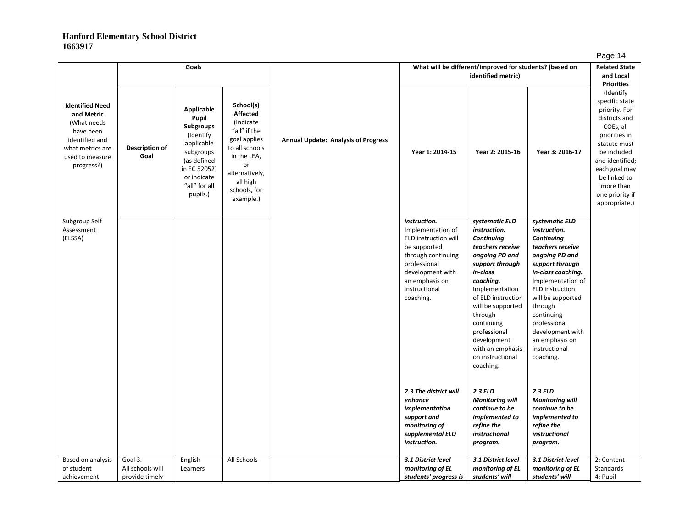|                                                                                                                                         |                                               | Goals                                                                                                                                                             |                                                                                                                                                                             |                                            |                                                                                                                                                                                     | What will be different/improved for students? (based on<br>identified metric)                                                                                                                                                                                                                            |                                                                                                                                                                                                                                                                                                              | <b>Related State</b><br>and Local                                                                                                                                                                                                                    |
|-----------------------------------------------------------------------------------------------------------------------------------------|-----------------------------------------------|-------------------------------------------------------------------------------------------------------------------------------------------------------------------|-----------------------------------------------------------------------------------------------------------------------------------------------------------------------------|--------------------------------------------|-------------------------------------------------------------------------------------------------------------------------------------------------------------------------------------|----------------------------------------------------------------------------------------------------------------------------------------------------------------------------------------------------------------------------------------------------------------------------------------------------------|--------------------------------------------------------------------------------------------------------------------------------------------------------------------------------------------------------------------------------------------------------------------------------------------------------------|------------------------------------------------------------------------------------------------------------------------------------------------------------------------------------------------------------------------------------------------------|
| <b>Identified Need</b><br>and Metric<br>(What needs<br>have been<br>identified and<br>what metrics are<br>used to measure<br>progress?) | Description of<br>Goal                        | <b>Applicable</b><br>Pupil<br><b>Subgroups</b><br>(Identify<br>applicable<br>subgroups<br>(as defined<br>in EC 52052)<br>or indicate<br>"all" for all<br>pupils.) | School(s)<br><b>Affected</b><br>(Indicate<br>"all" if the<br>goal applies<br>to all schools<br>in the LEA,<br>or<br>alternatively,<br>all high<br>schools, for<br>example.) | <b>Annual Update: Analysis of Progress</b> | Year 1: 2014-15                                                                                                                                                                     | Year 2: 2015-16                                                                                                                                                                                                                                                                                          | Year 3: 2016-17                                                                                                                                                                                                                                                                                              | <b>Priorities</b><br>(Identify<br>specific state<br>priority. For<br>districts and<br>COEs, all<br>priorities in<br>statute must<br>be included<br>and identified;<br>each goal may<br>be linked to<br>more than<br>one priority if<br>appropriate.) |
| Subgroup Self<br>Assessment<br>(ELSSA)                                                                                                  |                                               |                                                                                                                                                                   |                                                                                                                                                                             |                                            | instruction.<br>Implementation of<br>ELD instruction will<br>be supported<br>through continuing<br>professional<br>development with<br>an emphasis on<br>instructional<br>coaching. | systematic ELD<br>instruction.<br>Continuing<br>teachers receive<br>ongoing PD and<br>support through<br>in-class<br>coaching.<br>Implementation<br>of ELD instruction<br>will be supported<br>through<br>continuing<br>professional<br>development<br>with an emphasis<br>on instructional<br>coaching. | systematic ELD<br>instruction.<br>Continuing<br>teachers receive<br>ongoing PD and<br>support through<br>in-class coaching.<br>Implementation of<br><b>ELD</b> instruction<br>will be supported<br>through<br>continuing<br>professional<br>development with<br>an emphasis on<br>instructional<br>coaching. |                                                                                                                                                                                                                                                      |
|                                                                                                                                         |                                               |                                                                                                                                                                   |                                                                                                                                                                             |                                            | 2.3 The district will<br>enhance<br>implementation<br>support and<br>monitoring of<br>supplemental ELD<br>instruction.                                                              | <b>2.3 ELD</b><br><b>Monitoring will</b><br>continue to be<br>implemented to<br>refine the<br>instructional<br>program.                                                                                                                                                                                  | <b>2.3 ELD</b><br><b>Monitoring will</b><br>continue to be<br>implemented to<br>refine the<br>instructional<br>program.                                                                                                                                                                                      |                                                                                                                                                                                                                                                      |
| Based on analysis<br>of student<br>achievement                                                                                          | Goal 3.<br>All schools will<br>provide timely | English<br>Learners                                                                                                                                               | All Schools                                                                                                                                                                 |                                            | 3.1 District level<br>monitoring of EL<br>students' progress is                                                                                                                     | 3.1 District level<br>monitoring of EL<br>students' will                                                                                                                                                                                                                                                 | 3.1 District level<br>monitoring of EL<br>students' will                                                                                                                                                                                                                                                     | 2: Content<br>Standards<br>4: Pupil                                                                                                                                                                                                                  |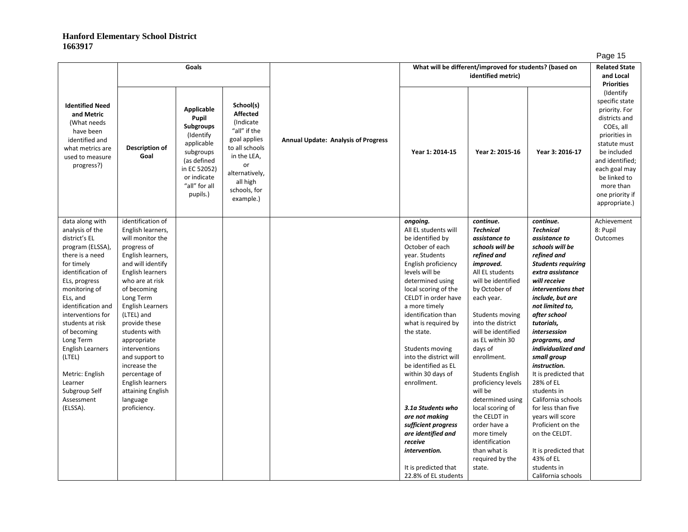|                                                                                                                                         |                             |                                                                                                                                                            |                                                                                                                                                                              |                                            |                                            |                                                                               |                              | ∽ອ∽ ·                                                                                                                                                                                                                           |
|-----------------------------------------------------------------------------------------------------------------------------------------|-----------------------------|------------------------------------------------------------------------------------------------------------------------------------------------------------|------------------------------------------------------------------------------------------------------------------------------------------------------------------------------|--------------------------------------------|--------------------------------------------|-------------------------------------------------------------------------------|------------------------------|---------------------------------------------------------------------------------------------------------------------------------------------------------------------------------------------------------------------------------|
|                                                                                                                                         |                             | Goals                                                                                                                                                      |                                                                                                                                                                              |                                            |                                            | What will be different/improved for students? (based on<br>identified metric) |                              | <b>Related State</b><br>and Local<br><b>Priorities</b>                                                                                                                                                                          |
| <b>Identified Need</b><br>and Metric<br>(What needs<br>have been<br>identified and<br>what metrics are<br>used to measure<br>progress?) | Description of<br>Goal      | Applicable<br>Pupil<br><b>Subgroups</b><br>(Identify<br>applicable<br>subgroups<br>(as defined<br>in EC 52052)<br>or indicate<br>"all" for all<br>pupils.) | School(s)<br><b>Affected</b><br>(Indicate)<br>"all" if the<br>goal applies<br>to all schools<br>in the LEA,<br>or<br>alternatively,<br>all high<br>schools, for<br>example.) | <b>Annual Update: Analysis of Progress</b> | Year 1: 2014-15                            | Year 2: 2015-16                                                               | Year 3: 2016-17<br>continue. | (Identify<br>specific state<br>priority. For<br>districts and<br>COEs, all<br>priorities in<br>statute must<br>be included<br>and identified;<br>each goal may<br>be linked to<br>more than<br>one priority if<br>appropriate.) |
| data along with                                                                                                                         | identification of           |                                                                                                                                                            |                                                                                                                                                                              |                                            | ongoing.                                   | continue.                                                                     |                              | Achievement                                                                                                                                                                                                                     |
| analysis of the                                                                                                                         | English learners,           |                                                                                                                                                            |                                                                                                                                                                              |                                            | All EL students will                       | <b>Technical</b>                                                              | <b>Technical</b>             | 8: Pupil                                                                                                                                                                                                                        |
| district's EL                                                                                                                           | will monitor the            |                                                                                                                                                            |                                                                                                                                                                              |                                            | be identified by                           | assistance to                                                                 | assistance to                | Outcomes                                                                                                                                                                                                                        |
| program (ELSSA),                                                                                                                        | progress of                 |                                                                                                                                                            |                                                                                                                                                                              |                                            | October of each                            | schools will be                                                               | schools will be              |                                                                                                                                                                                                                                 |
| there is a need                                                                                                                         | English learners,           |                                                                                                                                                            |                                                                                                                                                                              |                                            | year. Students                             | refined and                                                                   | refined and                  |                                                                                                                                                                                                                                 |
| for timely                                                                                                                              | and will identify           |                                                                                                                                                            |                                                                                                                                                                              |                                            | English proficiency                        | improved.                                                                     | <b>Students requiring</b>    |                                                                                                                                                                                                                                 |
| identification of                                                                                                                       | English learners            |                                                                                                                                                            |                                                                                                                                                                              |                                            | levels will be                             | All EL students                                                               | extra assistance             |                                                                                                                                                                                                                                 |
| ELs, progress                                                                                                                           | who are at risk             |                                                                                                                                                            |                                                                                                                                                                              |                                            | determined using                           | will be identified                                                            | will receive                 |                                                                                                                                                                                                                                 |
| monitoring of                                                                                                                           | of becoming                 |                                                                                                                                                            |                                                                                                                                                                              |                                            | local scoring of the                       | by October of                                                                 | interventions that           |                                                                                                                                                                                                                                 |
| ELs, and                                                                                                                                | Long Term                   |                                                                                                                                                            |                                                                                                                                                                              |                                            | CELDT in order have                        | each year.                                                                    | include, but are             |                                                                                                                                                                                                                                 |
| identification and                                                                                                                      | <b>English Learners</b>     |                                                                                                                                                            |                                                                                                                                                                              |                                            | a more timely                              |                                                                               | not limited to,              |                                                                                                                                                                                                                                 |
| interventions for<br>students at risk                                                                                                   | (LTEL) and<br>provide these |                                                                                                                                                            |                                                                                                                                                                              |                                            | identification than<br>what is required by | Students moving<br>into the district                                          | after school<br>tutorials,   |                                                                                                                                                                                                                                 |
| of becoming                                                                                                                             | students with               |                                                                                                                                                            |                                                                                                                                                                              |                                            | the state.                                 | will be identified                                                            | intersession                 |                                                                                                                                                                                                                                 |
| Long Term                                                                                                                               | appropriate                 |                                                                                                                                                            |                                                                                                                                                                              |                                            |                                            | as EL within 30                                                               | programs, and                |                                                                                                                                                                                                                                 |
| <b>English Learners</b>                                                                                                                 | interventions               |                                                                                                                                                            |                                                                                                                                                                              |                                            | Students moving                            | days of                                                                       | individualized and           |                                                                                                                                                                                                                                 |
| (LTEL)                                                                                                                                  | and support to              |                                                                                                                                                            |                                                                                                                                                                              |                                            | into the district will                     | enrollment.                                                                   | small group                  |                                                                                                                                                                                                                                 |
|                                                                                                                                         | increase the                |                                                                                                                                                            |                                                                                                                                                                              |                                            | be identified as EL                        |                                                                               | instruction.                 |                                                                                                                                                                                                                                 |
| Metric: English                                                                                                                         | percentage of               |                                                                                                                                                            |                                                                                                                                                                              |                                            | within 30 days of                          | <b>Students English</b>                                                       | It is predicted that         |                                                                                                                                                                                                                                 |
| Learner                                                                                                                                 | English learners            |                                                                                                                                                            |                                                                                                                                                                              |                                            | enrollment.                                | proficiency levels                                                            | 28% of EL                    |                                                                                                                                                                                                                                 |
| Subgroup Self                                                                                                                           | attaining English           |                                                                                                                                                            |                                                                                                                                                                              |                                            |                                            | will be                                                                       | students in                  |                                                                                                                                                                                                                                 |
| Assessment                                                                                                                              | language                    |                                                                                                                                                            |                                                                                                                                                                              |                                            |                                            | determined using                                                              | California schools           |                                                                                                                                                                                                                                 |
| (ELSSA).                                                                                                                                | proficiency.                |                                                                                                                                                            |                                                                                                                                                                              |                                            | 3.1a Students who                          | local scoring of                                                              | for less than five           |                                                                                                                                                                                                                                 |
|                                                                                                                                         |                             |                                                                                                                                                            |                                                                                                                                                                              |                                            | are not making                             | the CELDT in                                                                  | years will score             |                                                                                                                                                                                                                                 |
|                                                                                                                                         |                             |                                                                                                                                                            |                                                                                                                                                                              |                                            | sufficient progress                        | order have a                                                                  | Proficient on the            |                                                                                                                                                                                                                                 |
|                                                                                                                                         |                             |                                                                                                                                                            |                                                                                                                                                                              |                                            | are identified and                         | more timely                                                                   | on the CELDT.                |                                                                                                                                                                                                                                 |
|                                                                                                                                         |                             |                                                                                                                                                            |                                                                                                                                                                              |                                            | receive                                    | identification                                                                |                              |                                                                                                                                                                                                                                 |
|                                                                                                                                         |                             |                                                                                                                                                            |                                                                                                                                                                              |                                            | intervention.                              | than what is                                                                  | It is predicted that         |                                                                                                                                                                                                                                 |
|                                                                                                                                         |                             |                                                                                                                                                            |                                                                                                                                                                              |                                            |                                            | required by the                                                               | 43% of EL                    |                                                                                                                                                                                                                                 |
|                                                                                                                                         |                             |                                                                                                                                                            |                                                                                                                                                                              |                                            | It is predicted that                       | state.                                                                        | students in                  |                                                                                                                                                                                                                                 |
|                                                                                                                                         |                             |                                                                                                                                                            |                                                                                                                                                                              |                                            | 22.8% of EL students                       |                                                                               | California schools           |                                                                                                                                                                                                                                 |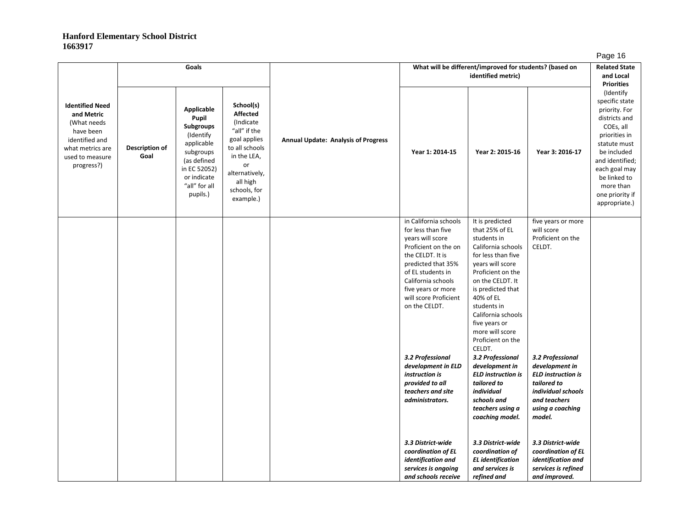|                                                                                                                                         |                        | Goals                                                                                                                                               |                                                                                                                                                                             |                                            | What will be different/improved for students? (based on                                                                                                                                                                                      | . ~ჟ- . -<br><b>Related State</b><br>and Local<br><b>Priorities</b>                                                                                                                                                                                                                                 |                                                                                                                                                    |                                                                                                                                                                                                                                 |
|-----------------------------------------------------------------------------------------------------------------------------------------|------------------------|-----------------------------------------------------------------------------------------------------------------------------------------------------|-----------------------------------------------------------------------------------------------------------------------------------------------------------------------------|--------------------------------------------|----------------------------------------------------------------------------------------------------------------------------------------------------------------------------------------------------------------------------------------------|-----------------------------------------------------------------------------------------------------------------------------------------------------------------------------------------------------------------------------------------------------------------------------------------------------|----------------------------------------------------------------------------------------------------------------------------------------------------|---------------------------------------------------------------------------------------------------------------------------------------------------------------------------------------------------------------------------------|
| <b>Identified Need</b><br>and Metric<br>(What needs<br>have been<br>identified and<br>what metrics are<br>used to measure<br>progress?) | Description of<br>Goal | Applicable<br>Pupil<br>Subgroups<br>(Identify<br>applicable<br>subgroups<br>(as defined<br>in EC 52052)<br>or indicate<br>"all" for all<br>pupils.) | School(s)<br><b>Affected</b><br>(Indicate<br>"all" if the<br>goal applies<br>to all schools<br>in the LEA,<br>or<br>alternatively,<br>all high<br>schools, for<br>example.) | <b>Annual Update: Analysis of Progress</b> | Year 1: 2014-15                                                                                                                                                                                                                              | Year 2: 2015-16                                                                                                                                                                                                                                                                                     | Year 3: 2016-17                                                                                                                                    | (Identify<br>specific state<br>priority. For<br>districts and<br>COEs, all<br>priorities in<br>statute must<br>be included<br>and identified;<br>each goal may<br>be linked to<br>more than<br>one priority if<br>appropriate.) |
|                                                                                                                                         |                        |                                                                                                                                                     |                                                                                                                                                                             |                                            | in California schools<br>for less than five<br>years will score<br>Proficient on the on<br>the CELDT. It is<br>predicted that 35%<br>of EL students in<br>California schools<br>five years or more<br>will score Proficient<br>on the CELDT. | It is predicted<br>that 25% of EL<br>students in<br>California schools<br>for less than five<br>years will score<br>Proficient on the<br>on the CELDT. It<br>is predicted that<br>40% of EL<br>students in<br>California schools<br>five years or<br>more will score<br>Proficient on the<br>CELDT. | five years or more<br>will score<br>Proficient on the<br>CELDT.                                                                                    |                                                                                                                                                                                                                                 |
|                                                                                                                                         |                        |                                                                                                                                                     |                                                                                                                                                                             |                                            | 3.2 Professional<br>development in ELD<br>instruction is<br>provided to all<br>teachers and site<br>administrators.                                                                                                                          | 3.2 Professional<br>development in<br><b>ELD instruction is</b><br>tailored to<br>individual<br>schools and<br>teachers using a<br>coaching model.                                                                                                                                                  | 3.2 Professional<br>development in<br><b>ELD</b> instruction is<br>tailored to<br>individual schools<br>and teachers<br>using a coaching<br>model. |                                                                                                                                                                                                                                 |
|                                                                                                                                         |                        |                                                                                                                                                     |                                                                                                                                                                             |                                            | 3.3 District-wide<br>coordination of EL<br>identification and<br>services is ongoing<br>and schools receive                                                                                                                                  | 3.3 District-wide<br>coordination of<br><b>EL</b> identification<br>and services is<br>refined and                                                                                                                                                                                                  | 3.3 District-wide<br>coordination of EL<br>identification and<br>services is refined<br>and improved.                                              |                                                                                                                                                                                                                                 |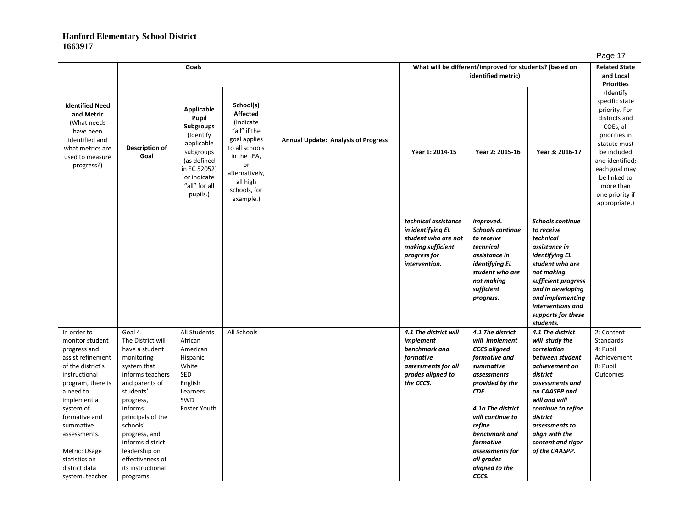|                                                                                                                                                                                                                                                                              |                                                                                                                                                                                                                                                                                          | Goals                                                                                                                                                      |                                                                                                                                                                             |                                            |                                                                                                                        | What will be different/improved for students? (based on<br>identified metric)                                                                                                                                                                              |                                                                                                                                                                                                                                                  | <b>Related State</b><br>and Local<br><b>Priorities</b>                                                                                                                                                                          |
|------------------------------------------------------------------------------------------------------------------------------------------------------------------------------------------------------------------------------------------------------------------------------|------------------------------------------------------------------------------------------------------------------------------------------------------------------------------------------------------------------------------------------------------------------------------------------|------------------------------------------------------------------------------------------------------------------------------------------------------------|-----------------------------------------------------------------------------------------------------------------------------------------------------------------------------|--------------------------------------------|------------------------------------------------------------------------------------------------------------------------|------------------------------------------------------------------------------------------------------------------------------------------------------------------------------------------------------------------------------------------------------------|--------------------------------------------------------------------------------------------------------------------------------------------------------------------------------------------------------------------------------------------------|---------------------------------------------------------------------------------------------------------------------------------------------------------------------------------------------------------------------------------|
| <b>Identified Need</b><br>and Metric<br>(What needs<br>have been<br>identified and<br>what metrics are<br>used to measure<br>progress?)                                                                                                                                      | Description of<br>Goal                                                                                                                                                                                                                                                                   | Applicable<br>Pupil<br><b>Subgroups</b><br>(Identify<br>applicable<br>subgroups<br>(as defined<br>in EC 52052)<br>or indicate<br>"all" for all<br>pupils.) | School(s)<br><b>Affected</b><br>(Indicate<br>"all" if the<br>goal applies<br>to all schools<br>in the LEA,<br>or<br>alternatively,<br>all high<br>schools, for<br>example.) | <b>Annual Update: Analysis of Progress</b> | Year 1: 2014-15                                                                                                        | Year 2: 2015-16                                                                                                                                                                                                                                            | Year 3: 2016-17                                                                                                                                                                                                                                  | (Identify<br>specific state<br>priority. For<br>districts and<br>COEs, all<br>priorities in<br>statute must<br>be included<br>and identified;<br>each goal may<br>be linked to<br>more than<br>one priority if<br>appropriate.) |
|                                                                                                                                                                                                                                                                              |                                                                                                                                                                                                                                                                                          |                                                                                                                                                            |                                                                                                                                                                             |                                            | technical assistance<br>in identifying EL<br>student who are not<br>making sufficient<br>progress for<br>intervention. | improved.<br><b>Schools continue</b><br>to receive<br>technical<br>assistance in<br>identifying EL<br>student who are<br>not making<br>sufficient<br>progress.                                                                                             | <b>Schools continue</b><br>to receive<br>technical<br>assistance in<br>identifying EL<br>student who are<br>not making<br>sufficient progress<br>and in developing<br>and implementing<br>interventions and<br>supports for these                |                                                                                                                                                                                                                                 |
| In order to                                                                                                                                                                                                                                                                  | Goal 4.                                                                                                                                                                                                                                                                                  | All Students                                                                                                                                               | All Schools                                                                                                                                                                 |                                            | 4.1 The district will                                                                                                  | 4.1 The district                                                                                                                                                                                                                                           | students.<br>4.1 The district                                                                                                                                                                                                                    | 2: Content                                                                                                                                                                                                                      |
| monitor student<br>progress and<br>assist refinement<br>of the district's<br>instructional<br>program, there is<br>a need to<br>implement a<br>system of<br>formative and<br>summative<br>assessments.<br>Metric: Usage<br>statistics on<br>district data<br>system, teacher | The District will<br>have a student<br>monitoring<br>system that<br>informs teachers<br>and parents of<br>students'<br>progress,<br>informs<br>principals of the<br>schools'<br>progress, and<br>informs district<br>leadership on<br>effectiveness of<br>its instructional<br>programs. | African<br>American<br>Hispanic<br>White<br>SED<br>English<br>Learners<br>SWD<br>Foster Youth                                                              |                                                                                                                                                                             |                                            | implement<br>benchmark and<br>formative<br>assessments for all<br>grades aligned to<br>the CCCS.                       | will implement<br><b>CCCS</b> aligned<br>formative and<br>summative<br>assessments<br>provided by the<br>CDE.<br>4.1a The district<br>will continue to<br>refine<br>benchmark and<br>formative<br>assessments for<br>all grades<br>aligned to the<br>CCCS. | will study the<br>correlation<br>between student<br>achievement on<br>district<br>assessments and<br>on CAASPP and<br>will and will<br>continue to refine<br>district<br>assessments to<br>align with the<br>content and rigor<br>of the CAASPP. | <b>Standards</b><br>4: Pupil<br>Achievement<br>8: Pupil<br><b>Outcomes</b>                                                                                                                                                      |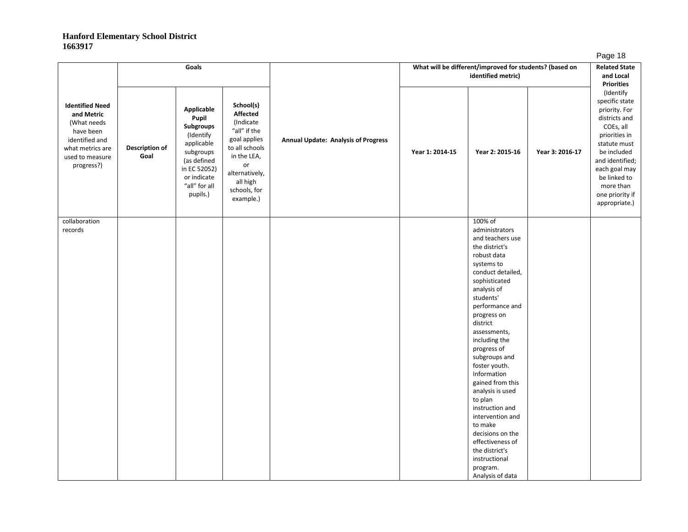|                               |                                                                                                                                     |                                                                                                                                                                      |                                            |                 |                                                                                                                                                                                                                                                                                                                                                                                                                                                                                               |                                                    | . ugo .o                                                                                                                                                                                                           |
|-------------------------------|-------------------------------------------------------------------------------------------------------------------------------------|----------------------------------------------------------------------------------------------------------------------------------------------------------------------|--------------------------------------------|-----------------|-----------------------------------------------------------------------------------------------------------------------------------------------------------------------------------------------------------------------------------------------------------------------------------------------------------------------------------------------------------------------------------------------------------------------------------------------------------------------------------------------|----------------------------------------------------|--------------------------------------------------------------------------------------------------------------------------------------------------------------------------------------------------------------------|
|                               |                                                                                                                                     |                                                                                                                                                                      |                                            |                 |                                                                                                                                                                                                                                                                                                                                                                                                                                                                                               |                                                    | <b>Related State</b><br>and Local                                                                                                                                                                                  |
|                               |                                                                                                                                     |                                                                                                                                                                      |                                            |                 |                                                                                                                                                                                                                                                                                                                                                                                                                                                                                               |                                                    | <b>Priorities</b>                                                                                                                                                                                                  |
| <b>Description of</b><br>Goal | Applicable<br>Pupil<br>Subgroups<br>(Identify<br>applicable<br>subgroups<br>(as defined<br>or indicate<br>"all" for all<br>pupils.) | School(s)<br>Affected<br>(Indicate<br>"all" if the<br>goal applies<br>to all schools<br>in the LEA,<br>or<br>alternatively,<br>all high<br>schools, for<br>example.) | <b>Annual Update: Analysis of Progress</b> | Year 1: 2014-15 | Year 2: 2015-16                                                                                                                                                                                                                                                                                                                                                                                                                                                                               | Year 3: 2016-17                                    | specific state<br>priority. For<br>districts and<br>COEs, all<br>priorities in<br>statute must<br>be included<br>and identified;<br>each goal may<br>be linked to<br>more than<br>one priority if<br>appropriate.) |
|                               |                                                                                                                                     |                                                                                                                                                                      |                                            |                 | 100% of<br>administrators<br>and teachers use<br>the district's<br>robust data<br>systems to<br>conduct detailed,<br>sophisticated<br>analysis of<br>students'<br>performance and<br>progress on<br>district<br>assessments,<br>including the<br>progress of<br>subgroups and<br>foster youth.<br>Information<br>gained from this<br>analysis is used<br>to plan<br>instruction and<br>intervention and<br>to make<br>decisions on the<br>effectiveness of<br>the district's<br>instructional |                                                    |                                                                                                                                                                                                                    |
|                               |                                                                                                                                     | Goals<br>in EC 52052)                                                                                                                                                |                                            |                 |                                                                                                                                                                                                                                                                                                                                                                                                                                                                                               | identified metric)<br>program.<br>Analysis of data | What will be different/improved for students? (based on                                                                                                                                                            |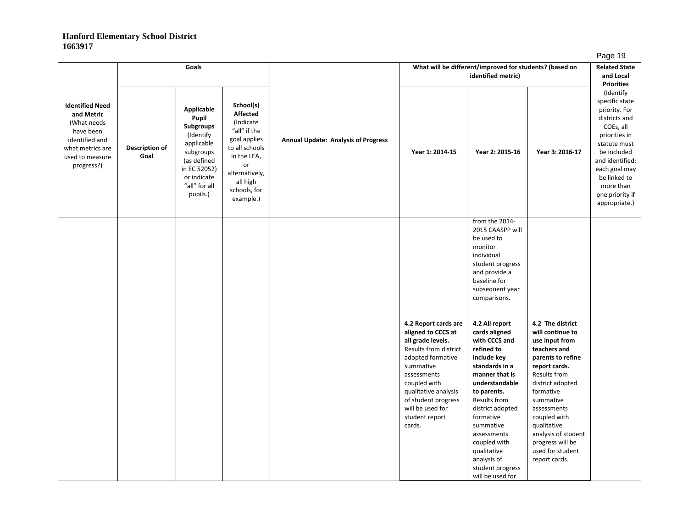|                                                                                                                                         |                        | Goals                                                                                                                                                             |                                                                                                                                                                             |                                            | What will be different/improved for students? (based on                                                                                                                                                                                                  |                                                                                                                                                                                                                                                                                                                       | . ~ჟ- . -<br><b>Related State</b><br>and Local<br><b>Priorities</b>                                                                                                                                                                                                                                      |                                                                                                                                                                                                                                 |
|-----------------------------------------------------------------------------------------------------------------------------------------|------------------------|-------------------------------------------------------------------------------------------------------------------------------------------------------------------|-----------------------------------------------------------------------------------------------------------------------------------------------------------------------------|--------------------------------------------|----------------------------------------------------------------------------------------------------------------------------------------------------------------------------------------------------------------------------------------------------------|-----------------------------------------------------------------------------------------------------------------------------------------------------------------------------------------------------------------------------------------------------------------------------------------------------------------------|----------------------------------------------------------------------------------------------------------------------------------------------------------------------------------------------------------------------------------------------------------------------------------------------------------|---------------------------------------------------------------------------------------------------------------------------------------------------------------------------------------------------------------------------------|
| <b>Identified Need</b><br>and Metric<br>(What needs<br>have been<br>identified and<br>what metrics are<br>used to measure<br>progress?) | Description of<br>Goal | <b>Applicable</b><br>Pupil<br><b>Subgroups</b><br>(Identify<br>applicable<br>subgroups<br>(as defined<br>in EC 52052)<br>or indicate<br>"all" for all<br>pupils.) | School(s)<br><b>Affected</b><br>(Indicate<br>"all" if the<br>goal applies<br>to all schools<br>in the LEA,<br>or<br>alternatively,<br>all high<br>schools, for<br>example.) | <b>Annual Update: Analysis of Progress</b> | Year 1: 2014-15                                                                                                                                                                                                                                          | Year 2: 2015-16                                                                                                                                                                                                                                                                                                       | Year 3: 2016-17                                                                                                                                                                                                                                                                                          | (Identify<br>specific state<br>priority. For<br>districts and<br>COEs, all<br>priorities in<br>statute must<br>be included<br>and identified;<br>each goal may<br>be linked to<br>more than<br>one priority if<br>appropriate.) |
|                                                                                                                                         |                        |                                                                                                                                                                   |                                                                                                                                                                             |                                            |                                                                                                                                                                                                                                                          | from the 2014-<br>2015 CAASPP will<br>be used to<br>monitor<br>individual<br>student progress<br>and provide a<br>baseline for<br>subsequent year<br>comparisons.                                                                                                                                                     |                                                                                                                                                                                                                                                                                                          |                                                                                                                                                                                                                                 |
|                                                                                                                                         |                        |                                                                                                                                                                   |                                                                                                                                                                             |                                            | 4.2 Report cards are<br>aligned to CCCS at<br>all grade levels.<br>Results from district<br>adopted formative<br>summative<br>assessments<br>coupled with<br>qualitative analysis<br>of student progress<br>will be used for<br>student report<br>cards. | 4.2 All report<br>cards aligned<br>with CCCS and<br>refined to<br>include key<br>standards in a<br>manner that is<br>understandable<br>to parents.<br>Results from<br>district adopted<br>formative<br>summative<br>assessments<br>coupled with<br>qualitative<br>analysis of<br>student progress<br>will be used for | 4.2 The district<br>will continue to<br>use input from<br>teachers and<br>parents to refine<br>report cards.<br>Results from<br>district adopted<br>formative<br>summative<br>assessments<br>coupled with<br>qualitative<br>analysis of student<br>progress will be<br>used for student<br>report cards. |                                                                                                                                                                                                                                 |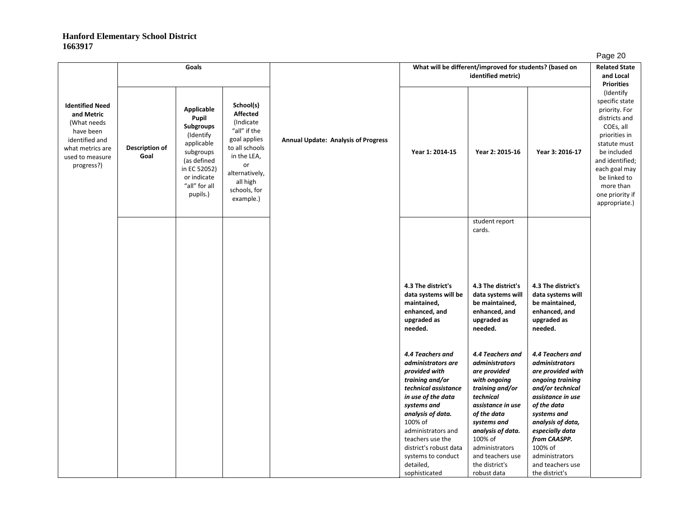|                                                                                                                                         | Goals                  |                                                                                                                                                            |                                                                                                                                                                             | What will be different/improved for students? (based on |                                                                                                                          |                                                                                                    |                                                                                                                      |                                                                                                                                                                                                                                 |
|-----------------------------------------------------------------------------------------------------------------------------------------|------------------------|------------------------------------------------------------------------------------------------------------------------------------------------------------|-----------------------------------------------------------------------------------------------------------------------------------------------------------------------------|---------------------------------------------------------|--------------------------------------------------------------------------------------------------------------------------|----------------------------------------------------------------------------------------------------|----------------------------------------------------------------------------------------------------------------------|---------------------------------------------------------------------------------------------------------------------------------------------------------------------------------------------------------------------------------|
|                                                                                                                                         |                        |                                                                                                                                                            |                                                                                                                                                                             |                                                         |                                                                                                                          | identified metric)                                                                                 |                                                                                                                      | and Local<br><b>Priorities</b>                                                                                                                                                                                                  |
| <b>Identified Need</b><br>and Metric<br>(What needs<br>have been<br>identified and<br>what metrics are<br>used to measure<br>progress?) | Description of<br>Goal | <b>Applicable</b><br>Pupil<br>Subgroups<br>(Identify<br>applicable<br>subgroups<br>(as defined<br>in EC 52052)<br>or indicate<br>"all" for all<br>pupils.) | School(s)<br><b>Affected</b><br>(Indicate<br>"all" if the<br>goal applies<br>to all schools<br>in the LEA,<br>or<br>alternatively,<br>all high<br>schools, for<br>example.) | <b>Annual Update: Analysis of Progress</b>              | Year 1: 2014-15                                                                                                          | Year 2: 2015-16                                                                                    | Year 3: 2016-17                                                                                                      | (Identify<br>specific state<br>priority. For<br>districts and<br>COEs, all<br>priorities in<br>statute must<br>be included<br>and identified;<br>each goal may<br>be linked to<br>more than<br>one priority if<br>appropriate.) |
|                                                                                                                                         |                        |                                                                                                                                                            |                                                                                                                                                                             |                                                         |                                                                                                                          | student report<br>cards.                                                                           |                                                                                                                      |                                                                                                                                                                                                                                 |
|                                                                                                                                         |                        |                                                                                                                                                            |                                                                                                                                                                             |                                                         | 4.3 The district's                                                                                                       | 4.3 The district's                                                                                 | 4.3 The district's                                                                                                   |                                                                                                                                                                                                                                 |
|                                                                                                                                         |                        |                                                                                                                                                            |                                                                                                                                                                             |                                                         | data systems will be<br>maintained,<br>enhanced, and<br>upgraded as<br>needed.                                           | data systems will<br>be maintained,<br>enhanced, and<br>upgraded as<br>needed.                     | data systems will<br>be maintained,<br>enhanced, and<br>upgraded as<br>needed.                                       |                                                                                                                                                                                                                                 |
|                                                                                                                                         |                        |                                                                                                                                                            |                                                                                                                                                                             |                                                         | 4.4 Teachers and<br>administrators are<br>provided with<br>training and/or<br>technical assistance<br>in use of the data | 4.4 Teachers and<br>administrators<br>are provided<br>with ongoing<br>training and/or<br>technical | 4.4 Teachers and<br>administrators<br>are provided with<br>ongoing training<br>and/or technical<br>assistance in use |                                                                                                                                                                                                                                 |
|                                                                                                                                         |                        |                                                                                                                                                            |                                                                                                                                                                             |                                                         | systems and<br>analysis of data.                                                                                         | assistance in use<br>of the data                                                                   | of the data<br>systems and                                                                                           |                                                                                                                                                                                                                                 |
|                                                                                                                                         |                        |                                                                                                                                                            |                                                                                                                                                                             |                                                         | 100% of<br>administrators and<br>teachers use the                                                                        | systems and<br>analysis of data.<br>100% of                                                        | analysis of data,<br>especially data<br>from CAASPP.                                                                 |                                                                                                                                                                                                                                 |
|                                                                                                                                         |                        |                                                                                                                                                            |                                                                                                                                                                             |                                                         | district's robust data<br>systems to conduct<br>detailed,                                                                | administrators<br>and teachers use<br>the district's                                               | 100% of<br>administrators<br>and teachers use                                                                        |                                                                                                                                                                                                                                 |
|                                                                                                                                         |                        |                                                                                                                                                            |                                                                                                                                                                             |                                                         | sophisticated                                                                                                            | robust data                                                                                        | the district's                                                                                                       |                                                                                                                                                                                                                                 |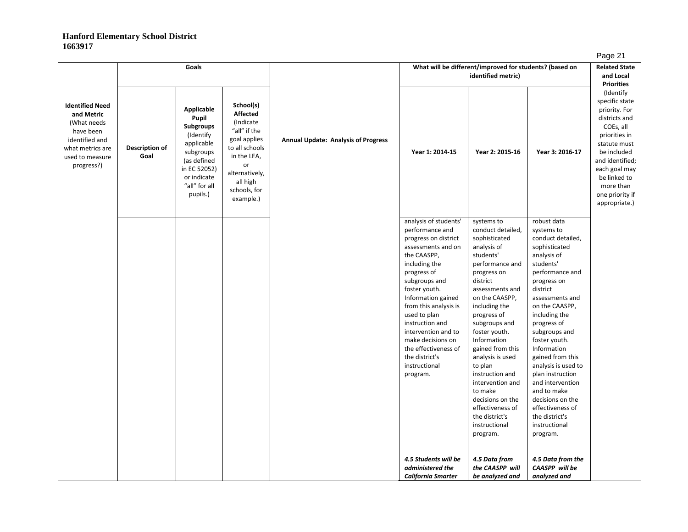| ıC<br>١C |  |
|----------|--|
|          |  |

|                                                                                                                                         | Goals                  |                                                                                                                                                                   | What will be different/improved for students? (based on                                                                                                                     |                                            |                                                                                                                                                                                                                                                                                                                                                                              |                                                                                                                                                                                                                                                                                                                                                                                                                                              | <b>Related State</b>                                                                                                                                                                                                                                                                                                                                                                                                                                     |                                                                                                                                                                                                                                 |
|-----------------------------------------------------------------------------------------------------------------------------------------|------------------------|-------------------------------------------------------------------------------------------------------------------------------------------------------------------|-----------------------------------------------------------------------------------------------------------------------------------------------------------------------------|--------------------------------------------|------------------------------------------------------------------------------------------------------------------------------------------------------------------------------------------------------------------------------------------------------------------------------------------------------------------------------------------------------------------------------|----------------------------------------------------------------------------------------------------------------------------------------------------------------------------------------------------------------------------------------------------------------------------------------------------------------------------------------------------------------------------------------------------------------------------------------------|----------------------------------------------------------------------------------------------------------------------------------------------------------------------------------------------------------------------------------------------------------------------------------------------------------------------------------------------------------------------------------------------------------------------------------------------------------|---------------------------------------------------------------------------------------------------------------------------------------------------------------------------------------------------------------------------------|
|                                                                                                                                         |                        |                                                                                                                                                                   |                                                                                                                                                                             |                                            |                                                                                                                                                                                                                                                                                                                                                                              | identified metric)                                                                                                                                                                                                                                                                                                                                                                                                                           |                                                                                                                                                                                                                                                                                                                                                                                                                                                          | and Local<br><b>Priorities</b>                                                                                                                                                                                                  |
| <b>Identified Need</b><br>and Metric<br>(What needs<br>have been<br>identified and<br>what metrics are<br>used to measure<br>progress?) | Description of<br>Goal | <b>Applicable</b><br>Pupil<br><b>Subgroups</b><br>(Identify<br>applicable<br>subgroups<br>(as defined<br>in EC 52052)<br>or indicate<br>"all" for all<br>pupils.) | School(s)<br><b>Affected</b><br>(Indicate<br>"all" if the<br>goal applies<br>to all schools<br>in the LEA,<br>or<br>alternatively,<br>all high<br>schools, for<br>example.) | <b>Annual Update: Analysis of Progress</b> | Year 1: 2014-15                                                                                                                                                                                                                                                                                                                                                              | Year 2: 2015-16                                                                                                                                                                                                                                                                                                                                                                                                                              | Year 3: 2016-17                                                                                                                                                                                                                                                                                                                                                                                                                                          | (Identify<br>specific state<br>priority. For<br>districts and<br>COEs, all<br>priorities in<br>statute must<br>be included<br>and identified;<br>each goal may<br>be linked to<br>more than<br>one priority if<br>appropriate.) |
|                                                                                                                                         |                        |                                                                                                                                                                   |                                                                                                                                                                             |                                            | analysis of students'<br>performance and<br>progress on district<br>assessments and on<br>the CAASPP,<br>including the<br>progress of<br>subgroups and<br>foster youth.<br>Information gained<br>from this analysis is<br>used to plan<br>instruction and<br>intervention and to<br>make decisions on<br>the effectiveness of<br>the district's<br>instructional<br>program. | systems to<br>conduct detailed,<br>sophisticated<br>analysis of<br>students'<br>performance and<br>progress on<br>district<br>assessments and<br>on the CAASPP,<br>including the<br>progress of<br>subgroups and<br>foster youth.<br>Information<br>gained from this<br>analysis is used<br>to plan<br>instruction and<br>intervention and<br>to make<br>decisions on the<br>effectiveness of<br>the district's<br>instructional<br>program. | robust data<br>systems to<br>conduct detailed,<br>sophisticated<br>analysis of<br>students'<br>performance and<br>progress on<br>district<br>assessments and<br>on the CAASPP,<br>including the<br>progress of<br>subgroups and<br>foster youth.<br>Information<br>gained from this<br>analysis is used to<br>plan instruction<br>and intervention<br>and to make<br>decisions on the<br>effectiveness of<br>the district's<br>instructional<br>program. |                                                                                                                                                                                                                                 |
|                                                                                                                                         |                        |                                                                                                                                                                   |                                                                                                                                                                             |                                            | 4.5 Students will be<br>administered the<br>California Smarter                                                                                                                                                                                                                                                                                                               | 4.5 Data from<br>the CAASPP will<br>be analyzed and                                                                                                                                                                                                                                                                                                                                                                                          | 4.5 Data from the<br>CAASPP will be<br>analyzed and                                                                                                                                                                                                                                                                                                                                                                                                      |                                                                                                                                                                                                                                 |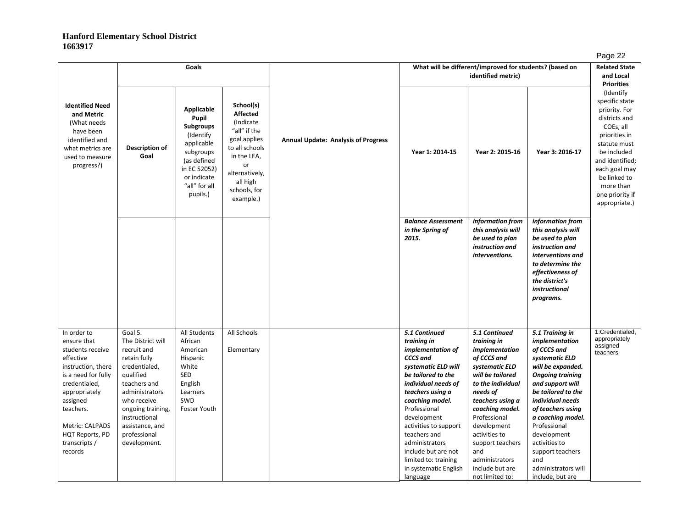|                                                                                                                                                                                                                                       |                                                                                                                                                                                                                                     | Goals                                                                                                                                                |                                                                                                                                                                              |                                            | What will be different/improved for students? (based on                                                                                                                                                                                                                                                                                                | <b>Related State</b><br>and Local<br><b>Priorities</b>                                                                                                                                                                                                                                                         |                                                                                                                                                                                                                                                                                                                                                  |                                                                                                                                                                                                                    |
|---------------------------------------------------------------------------------------------------------------------------------------------------------------------------------------------------------------------------------------|-------------------------------------------------------------------------------------------------------------------------------------------------------------------------------------------------------------------------------------|------------------------------------------------------------------------------------------------------------------------------------------------------|------------------------------------------------------------------------------------------------------------------------------------------------------------------------------|--------------------------------------------|--------------------------------------------------------------------------------------------------------------------------------------------------------------------------------------------------------------------------------------------------------------------------------------------------------------------------------------------------------|----------------------------------------------------------------------------------------------------------------------------------------------------------------------------------------------------------------------------------------------------------------------------------------------------------------|--------------------------------------------------------------------------------------------------------------------------------------------------------------------------------------------------------------------------------------------------------------------------------------------------------------------------------------------------|--------------------------------------------------------------------------------------------------------------------------------------------------------------------------------------------------------------------|
| <b>Identified Need</b><br>and Metric<br>(What needs<br>have been<br>identified and<br>what metrics are<br>used to measure<br>progress?)                                                                                               | Description of<br>Goal                                                                                                                                                                                                              | Applicable<br>Pupil<br>Subgroups<br>(Identify)<br>applicable<br>subgroups<br>(as defined<br>in EC 52052)<br>or indicate<br>"all" for all<br>pupils.) | School(s)<br><b>Affected</b><br>(Indicate)<br>"all" if the<br>goal applies<br>to all schools<br>in the LEA,<br>or<br>alternatively,<br>all high<br>schools, for<br>example.) | <b>Annual Update: Analysis of Progress</b> | Year 1: 2014-15                                                                                                                                                                                                                                                                                                                                        | Year 2: 2015-16                                                                                                                                                                                                                                                                                                | Year 3: 2016-17                                                                                                                                                                                                                                                                                                                                  | specific state<br>priority. For<br>districts and<br>COEs, all<br>priorities in<br>statute must<br>be included<br>and identified;<br>each goal may<br>be linked to<br>more than<br>one priority if<br>appropriate.) |
|                                                                                                                                                                                                                                       |                                                                                                                                                                                                                                     |                                                                                                                                                      |                                                                                                                                                                              |                                            | <b>Balance Assessment</b><br>in the Spring of<br>2015.                                                                                                                                                                                                                                                                                                 | information from<br>this analysis will<br>be used to plan<br>instruction and<br>interventions.                                                                                                                                                                                                                 | information from<br>this analysis will<br>be used to plan<br>instruction and<br>interventions and<br>to determine the<br>effectiveness of<br>the district's<br>instructional<br>programs.                                                                                                                                                        |                                                                                                                                                                                                                    |
| In order to<br>ensure that<br>students receive<br>effective<br>instruction, there<br>is a need for fully<br>credentialed,<br>appropriately<br>assigned<br>teachers.<br>Metric: CALPADS<br>HQT Reports, PD<br>transcripts /<br>records | Goal 5.<br>The District will<br>recruit and<br>retain fully<br>credentialed,<br>qualified<br>teachers and<br>administrators<br>who receive<br>ongoing training,<br>instructional<br>assistance, and<br>professional<br>development. | All Students<br>African<br>American<br>Hispanic<br>White<br>SED<br>English<br>Learners<br>SWD<br>Foster Youth                                        | All Schools<br>Elementary                                                                                                                                                    |                                            | 5.1 Continued<br>training in<br>implementation of<br>CCCS and<br>systematic ELD will<br>be tailored to the<br>individual needs of<br>teachers using a<br>coaching model.<br>Professional<br>development<br>activities to support<br>teachers and<br>administrators<br>include but are not<br>limited to: training<br>in systematic English<br>language | 5.1 Continued<br>training in<br>implementation<br>of CCCS and<br>systematic ELD<br>will be tailored<br>to the individual<br>needs of<br>teachers using a<br>coaching model.<br>Professional<br>development<br>activities to<br>support teachers<br>and<br>administrators<br>include but are<br>not limited to: | 5.1 Training in<br>implementation<br>of CCCS and<br>systematic ELD<br>will be expanded.<br><b>Ongoing training</b><br>and support will<br>be tailored to the<br>individual needs<br>of teachers using<br>a coaching model.<br>Professional<br>development<br>activities to<br>support teachers<br>and<br>administrators will<br>include, but are | 1:Credentialed,<br>appropriately<br>assigned<br>teachers                                                                                                                                                           |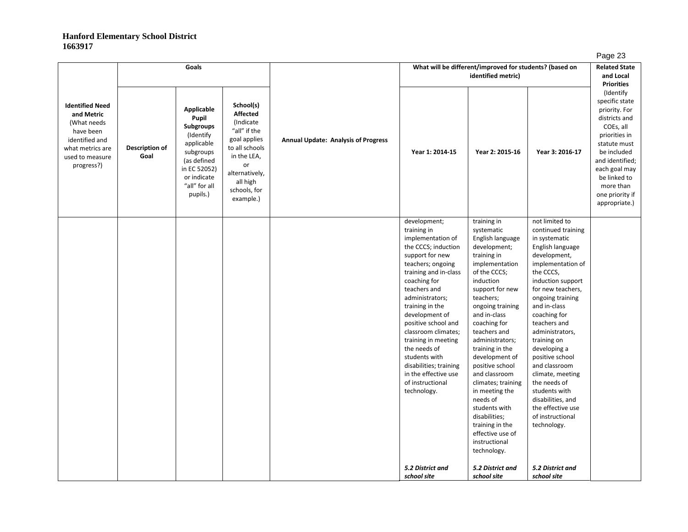|                                                                                                                                         |                        | Goals                                                                                                                                                      |                                                                                                                                                                             |                                            |                                                                                                                                                                                                                                                                                                                                                                                                                                                 | What will be different/improved for students? (based on<br>identified metric)                                                                                                                                                                                                                                                                                                                                                                                                                                |                                                                                                                                                                                                                                                                                                                                                                                                                                                                                       | <b>Related State</b><br>and Local<br><b>Priorities</b>                                                                                                                                                                          |
|-----------------------------------------------------------------------------------------------------------------------------------------|------------------------|------------------------------------------------------------------------------------------------------------------------------------------------------------|-----------------------------------------------------------------------------------------------------------------------------------------------------------------------------|--------------------------------------------|-------------------------------------------------------------------------------------------------------------------------------------------------------------------------------------------------------------------------------------------------------------------------------------------------------------------------------------------------------------------------------------------------------------------------------------------------|--------------------------------------------------------------------------------------------------------------------------------------------------------------------------------------------------------------------------------------------------------------------------------------------------------------------------------------------------------------------------------------------------------------------------------------------------------------------------------------------------------------|---------------------------------------------------------------------------------------------------------------------------------------------------------------------------------------------------------------------------------------------------------------------------------------------------------------------------------------------------------------------------------------------------------------------------------------------------------------------------------------|---------------------------------------------------------------------------------------------------------------------------------------------------------------------------------------------------------------------------------|
| <b>Identified Need</b><br>and Metric<br>(What needs<br>have been<br>identified and<br>what metrics are<br>used to measure<br>progress?) | Description of<br>Goal | Applicable<br>Pupil<br><b>Subgroups</b><br>(Identify<br>applicable<br>subgroups<br>(as defined<br>in EC 52052)<br>or indicate<br>"all" for all<br>pupils.) | School(s)<br><b>Affected</b><br>(Indicate<br>"all" if the<br>goal applies<br>to all schools<br>in the LEA,<br>or<br>alternatively,<br>all high<br>schools, for<br>example.) | <b>Annual Update: Analysis of Progress</b> | Year 1: 2014-15                                                                                                                                                                                                                                                                                                                                                                                                                                 | Year 2: 2015-16                                                                                                                                                                                                                                                                                                                                                                                                                                                                                              | Year 3: 2016-17                                                                                                                                                                                                                                                                                                                                                                                                                                                                       | (Identify<br>specific state<br>priority. For<br>districts and<br>COEs, all<br>priorities in<br>statute must<br>be included<br>and identified;<br>each goal may<br>be linked to<br>more than<br>one priority if<br>appropriate.) |
|                                                                                                                                         |                        |                                                                                                                                                            |                                                                                                                                                                             |                                            | development;<br>training in<br>implementation of<br>the CCCS; induction<br>support for new<br>teachers; ongoing<br>training and in-class<br>coaching for<br>teachers and<br>administrators;<br>training in the<br>development of<br>positive school and<br>classroom climates;<br>training in meeting<br>the needs of<br>students with<br>disabilities; training<br>in the effective use<br>of instructional<br>technology.<br>5.2 District and | training in<br>systematic<br>English language<br>development;<br>training in<br>implementation<br>of the CCCS;<br>induction<br>support for new<br>teachers;<br>ongoing training<br>and in-class<br>coaching for<br>teachers and<br>administrators;<br>training in the<br>development of<br>positive school<br>and classroom<br>climates; training<br>in meeting the<br>needs of<br>students with<br>disabilities;<br>training in the<br>effective use of<br>instructional<br>technology.<br>5.2 District and | not limited to<br>continued training<br>in systematic<br>English language<br>development,<br>implementation of<br>the CCCS,<br>induction support<br>for new teachers,<br>ongoing training<br>and in-class<br>coaching for<br>teachers and<br>administrators,<br>training on<br>developing a<br>positive school<br>and classroom<br>climate, meeting<br>the needs of<br>students with<br>disabilities, and<br>the effective use<br>of instructional<br>technology.<br>5.2 District and |                                                                                                                                                                                                                                 |
|                                                                                                                                         |                        |                                                                                                                                                            |                                                                                                                                                                             |                                            | school site                                                                                                                                                                                                                                                                                                                                                                                                                                     | school site                                                                                                                                                                                                                                                                                                                                                                                                                                                                                                  | school site                                                                                                                                                                                                                                                                                                                                                                                                                                                                           |                                                                                                                                                                                                                                 |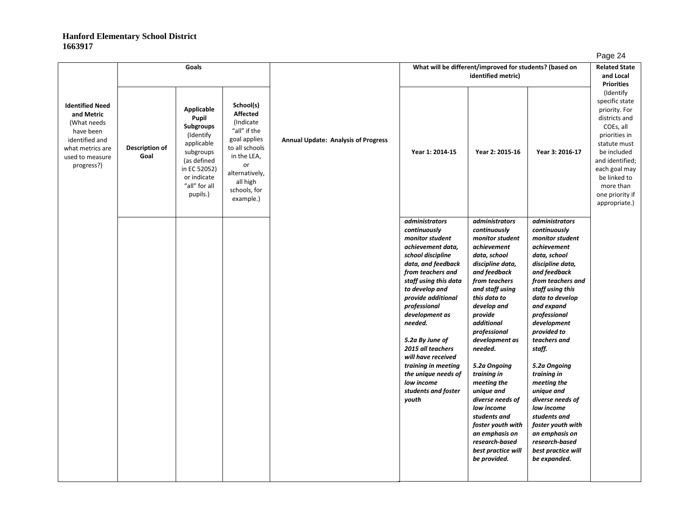| ıΩ<br>ه، |  |
|----------|--|
|          |  |

|                                                                                                                                         |                        |                                                                                                                                                                   |                                                                                                                                                                             |                                            |                                                                                                                                                                                                                                                                                                                                                                                                                       |                                                                                                                                                                                                                                                                                                                                                                                                                                                                                   |                                                                                                                                                                                                                                                                                                                                                                                                                                                                                            | ∽ອ∽                                                                                                                                                                                                                             |
|-----------------------------------------------------------------------------------------------------------------------------------------|------------------------|-------------------------------------------------------------------------------------------------------------------------------------------------------------------|-----------------------------------------------------------------------------------------------------------------------------------------------------------------------------|--------------------------------------------|-----------------------------------------------------------------------------------------------------------------------------------------------------------------------------------------------------------------------------------------------------------------------------------------------------------------------------------------------------------------------------------------------------------------------|-----------------------------------------------------------------------------------------------------------------------------------------------------------------------------------------------------------------------------------------------------------------------------------------------------------------------------------------------------------------------------------------------------------------------------------------------------------------------------------|--------------------------------------------------------------------------------------------------------------------------------------------------------------------------------------------------------------------------------------------------------------------------------------------------------------------------------------------------------------------------------------------------------------------------------------------------------------------------------------------|---------------------------------------------------------------------------------------------------------------------------------------------------------------------------------------------------------------------------------|
|                                                                                                                                         |                        | Goals                                                                                                                                                             |                                                                                                                                                                             |                                            |                                                                                                                                                                                                                                                                                                                                                                                                                       | What will be different/improved for students? (based on<br>identified metric)                                                                                                                                                                                                                                                                                                                                                                                                     |                                                                                                                                                                                                                                                                                                                                                                                                                                                                                            | <b>Related State</b><br>and Local<br><b>Priorities</b>                                                                                                                                                                          |
| <b>Identified Need</b><br>and Metric<br>(What needs<br>have been<br>identified and<br>what metrics are<br>used to measure<br>progress?) | Description of<br>Goal | <b>Applicable</b><br>Pupil<br><b>Subgroups</b><br>(Identify<br>applicable<br>subgroups<br>(as defined<br>in EC 52052)<br>or indicate<br>"all" for all<br>pupils.) | School(s)<br><b>Affected</b><br>(Indicate<br>"all" if the<br>goal applies<br>to all schools<br>in the LEA,<br>or<br>alternatively,<br>all high<br>schools, for<br>example.) | <b>Annual Update: Analysis of Progress</b> | Year 1: 2014-15                                                                                                                                                                                                                                                                                                                                                                                                       | Year 2: 2015-16                                                                                                                                                                                                                                                                                                                                                                                                                                                                   | Year 3: 2016-17                                                                                                                                                                                                                                                                                                                                                                                                                                                                            | (Identify<br>specific state<br>priority. For<br>districts and<br>COEs, all<br>priorities in<br>statute must<br>be included<br>and identified;<br>each goal may<br>be linked to<br>more than<br>one priority if<br>appropriate.) |
|                                                                                                                                         |                        |                                                                                                                                                                   |                                                                                                                                                                             |                                            | <i>administrators</i><br>continuously<br>monitor student<br>achievement data,<br>school discipline<br>data, and feedback<br>from teachers and<br>staff using this data<br>to develop and<br>provide additional<br>professional<br>development as<br>needed.<br>5.2a By June of<br>2015 all teachers<br>will have received<br>training in meeting<br>the unique needs of<br>low income<br>students and foster<br>youth | <i>administrators</i><br>continuously<br>monitor student<br>achievement<br>data, school<br>discipline data,<br>and feedback<br>from teachers<br>and staff using<br>this data to<br>develop and<br>provide<br>additional<br>professional<br>development as<br>needed.<br>5.2a Ongoing<br>training in<br>meeting the<br>unique and<br>diverse needs of<br>low income<br>students and<br>foster youth with<br>an emphasis on<br>research-based<br>best practice will<br>be provided. | <i>administrators</i><br>continuously<br>monitor student<br>achievement<br>data, school<br>discipline data,<br>and feedback<br>from teachers and<br>staff using this<br>data to develop<br>and expand<br>professional<br>development<br>provided to<br>teachers and<br>staff.<br>5.2a Ongoing<br>training in<br>meeting the<br>unique and<br>diverse needs of<br>low income<br>students and<br>foster youth with<br>an emphasis on<br>research-based<br>best practice will<br>be expanded. |                                                                                                                                                                                                                                 |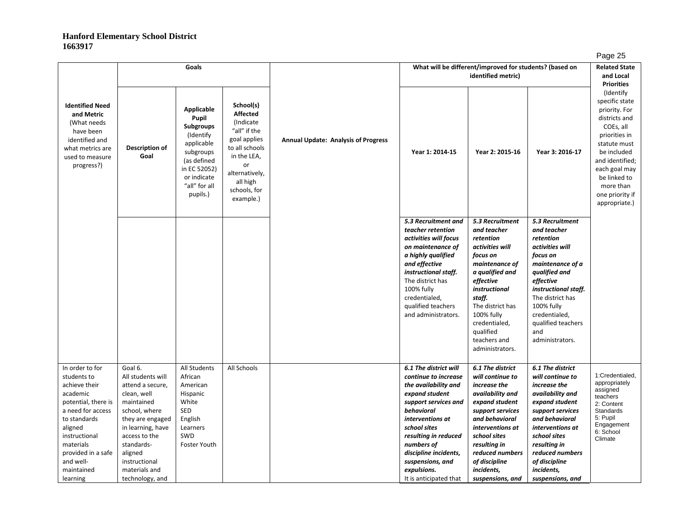|                                                                                                                                                                                                                               |                                                                                                                                                                                                                                        | Goals                                                                                                                                                      |                                                                                                                                                                             |                                            |                                                                                                                                                                                                                                                                                               | What will be different/improved for students? (based on<br>identified metric)                                                                                                                                                                              |                                                                                                                                                                                                                                                            | ັ<br><b>Related State</b><br>and Local                                                                                                                                                                                                                |
|-------------------------------------------------------------------------------------------------------------------------------------------------------------------------------------------------------------------------------|----------------------------------------------------------------------------------------------------------------------------------------------------------------------------------------------------------------------------------------|------------------------------------------------------------------------------------------------------------------------------------------------------------|-----------------------------------------------------------------------------------------------------------------------------------------------------------------------------|--------------------------------------------|-----------------------------------------------------------------------------------------------------------------------------------------------------------------------------------------------------------------------------------------------------------------------------------------------|------------------------------------------------------------------------------------------------------------------------------------------------------------------------------------------------------------------------------------------------------------|------------------------------------------------------------------------------------------------------------------------------------------------------------------------------------------------------------------------------------------------------------|-------------------------------------------------------------------------------------------------------------------------------------------------------------------------------------------------------------------------------------------------------|
| <b>Identified Need</b><br>and Metric<br>(What needs<br>have been<br>identified and<br>what metrics are<br>used to measure<br>progress?)                                                                                       | Description of<br>Goal                                                                                                                                                                                                                 | Applicable<br>Pupil<br><b>Subgroups</b><br>(Identify<br>applicable<br>subgroups<br>(as defined<br>in EC 52052)<br>or indicate<br>"all" for all<br>pupils.) | School(s)<br><b>Affected</b><br>(Indicate<br>"all" if the<br>goal applies<br>to all schools<br>in the LEA,<br>or<br>alternatively,<br>all high<br>schools, for<br>example.) | <b>Annual Update: Analysis of Progress</b> | Year 1: 2014-15                                                                                                                                                                                                                                                                               | Year 2: 2015-16                                                                                                                                                                                                                                            | Year 3: 2016-17                                                                                                                                                                                                                                            | <b>Priorities</b><br>(Identify)<br>specific state<br>priority. For<br>districts and<br>COEs, all<br>priorities in<br>statute must<br>be included<br>and identified;<br>each goal may<br>be linked to<br>more than<br>one priority if<br>appropriate.) |
|                                                                                                                                                                                                                               |                                                                                                                                                                                                                                        |                                                                                                                                                            |                                                                                                                                                                             |                                            | 5.3 Recruitment and<br>teacher retention<br>activities will focus<br>on maintenance of<br>a highly qualified<br>and effective<br>instructional staff.<br>The district has<br>100% fully<br>credentialed,<br>qualified teachers<br>and administrators.                                         | 5.3 Recruitment<br>and teacher<br>retention<br>activities will<br>focus on<br>maintenance of<br>a qualified and<br>effective<br>instructional<br>staff.<br>The district has<br>100% fully<br>credentialed,<br>qualified<br>teachers and<br>administrators. | 5.3 Recruitment<br>and teacher<br>retention<br>activities will<br>focus on<br>maintenance of a<br>qualified and<br>effective<br>instructional staff.<br>The district has<br>100% fully<br>credentialed,<br>qualified teachers<br>and<br>administrators.    |                                                                                                                                                                                                                                                       |
| In order to for<br>students to<br>achieve their<br>academic<br>potential, there is<br>a need for access<br>to standards<br>aligned<br>instructional<br>materials<br>provided in a safe<br>and well-<br>maintained<br>learning | Goal 6.<br>All students will<br>attend a secure,<br>clean, well<br>maintained<br>school, where<br>they are engaged<br>in learning, have<br>access to the<br>standards-<br>aligned<br>instructional<br>materials and<br>technology, and | All Students<br>African<br>American<br>Hispanic<br>White<br><b>SED</b><br>English<br>Learners<br>SWD<br><b>Foster Youth</b>                                | All Schools                                                                                                                                                                 |                                            | 6.1 The district will<br>continue to increase<br>the availability and<br>expand student<br>support services and<br>behavioral<br>interventions at<br>school sites<br>resulting in reduced<br>numbers of<br>discipline incidents,<br>suspensions, and<br>expulsions.<br>It is anticipated that | 6.1 The district<br>will continue to<br>increase the<br>availability and<br>expand student<br>support services<br>and behavioral<br>interventions at<br>school sites<br>resulting in<br>reduced numbers<br>of discipline<br>incidents,<br>suspensions, and | 6.1 The district<br>will continue to<br>increase the<br>availability and<br>expand student<br>support services<br>and behavioral<br>interventions at<br>school sites<br>resulting in<br>reduced numbers<br>of discipline<br>incidents,<br>suspensions, and | 1:Credentialed,<br>appropriately<br>assigned<br>teachers<br>2: Content<br><b>Standards</b><br>5: Pupil<br>Engagement<br>6: School<br>Climate                                                                                                          |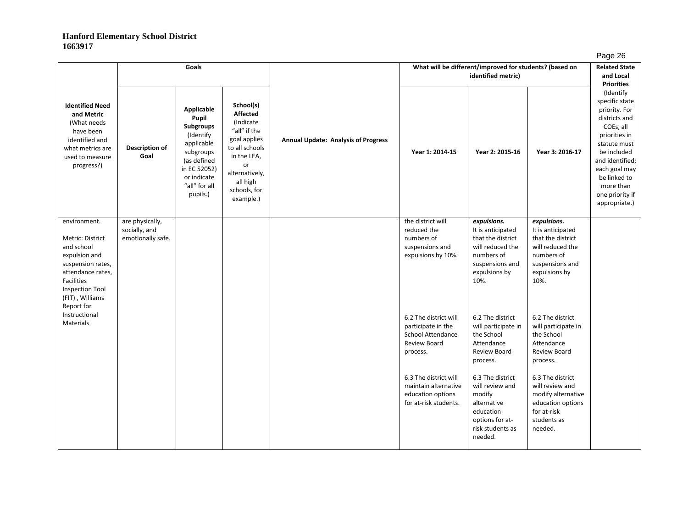|                                                                                                                                                                      |                                                       | Goals                                                                                                                                               |                                                                                                                                                                             |                                            | What will be different/improved for students? (based on                                             | . ugu -u<br><b>Related State</b><br>and Local                                                                                       |                                                                                                                                     |                                                                                                                                                                                                                                                      |
|----------------------------------------------------------------------------------------------------------------------------------------------------------------------|-------------------------------------------------------|-----------------------------------------------------------------------------------------------------------------------------------------------------|-----------------------------------------------------------------------------------------------------------------------------------------------------------------------------|--------------------------------------------|-----------------------------------------------------------------------------------------------------|-------------------------------------------------------------------------------------------------------------------------------------|-------------------------------------------------------------------------------------------------------------------------------------|------------------------------------------------------------------------------------------------------------------------------------------------------------------------------------------------------------------------------------------------------|
| <b>Identified Need</b><br>and Metric<br>(What needs<br>have been<br>identified and<br>what metrics are<br>used to measure<br>progress?)                              | <b>Description of</b><br>Goal                         | Applicable<br>Pupil<br>Subgroups<br>(Identify<br>applicable<br>subgroups<br>(as defined<br>in EC 52052)<br>or indicate<br>"all" for all<br>pupils.) | School(s)<br><b>Affected</b><br>(Indicate<br>"all" if the<br>goal applies<br>to all schools<br>in the LEA,<br>or<br>alternatively,<br>all high<br>schools, for<br>example.) | <b>Annual Update: Analysis of Progress</b> | Year 1: 2014-15                                                                                     | Year 2: 2015-16                                                                                                                     | Year 3: 2016-17                                                                                                                     | <b>Priorities</b><br>(Identify<br>specific state<br>priority. For<br>districts and<br>COEs, all<br>priorities in<br>statute must<br>be included<br>and identified;<br>each goal may<br>be linked to<br>more than<br>one priority if<br>appropriate.) |
| environment.<br>Metric: District<br>and school<br>expulsion and<br>suspension rates,<br>attendance rates,<br>Facilities<br><b>Inspection Tool</b><br>(FIT), Williams | are physically,<br>socially, and<br>emotionally safe. |                                                                                                                                                     |                                                                                                                                                                             |                                            | the district will<br>reduced the<br>numbers of<br>suspensions and<br>expulsions by 10%.             | expulsions.<br>It is anticipated<br>that the district<br>will reduced the<br>numbers of<br>suspensions and<br>expulsions by<br>10%. | expulsions.<br>It is anticipated<br>that the district<br>will reduced the<br>numbers of<br>suspensions and<br>expulsions by<br>10%. |                                                                                                                                                                                                                                                      |
| Report for<br>Instructional<br>Materials                                                                                                                             |                                                       |                                                                                                                                                     |                                                                                                                                                                             |                                            | 6.2 The district will<br>participate in the<br><b>School Attendance</b><br>Review Board<br>process. | 6.2 The district<br>will participate in<br>the School<br>Attendance<br>Review Board<br>process.                                     | 6.2 The district<br>will participate in<br>the School<br>Attendance<br>Review Board<br>process.                                     |                                                                                                                                                                                                                                                      |
|                                                                                                                                                                      |                                                       |                                                                                                                                                     |                                                                                                                                                                             |                                            | 6.3 The district will<br>maintain alternative<br>education options<br>for at-risk students.         | 6.3 The district<br>will review and<br>modify<br>alternative<br>education<br>options for at-<br>risk students as<br>needed.         | 6.3 The district<br>will review and<br>modify alternative<br>education options<br>for at-risk<br>students as<br>needed.             |                                                                                                                                                                                                                                                      |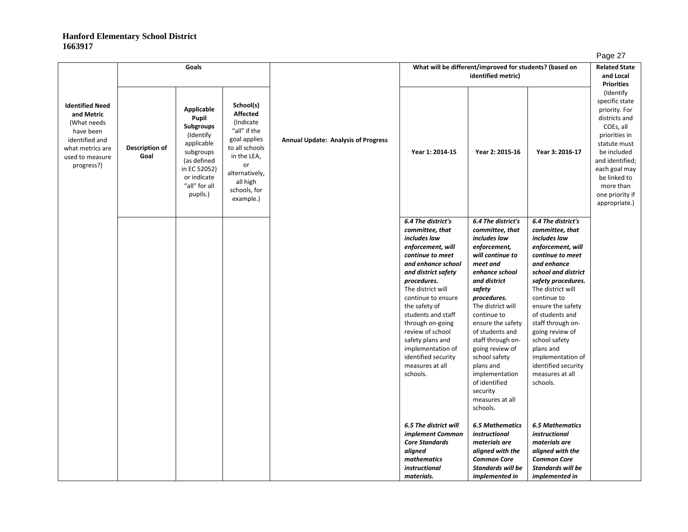| r |  |
|---|--|
|   |  |

|                                                                                                                                         |                        | Goals                                                                                                                                               |                                                                                                                                                                             |                                            |                                                                                                                                                                                                                                                                                                                                                                                     | What will be different/improved for students? (based on                                                                                                                                                                                                                                                                                                                                          |                                                                                                                                                                                                                                                                                                                                                                                         | <b>Related State</b>                                                                                                                                                                                                                                 |
|-----------------------------------------------------------------------------------------------------------------------------------------|------------------------|-----------------------------------------------------------------------------------------------------------------------------------------------------|-----------------------------------------------------------------------------------------------------------------------------------------------------------------------------|--------------------------------------------|-------------------------------------------------------------------------------------------------------------------------------------------------------------------------------------------------------------------------------------------------------------------------------------------------------------------------------------------------------------------------------------|--------------------------------------------------------------------------------------------------------------------------------------------------------------------------------------------------------------------------------------------------------------------------------------------------------------------------------------------------------------------------------------------------|-----------------------------------------------------------------------------------------------------------------------------------------------------------------------------------------------------------------------------------------------------------------------------------------------------------------------------------------------------------------------------------------|------------------------------------------------------------------------------------------------------------------------------------------------------------------------------------------------------------------------------------------------------|
|                                                                                                                                         |                        |                                                                                                                                                     |                                                                                                                                                                             |                                            |                                                                                                                                                                                                                                                                                                                                                                                     | identified metric)                                                                                                                                                                                                                                                                                                                                                                               |                                                                                                                                                                                                                                                                                                                                                                                         | and Local                                                                                                                                                                                                                                            |
| <b>Identified Need</b><br>and Metric<br>(What needs<br>have been<br>identified and<br>what metrics are<br>used to measure<br>progress?) | Description of<br>Goal | Applicable<br>Pupil<br>Subgroups<br>(Identify<br>applicable<br>subgroups<br>(as defined<br>in EC 52052)<br>or indicate<br>"all" for all<br>pupils.) | School(s)<br><b>Affected</b><br>(Indicate<br>"all" if the<br>goal applies<br>to all schools<br>in the LEA,<br>or<br>alternatively,<br>all high<br>schools, for<br>example.) | <b>Annual Update: Analysis of Progress</b> | Year 1: 2014-15                                                                                                                                                                                                                                                                                                                                                                     | Year 2: 2015-16                                                                                                                                                                                                                                                                                                                                                                                  | Year 3: 2016-17                                                                                                                                                                                                                                                                                                                                                                         | <b>Priorities</b><br>(Identify<br>specific state<br>priority. For<br>districts and<br>COEs, all<br>priorities in<br>statute must<br>be included<br>and identified;<br>each goal may<br>be linked to<br>more than<br>one priority if<br>appropriate.) |
|                                                                                                                                         |                        |                                                                                                                                                     |                                                                                                                                                                             |                                            | 6.4 The district's<br>committee, that<br>includes law<br>enforcement, will<br>continue to meet<br>and enhance school<br>and district safety<br>procedures.<br>The district will<br>continue to ensure<br>the safety of<br>students and staff<br>through on-going<br>review of school<br>safety plans and<br>implementation of<br>identified security<br>measures at all<br>schools. | 6.4 The district's<br>committee, that<br>includes law<br>enforcement,<br>will continue to<br>meet and<br>enhance school<br>and district<br>safety<br>procedures.<br>The district will<br>continue to<br>ensure the safety<br>of students and<br>staff through on-<br>going review of<br>school safety<br>plans and<br>implementation<br>of identified<br>security<br>measures at all<br>schools. | 6.4 The district's<br>committee, that<br>includes law<br>enforcement, will<br>continue to meet<br>and enhance<br>school and district<br>safety procedures.<br>The district will<br>continue to<br>ensure the safety<br>of students and<br>staff through on-<br>going review of<br>school safety<br>plans and<br>implementation of<br>identified security<br>measures at all<br>schools. |                                                                                                                                                                                                                                                      |
|                                                                                                                                         |                        |                                                                                                                                                     |                                                                                                                                                                             |                                            | 6.5 The district will<br>implement Common<br><b>Core Standards</b><br>aligned<br>mathematics<br><i>instructional</i><br>materials.                                                                                                                                                                                                                                                  | <b>6.5 Mathematics</b><br>instructional<br>materials are<br>aligned with the<br><b>Common Core</b><br><b>Standards will be</b><br>implemented in                                                                                                                                                                                                                                                 | <b>6.5 Mathematics</b><br>instructional<br>materials are<br>aligned with the<br><b>Common Core</b><br><b>Standards will be</b><br>implemented in                                                                                                                                                                                                                                        |                                                                                                                                                                                                                                                      |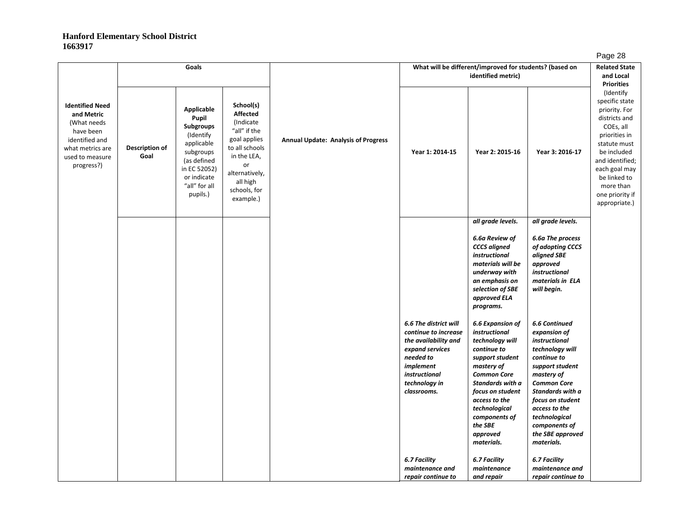|                                                                                                                                         |                        | Goals                                                                                                                                               |                                                                                                                                                                             |                                            |                                                                                                                                                                     | What will be different/improved for students? (based on<br>identified metric)                                                                                                                                                                              |                                                                                                                                                                                                                                                                             | −ອ−<br><b>Related State</b><br>and Local                                                                                                                                                                                                             |
|-----------------------------------------------------------------------------------------------------------------------------------------|------------------------|-----------------------------------------------------------------------------------------------------------------------------------------------------|-----------------------------------------------------------------------------------------------------------------------------------------------------------------------------|--------------------------------------------|---------------------------------------------------------------------------------------------------------------------------------------------------------------------|------------------------------------------------------------------------------------------------------------------------------------------------------------------------------------------------------------------------------------------------------------|-----------------------------------------------------------------------------------------------------------------------------------------------------------------------------------------------------------------------------------------------------------------------------|------------------------------------------------------------------------------------------------------------------------------------------------------------------------------------------------------------------------------------------------------|
| <b>Identified Need</b><br>and Metric<br>(What needs<br>have been<br>identified and<br>what metrics are<br>used to measure<br>progress?) | Description of<br>Goal | Applicable<br>Pupil<br>Subgroups<br>(Identify<br>applicable<br>subgroups<br>(as defined<br>in EC 52052)<br>or indicate<br>"all" for all<br>pupils.) | School(s)<br><b>Affected</b><br>(Indicate<br>"all" if the<br>goal applies<br>to all schools<br>in the LEA,<br>or<br>alternatively,<br>all high<br>schools, for<br>example.) | <b>Annual Update: Analysis of Progress</b> | Year 1: 2014-15                                                                                                                                                     | Year 2: 2015-16                                                                                                                                                                                                                                            | Year 3: 2016-17                                                                                                                                                                                                                                                             | <b>Priorities</b><br>(Identify<br>specific state<br>priority. For<br>districts and<br>COEs, all<br>priorities in<br>statute must<br>be included<br>and identified;<br>each goal may<br>be linked to<br>more than<br>one priority if<br>appropriate.) |
|                                                                                                                                         |                        |                                                                                                                                                     |                                                                                                                                                                             |                                            |                                                                                                                                                                     | all grade levels.                                                                                                                                                                                                                                          | all grade levels.                                                                                                                                                                                                                                                           |                                                                                                                                                                                                                                                      |
|                                                                                                                                         |                        |                                                                                                                                                     |                                                                                                                                                                             |                                            |                                                                                                                                                                     | 6.6a Review of<br><b>CCCS</b> aligned<br>instructional<br>materials will be<br>underway with<br>an emphasis on<br>selection of SBE<br>approved ELA<br>programs.                                                                                            | 6.6a The process<br>of adopting CCCS<br>aligned SBE<br>approved<br><i>instructional</i><br>materials in ELA<br>will begin.                                                                                                                                                  |                                                                                                                                                                                                                                                      |
|                                                                                                                                         |                        |                                                                                                                                                     |                                                                                                                                                                             |                                            | 6.6 The district will<br>continue to increase<br>the availability and<br>expand services<br>needed to<br>implement<br>instructional<br>technology in<br>classrooms. | 6.6 Expansion of<br>instructional<br>technology will<br>continue to<br>support student<br>mastery of<br><b>Common Core</b><br>Standards with a<br>focus on student<br>access to the<br>technological<br>components of<br>the SBE<br>approved<br>materials. | <b>6.6 Continued</b><br>expansion of<br>instructional<br>technology will<br>continue to<br>support student<br>mastery of<br><b>Common Core</b><br>Standards with a<br>focus on student<br>access to the<br>technological<br>components of<br>the SBE approved<br>materials. |                                                                                                                                                                                                                                                      |
|                                                                                                                                         |                        |                                                                                                                                                     |                                                                                                                                                                             |                                            | 6.7 Facility<br>maintenance and<br>repair continue to                                                                                                               | 6.7 Facility<br>maintenance<br>and repair                                                                                                                                                                                                                  | 6.7 Facility<br>maintenance and<br>repair continue to                                                                                                                                                                                                                       |                                                                                                                                                                                                                                                      |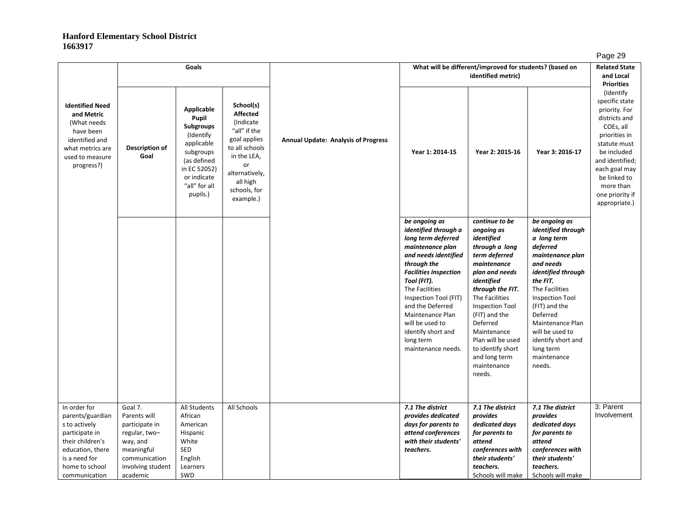|                                                                                                                                                                 |                                                                                                                                        | Goals                                                                                                                                                       |                                                                                                                                                                             |                                            |                                                                                                                                                                                                                                                                                                                                      | What will be different/improved for students? (based on                                                                                                                                                                                                                                                               |                                                                                                                                                                                                                                                                                                        | ∙ ອ−<br><b>Related State</b>                                                                                                                                                                                                    |
|-----------------------------------------------------------------------------------------------------------------------------------------------------------------|----------------------------------------------------------------------------------------------------------------------------------------|-------------------------------------------------------------------------------------------------------------------------------------------------------------|-----------------------------------------------------------------------------------------------------------------------------------------------------------------------------|--------------------------------------------|--------------------------------------------------------------------------------------------------------------------------------------------------------------------------------------------------------------------------------------------------------------------------------------------------------------------------------------|-----------------------------------------------------------------------------------------------------------------------------------------------------------------------------------------------------------------------------------------------------------------------------------------------------------------------|--------------------------------------------------------------------------------------------------------------------------------------------------------------------------------------------------------------------------------------------------------------------------------------------------------|---------------------------------------------------------------------------------------------------------------------------------------------------------------------------------------------------------------------------------|
|                                                                                                                                                                 |                                                                                                                                        |                                                                                                                                                             |                                                                                                                                                                             |                                            |                                                                                                                                                                                                                                                                                                                                      | identified metric)                                                                                                                                                                                                                                                                                                    |                                                                                                                                                                                                                                                                                                        | and Local<br><b>Priorities</b>                                                                                                                                                                                                  |
| <b>Identified Need</b><br>and Metric<br>(What needs)<br>have been<br>identified and<br>what metrics are<br>used to measure<br>progress?)                        | Description of<br>Goal                                                                                                                 | Applicable<br>Pupil<br><b>Subgroups</b><br>(Identify)<br>applicable<br>subgroups<br>(as defined<br>in EC 52052)<br>or indicate<br>"all" for all<br>pupils.) | School(s)<br><b>Affected</b><br>(Indicate<br>"all" if the<br>goal applies<br>to all schools<br>in the LEA,<br>or<br>alternatively,<br>all high<br>schools, for<br>example.) | <b>Annual Update: Analysis of Progress</b> | Year 1: 2014-15                                                                                                                                                                                                                                                                                                                      | Year 2: 2015-16                                                                                                                                                                                                                                                                                                       | Year 3: 2016-17                                                                                                                                                                                                                                                                                        | (Identify<br>specific state<br>priority. For<br>districts and<br>COEs, all<br>priorities in<br>statute must<br>be included<br>and identified;<br>each goal may<br>be linked to<br>more than<br>one priority if<br>appropriate.) |
|                                                                                                                                                                 |                                                                                                                                        |                                                                                                                                                             |                                                                                                                                                                             |                                            | be ongoing as<br>identified through a<br>long term deferred<br>maintenance plan<br>and needs identified<br>through the<br><b>Facilities Inspection</b><br>Tool (FIT).<br>The Facilities<br>Inspection Tool (FIT)<br>and the Deferred<br>Maintenance Plan<br>will be used to<br>identify short and<br>long term<br>maintenance needs. | continue to be<br>ongoing as<br>identified<br>through a long<br>term deferred<br>maintenance<br>plan and needs<br>identified<br>through the FIT.<br>The Facilities<br>Inspection Tool<br>(FIT) and the<br>Deferred<br>Maintenance<br>Plan will be used<br>to identify short<br>and long term<br>maintenance<br>needs. | be ongoing as<br>identified through<br>a long term<br>deferred<br>maintenance plan<br>and needs<br>identified through<br>the FIT.<br>The Facilities<br>Inspection Tool<br>(FIT) and the<br>Deferred<br>Maintenance Plan<br>will be used to<br>identify short and<br>long term<br>maintenance<br>needs. |                                                                                                                                                                                                                                 |
| In order for<br>parents/guardian<br>s to actively<br>participate in<br>their children's<br>education, there<br>is a need for<br>home to school<br>communication | Goal 7.<br>Parents will<br>participate in<br>regular, two-<br>way, and<br>meaningful<br>communication<br>involving student<br>academic | <b>All Students</b><br>African<br>American<br>Hispanic<br>White<br>SED<br>English<br>Learners<br>SWD                                                        | All Schools                                                                                                                                                                 |                                            | 7.1 The district<br>provides dedicated<br>days for parents to<br>attend conferences<br>with their students'<br>teachers.                                                                                                                                                                                                             | 7.1 The district<br>provides<br>dedicated days<br>for parents to<br>attend<br>conferences with<br>their students'<br>teachers.<br>Schools will make                                                                                                                                                                   | 7.1 The district<br>provides<br>dedicated days<br>for parents to<br>attend<br>conferences with<br>their students'<br>teachers.<br>Schools will make                                                                                                                                                    | 3: Parent<br>Involvement                                                                                                                                                                                                        |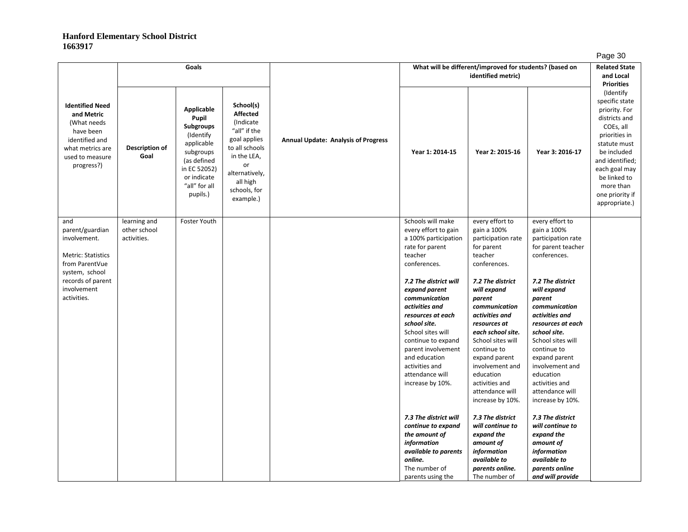|                                                                                                                                          |                                             |                                                                                                                                                            |                                                                                                                                                                             |                                            |                                                                                                                                                                                                                                                           |                                                                                                                                                                                                                                                                 |                                                                                                                                                                                                                                                                 | . ugo oo                                                                                                                                                                                                                         |
|------------------------------------------------------------------------------------------------------------------------------------------|---------------------------------------------|------------------------------------------------------------------------------------------------------------------------------------------------------------|-----------------------------------------------------------------------------------------------------------------------------------------------------------------------------|--------------------------------------------|-----------------------------------------------------------------------------------------------------------------------------------------------------------------------------------------------------------------------------------------------------------|-----------------------------------------------------------------------------------------------------------------------------------------------------------------------------------------------------------------------------------------------------------------|-----------------------------------------------------------------------------------------------------------------------------------------------------------------------------------------------------------------------------------------------------------------|----------------------------------------------------------------------------------------------------------------------------------------------------------------------------------------------------------------------------------|
|                                                                                                                                          |                                             | Goals                                                                                                                                                      |                                                                                                                                                                             |                                            |                                                                                                                                                                                                                                                           | What will be different/improved for students? (based on<br>identified metric)                                                                                                                                                                                   |                                                                                                                                                                                                                                                                 | <b>Related State</b><br>and Local<br><b>Priorities</b>                                                                                                                                                                           |
| <b>Identified Need</b><br>and Metric<br>(What needs)<br>have been<br>identified and<br>what metrics are<br>used to measure<br>progress?) | Description of<br>Goal                      | Applicable<br>Pupil<br><b>Subgroups</b><br>(Identify<br>applicable<br>subgroups<br>(as defined<br>in EC 52052)<br>or indicate<br>"all" for all<br>pupils.) | School(s)<br><b>Affected</b><br>(Indicate<br>"all" if the<br>goal applies<br>to all schools<br>in the LEA,<br>or<br>alternatively,<br>all high<br>schools, for<br>example.) | <b>Annual Update: Analysis of Progress</b> | Year 1: 2014-15                                                                                                                                                                                                                                           | Year 2: 2015-16                                                                                                                                                                                                                                                 | Year 3: 2016-17                                                                                                                                                                                                                                                 | (Identify)<br>specific state<br>priority. For<br>districts and<br>COEs, all<br>priorities in<br>statute must<br>be included<br>and identified;<br>each goal may<br>be linked to<br>more than<br>one priority if<br>appropriate.) |
| and<br>parent/guardian<br>involvement.<br><b>Metric: Statistics</b><br>from ParentVue                                                    | learning and<br>other school<br>activities. | Foster Youth                                                                                                                                               |                                                                                                                                                                             |                                            | Schools will make<br>every effort to gain<br>a 100% participation<br>rate for parent<br>teacher<br>conferences.                                                                                                                                           | every effort to<br>gain a 100%<br>participation rate<br>for parent<br>teacher<br>conferences.                                                                                                                                                                   | every effort to<br>gain a 100%<br>participation rate<br>for parent teacher<br>conferences.                                                                                                                                                                      |                                                                                                                                                                                                                                  |
| system, school<br>records of parent<br>involvement<br>activities.                                                                        |                                             |                                                                                                                                                            |                                                                                                                                                                             |                                            | 7.2 The district will<br>expand parent<br>communication<br>activities and<br>resources at each<br>school site.<br>School sites will<br>continue to expand<br>parent involvement<br>and education<br>activities and<br>attendance will<br>increase by 10%. | 7.2 The district<br>will expand<br>parent<br>communication<br>activities and<br>resources at<br>each school site.<br>School sites will<br>continue to<br>expand parent<br>involvement and<br>education<br>activities and<br>attendance will<br>increase by 10%. | 7.2 The district<br>will expand<br>parent<br>communication<br>activities and<br>resources at each<br>school site.<br>School sites will<br>continue to<br>expand parent<br>involvement and<br>education<br>activities and<br>attendance will<br>increase by 10%. |                                                                                                                                                                                                                                  |
|                                                                                                                                          |                                             |                                                                                                                                                            |                                                                                                                                                                             |                                            | 7.3 The district will<br>continue to expand<br>the amount of<br>information<br>available to parents<br>online.<br>The number of<br>parents using the                                                                                                      | 7.3 The district<br>will continue to<br>expand the<br>amount of<br>information<br>available to<br>parents online.<br>The number of                                                                                                                              | 7.3 The district<br>will continue to<br>expand the<br>amount of<br>information<br>available to<br>parents online<br>and will provide                                                                                                                            |                                                                                                                                                                                                                                  |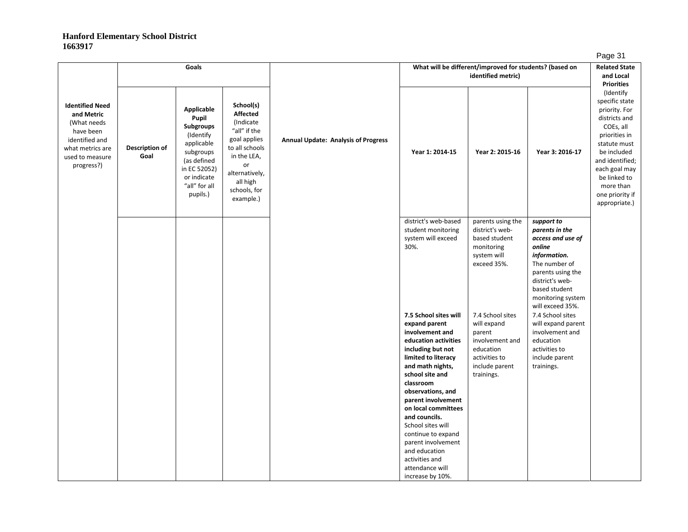|                                                                                                                                         |                        | Goals                                                                                                                                                      |                                                                                                                                                                              |                                            |                                                                                                                                                                                                                                                     | What will be different/improved for students? (based on<br>identified metric)                                              |                                                                                                                                                                                                | - - - -<br><b>Related State</b><br>and Local<br><b>Priorities</b>                                                                                                                                                               |
|-----------------------------------------------------------------------------------------------------------------------------------------|------------------------|------------------------------------------------------------------------------------------------------------------------------------------------------------|------------------------------------------------------------------------------------------------------------------------------------------------------------------------------|--------------------------------------------|-----------------------------------------------------------------------------------------------------------------------------------------------------------------------------------------------------------------------------------------------------|----------------------------------------------------------------------------------------------------------------------------|------------------------------------------------------------------------------------------------------------------------------------------------------------------------------------------------|---------------------------------------------------------------------------------------------------------------------------------------------------------------------------------------------------------------------------------|
| <b>Identified Need</b><br>and Metric<br>(What needs<br>have been<br>identified and<br>what metrics are<br>used to measure<br>progress?) | Description of<br>Goal | Applicable<br>Pupil<br><b>Subgroups</b><br>(Identify<br>applicable<br>subgroups<br>(as defined<br>in EC 52052)<br>or indicate<br>"all" for all<br>pupils.) | School(s)<br><b>Affected</b><br>(Indicate)<br>"all" if the<br>goal applies<br>to all schools<br>in the LEA,<br>or<br>alternatively,<br>all high<br>schools, for<br>example.) | <b>Annual Update: Analysis of Progress</b> | Year 1: 2014-15                                                                                                                                                                                                                                     | Year 2: 2015-16                                                                                                            | Year 3: 2016-17                                                                                                                                                                                | (Identify<br>specific state<br>priority. For<br>districts and<br>COEs, all<br>priorities in<br>statute must<br>be included<br>and identified;<br>each goal may<br>be linked to<br>more than<br>one priority if<br>appropriate.) |
|                                                                                                                                         |                        |                                                                                                                                                            |                                                                                                                                                                              |                                            | district's web-based<br>student monitoring<br>system will exceed<br>30%.                                                                                                                                                                            | parents using the<br>district's web-<br>based student<br>monitoring<br>system will<br>exceed 35%.                          | support to<br>parents in the<br>access and use of<br>online<br>information.<br>The number of<br>parents using the<br>district's web-<br>based student<br>monitoring system<br>will exceed 35%. |                                                                                                                                                                                                                                 |
|                                                                                                                                         |                        |                                                                                                                                                            |                                                                                                                                                                              |                                            | 7.5 School sites will<br>expand parent<br>involvement and<br>education activities<br>including but not<br>limited to literacy<br>and math nights,<br>school site and<br>classroom<br>observations, and<br>parent involvement<br>on local committees | 7.4 School sites<br>will expand<br>parent<br>involvement and<br>education<br>activities to<br>include parent<br>trainings. | 7.4 School sites<br>will expand parent<br>involvement and<br>education<br>activities to<br>include parent<br>trainings.                                                                        |                                                                                                                                                                                                                                 |
|                                                                                                                                         |                        |                                                                                                                                                            |                                                                                                                                                                              |                                            | and councils.<br>School sites will<br>continue to expand<br>parent involvement<br>and education<br>activities and<br>attendance will<br>increase by 10%.                                                                                            |                                                                                                                            |                                                                                                                                                                                                |                                                                                                                                                                                                                                 |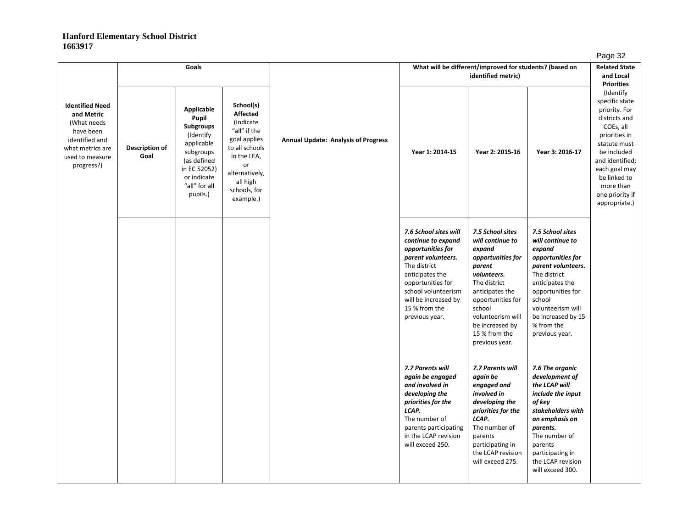|                                                                                                                                         |                        | Goals                                                                                                                                               |                                                                                                                                                                             |                                            |                                                                                                                                                                                                                                  | What will be different/improved for students? (based on<br>identified metric)                                                                                                                                                             |                                                                                                                                                                                                                                        | . ugu u<br><b>Related State</b><br>and Local<br><b>Priorities</b>                                                                                                                                                               |
|-----------------------------------------------------------------------------------------------------------------------------------------|------------------------|-----------------------------------------------------------------------------------------------------------------------------------------------------|-----------------------------------------------------------------------------------------------------------------------------------------------------------------------------|--------------------------------------------|----------------------------------------------------------------------------------------------------------------------------------------------------------------------------------------------------------------------------------|-------------------------------------------------------------------------------------------------------------------------------------------------------------------------------------------------------------------------------------------|----------------------------------------------------------------------------------------------------------------------------------------------------------------------------------------------------------------------------------------|---------------------------------------------------------------------------------------------------------------------------------------------------------------------------------------------------------------------------------|
| <b>Identified Need</b><br>and Metric<br>(What needs<br>have been<br>identified and<br>what metrics are<br>used to measure<br>progress?) | Description of<br>Goal | Applicable<br>Pupil<br>Subgroups<br>(Identify<br>applicable<br>subgroups<br>(as defined<br>in EC 52052)<br>or indicate<br>"all" for all<br>pupils.) | School(s)<br><b>Affected</b><br>(Indicate<br>"all" if the<br>goal applies<br>to all schools<br>in the LEA,<br>or<br>alternatively,<br>all high<br>schools, for<br>example.) | <b>Annual Update: Analysis of Progress</b> | Year 1: 2014-15                                                                                                                                                                                                                  | Year 2: 2015-16                                                                                                                                                                                                                           | Year 3: 2016-17                                                                                                                                                                                                                        | (Identify<br>specific state<br>priority. For<br>districts and<br>COEs, all<br>priorities in<br>statute must<br>be included<br>and identified;<br>each goal may<br>be linked to<br>more than<br>one priority if<br>appropriate.) |
|                                                                                                                                         |                        |                                                                                                                                                     |                                                                                                                                                                             |                                            | 7.6 School sites will<br>continue to expand<br>opportunities for<br>parent volunteers.<br>The district<br>anticipates the<br>opportunities for<br>school volunteerism<br>will be increased by<br>15 % from the<br>previous year. | 7.5 School sites<br>will continue to<br>expand<br>opportunities for<br>parent<br>volunteers.<br>The district<br>anticipates the<br>opportunities for<br>school<br>volunteerism will<br>be increased by<br>15 % from the<br>previous year. | 7.5 School sites<br>will continue to<br>expand<br>opportunities for<br>parent volunteers.<br>The district<br>anticipates the<br>opportunities for<br>school<br>volunteerism will<br>be increased by 15<br>% from the<br>previous year. |                                                                                                                                                                                                                                 |
|                                                                                                                                         |                        |                                                                                                                                                     |                                                                                                                                                                             |                                            | 7.7 Parents will<br>again be engaged<br>and involved in<br>developing the<br>priorities for the<br>LCAP.<br>The number of<br>parents participating<br>in the LCAP revision<br>will exceed 250.                                   | 7.7 Parents will<br>again be<br>engaged and<br>involved in<br>developing the<br>priorities for the<br>LCAP.<br>The number of<br>parents<br>participating in<br>the LCAP revision<br>will exceed 275.                                      | 7.6 The organic<br>development of<br>the LCAP will<br>include the input<br>of kev<br>stakeholders with<br>an emphasis on<br>parents.<br>The number of<br>parents<br>participating in<br>the LCAP revision<br>will exceed 300.          |                                                                                                                                                                                                                                 |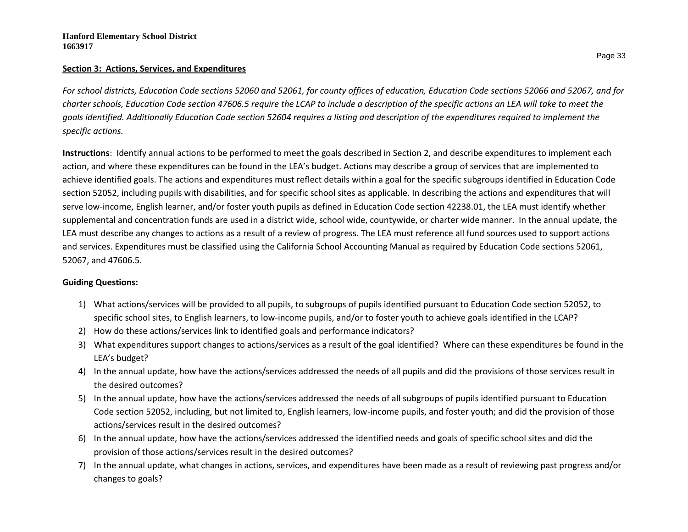#### **Section 3: Actions, Services, and Expenditures**

*For school districts, Education Code sections 52060 and 52061, for county offices of education, Education Code sections 52066 and 52067, and for charter schools, Education Code section 47606.5 require the LCAP to include a description of the specific actions an LEA will take to meet the goals identified. Additionally Education Code section 52604 requires a listing and description of the expenditures required to implement the specific actions.*

**Instructions**: Identify annual actions to be performed to meet the goals described in Section 2, and describe expenditures to implement each action, and where these expenditures can be found in the LEA's budget. Actions may describe a group of services that are implemented to achieve identified goals. The actions and expenditures must reflect details within a goal for the specific subgroups identified in Education Code section 52052, including pupils with disabilities, and for specific school sites as applicable. In describing the actions and expenditures that will serve low-income, English learner, and/or foster youth pupils as defined in Education Code section 42238.01, the LEA must identify whether supplemental and concentration funds are used in a district wide, school wide, countywide, or charter wide manner. In the annual update, the LEA must describe any changes to actions as a result of a review of progress. The LEA must reference all fund sources used to support actions and services. Expenditures must be classified using the California School Accounting Manual as required by Education Code sections 52061, 52067, and 47606.5.

## **Guiding Questions:**

- 1) What actions/services will be provided to all pupils, to subgroups of pupils identified pursuant to Education Code section 52052, to specific school sites, to English learners, to low-income pupils, and/or to foster youth to achieve goals identified in the LCAP?
- 2) How do these actions/services link to identified goals and performance indicators?
- 3) What expenditures support changes to actions/services as a result of the goal identified? Where can these expenditures be found in the LEA's budget?
- 4) In the annual update, how have the actions/services addressed the needs of all pupils and did the provisions of those services result in the desired outcomes?
- 5) In the annual update, how have the actions/services addressed the needs of all subgroups of pupils identified pursuant to Education Code section 52052, including, but not limited to, English learners, low-income pupils, and foster youth; and did the provision of those actions/services result in the desired outcomes?
- 6) In the annual update, how have the actions/services addressed the identified needs and goals of specific school sites and did the provision of those actions/services result in the desired outcomes?
- 7) In the annual update, what changes in actions, services, and expenditures have been made as a result of reviewing past progress and/or changes to goals?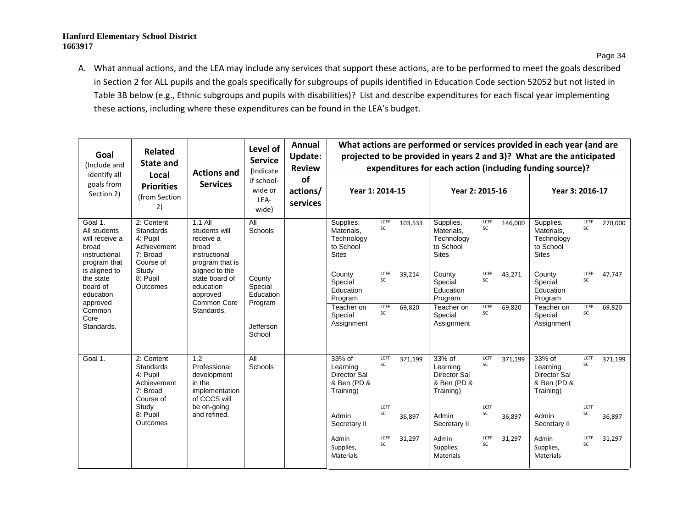A. What annual actions, and the LEA may include any services that support these actions, are to be performed to meet the goals described in Section 2 for ALL pupils and the goals specifically for subgroups of pupils identified in Education Code section 52052 but not listed in Table 3B below (e.g., Ethnic subgroups and pupils with disabilities)? List and describe expenditures for each fiscal year implementing these actions, including where these expenditures can be found in the LEA's budget.

| Goal<br>(Include and                                                                | <b>Related</b><br><b>State and</b>                                                 | <b>Actions and</b>                                                                   | Level of<br><b>Service</b><br>(Indicate   | Annual<br><b>Update:</b><br><b>Review</b> |                                                                    |            |         | What actions are performed or services provided in each year (and are<br>projected to be provided in years 2 and 3)? What are the anticipated<br>expenditures for each action (including funding source)? |            |         |                                                                       |                   |         |
|-------------------------------------------------------------------------------------|------------------------------------------------------------------------------------|--------------------------------------------------------------------------------------|-------------------------------------------|-------------------------------------------|--------------------------------------------------------------------|------------|---------|-----------------------------------------------------------------------------------------------------------------------------------------------------------------------------------------------------------|------------|---------|-----------------------------------------------------------------------|-------------------|---------|
| identify all<br>goals from<br>Section 2)                                            | Local<br><b>Priorities</b><br>(from Section<br>2)                                  | <b>Services</b>                                                                      | if school-<br>wide or<br>LEA-<br>wide)    | <b>of</b><br>actions/<br>services         | Year 1: 2014-15                                                    |            |         | Year 2: 2015-16                                                                                                                                                                                           |            |         | Year 3: 2016-17                                                       |                   |         |
| Goal 1.<br>All students<br>will receive a<br>broad<br>instructional<br>program that | 2: Content<br><b>Standards</b><br>4: Pupil<br>Achievement<br>7: Broad<br>Course of | $1.1$ All<br>students will<br>receive a<br>broad<br>instructional<br>program that is | All<br>Schools                            |                                           | Supplies,<br>Materials.<br>Technology<br>to School<br><b>Sites</b> | LCFF<br>SC | 103,533 | Supplies,<br>Materials.<br>Technology<br>to School<br><b>Sites</b>                                                                                                                                        | LCFF<br>SC | 146,000 | Supplies,<br>Materials.<br>Technology<br>to School<br><b>Sites</b>    | LCFF<br>SC        | 270,000 |
| is aligned to<br>the state<br>board of<br>education<br>approved                     | Study<br>8: Pupil<br>Outcomes                                                      | aligned to the<br>state board of<br>education<br>approved<br>Common Core             | County<br>Special<br>Education<br>Program |                                           | County<br>Special<br>Education<br>Program                          | LCFF<br>SC | 39,214  | County<br>Special<br>Education<br>Program                                                                                                                                                                 | LCFF<br>SC | 43,271  | County<br>Special<br>Education<br>Program                             | LCFF<br>SC        | 47.747  |
| Common<br>Core<br>Standards.                                                        |                                                                                    | Standards.                                                                           | Jefferson<br>School                       |                                           | Teacher on<br>Special<br>Assignment                                | LCFF<br>SC | 69,820  | Teacher on<br>Special<br>Assignment                                                                                                                                                                       | LCFF<br>SC | 69,820  | Teacher on<br>Special<br>Assignment                                   | LCFF<br>SC        | 69,820  |
| Goal 1.                                                                             | 2: Content<br>Standards<br>4: Pupil<br>Achievement<br>7: Broad<br>Course of        | 1.2<br>Professional<br>development<br>in the<br>implementation<br>of CCCS will       | All<br>Schools                            |                                           | 33% of<br>Learning<br>Director Sal<br>& Ben (PD &<br>Training)     | LCFF<br>SC | 371,199 | 33% of<br>Learning<br>Director Sal<br>& Ben (PD &<br>Training)                                                                                                                                            | LCFF<br>SC | 371,199 | 33% of<br>Learning<br><b>Director Sal</b><br>& Ben (PD &<br>Training) | LCFF<br>SC        | 371,199 |
|                                                                                     | Study<br>8: Pupil<br>Outcomes                                                      | be on-going<br>and refined.                                                          |                                           |                                           | Admin<br>Secretary II                                              | LCFF<br>SC | 36,897  | Admin<br>Secretary II                                                                                                                                                                                     | LCFF<br>SC | 36,897  | Admin<br>Secretary II                                                 | LCFF<br>SC        | 36,897  |
|                                                                                     |                                                                                    |                                                                                      |                                           |                                           | Admin<br>Supplies,<br>Materials                                    | LCFF<br>SC | 31,297  | Admin<br>Supplies,<br><b>Materials</b>                                                                                                                                                                    | LCFF<br>SC | 31,297  | Admin<br>Supplies,<br>Materials                                       | LCFF<br><b>SC</b> | 31,297  |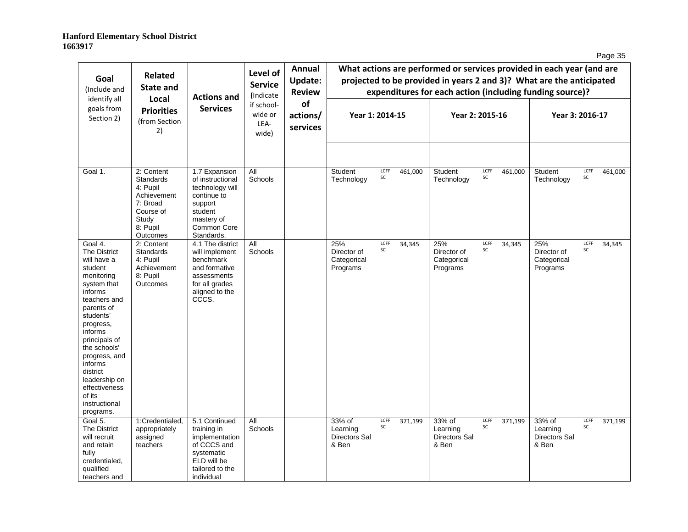| ۱Α<br>łC<br>$\overline{\phantom{a}}$<br>÷ |
|-------------------------------------------|
|-------------------------------------------|

| Goal<br>(Include and                                                                                                                                                                                                                                                                                                          | <b>Related</b><br><b>State and</b>                                                       | <b>Actions and</b>                                                                                                           | Level of<br><b>Service</b><br><i><u><b>Indicate</b></u></i> | Annual<br>Update:<br><b>Review</b> |                                                     |            |         | What actions are performed or services provided in each year (and are<br>projected to be provided in years 2 and 3)? What are the anticipated<br>expenditures for each action (including funding source)? |            |         |                                               |            |         |
|-------------------------------------------------------------------------------------------------------------------------------------------------------------------------------------------------------------------------------------------------------------------------------------------------------------------------------|------------------------------------------------------------------------------------------|------------------------------------------------------------------------------------------------------------------------------|-------------------------------------------------------------|------------------------------------|-----------------------------------------------------|------------|---------|-----------------------------------------------------------------------------------------------------------------------------------------------------------------------------------------------------------|------------|---------|-----------------------------------------------|------------|---------|
| identify all<br>goals from<br>Section 2)                                                                                                                                                                                                                                                                                      | Local<br><b>Priorities</b><br>(from Section<br>2)                                        | <b>Services</b>                                                                                                              | if school-<br>wide or<br>LEA-<br>wide)                      | of<br>actions/<br>services         | Year 1: 2014-15                                     |            |         | Year 2: 2015-16                                                                                                                                                                                           |            |         | Year 3: 2016-17                               |            |         |
| Goal 1.                                                                                                                                                                                                                                                                                                                       | 2: Content<br>Standards<br>4: Pupil                                                      | 1.7 Expansion<br>of instructional<br>technology will                                                                         | All<br>Schools                                              |                                    | Student<br>Technology                               | LCFF<br>SC | 461,000 | Student<br>Technology                                                                                                                                                                                     | LCFF<br>SC | 461,000 | Student<br>Technology                         | LCFF<br>SC | 461,000 |
|                                                                                                                                                                                                                                                                                                                               | Achievement<br>7: Broad<br>Course of<br>Study<br>8: Pupil<br>Outcomes                    | continue to<br>support<br>student<br>mastery of<br>Common Core<br>Standards.                                                 |                                                             |                                    |                                                     |            |         |                                                                                                                                                                                                           |            |         |                                               |            |         |
| Goal 4.<br><b>The District</b><br>will have a<br>student<br>monitoring<br>system that<br>informs<br>teachers and<br>parents of<br>students'<br>progress,<br>informs<br>principals of<br>the schools'<br>progress, and<br><i>informs</i><br>district<br>leadership on<br>effectiveness<br>of its<br>instructional<br>programs. | 2: Content<br><b>Standards</b><br>4: Pupil<br>Achievement<br>8: Pupil<br><b>Outcomes</b> | 4.1 The district<br>will implement<br>benchmark<br>and formative<br>assessments<br>for all grades<br>aligned to the<br>CCCS. | All<br>Schools                                              |                                    | 25%<br>Director of<br>Categorical<br>Programs       | LCFF<br>SC | 34,345  | 25%<br>Director of<br>Categorical<br>Programs                                                                                                                                                             | LCFF<br>SC | 34,345  | 25%<br>Director of<br>Categorical<br>Programs | LCFF<br>SC | 34,345  |
| Goal 5.<br><b>The District</b><br>will recruit<br>and retain<br>fully<br>credentialed,<br>qualified<br>teachers and                                                                                                                                                                                                           | 1:Credentialed.<br>appropriately<br>assigned<br>teachers                                 | 5.1 Continued<br>training in<br>implementation<br>of CCCS and<br>systematic<br>ELD will be<br>tailored to the<br>individual  | All<br>Schools                                              |                                    | 33% of<br>Learning<br><b>Directors Sal</b><br>& Ben | LCFF<br>SC | 371,199 | 33% of<br>Learning<br>Directors Sal<br>& Ben                                                                                                                                                              | LCFF<br>SC | 371,199 | 33% of<br>Learning<br>Directors Sal<br>& Ben  | LCFF<br>SC | 371,199 |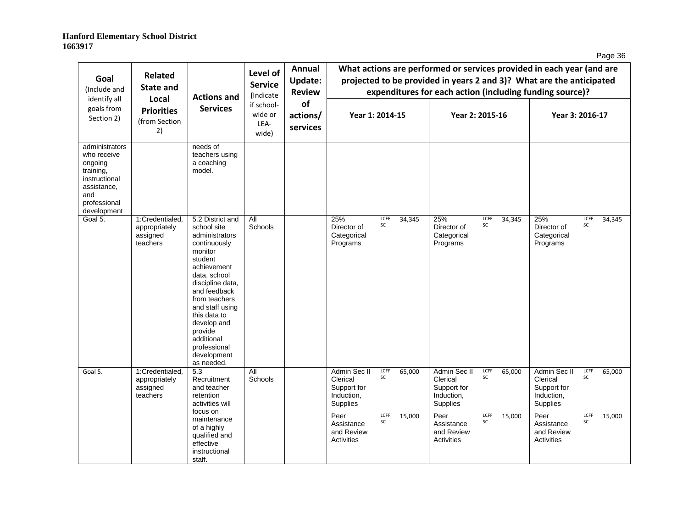| ٩h<br>ane |
|-----------|
|-----------|

| Goal<br>(Include and                                                                                                        | <b>Related</b><br><b>State and</b>                       | <b>Actions and</b>                                                                                                                                                                                                                                                                                  | Level of<br><b>Service</b><br>(Indicate | Annual<br><b>Update:</b><br><b>Review</b> |                                                                   |            |        |                                                                          |            |        | What actions are performed or services provided in each year (and are<br>projected to be provided in years 2 and 3)? What are the anticipated<br>expenditures for each action (including funding source)? |            |        |
|-----------------------------------------------------------------------------------------------------------------------------|----------------------------------------------------------|-----------------------------------------------------------------------------------------------------------------------------------------------------------------------------------------------------------------------------------------------------------------------------------------------------|-----------------------------------------|-------------------------------------------|-------------------------------------------------------------------|------------|--------|--------------------------------------------------------------------------|------------|--------|-----------------------------------------------------------------------------------------------------------------------------------------------------------------------------------------------------------|------------|--------|
| identify all<br>goals from<br>Section 2)                                                                                    | Local<br><b>Priorities</b><br>(from Section<br>2)        | <b>Services</b>                                                                                                                                                                                                                                                                                     | if school-<br>wide or<br>LEA-<br>wide)  | of<br>actions/<br>services                | Year 1: 2014-15                                                   |            |        | Year 2: 2015-16                                                          |            |        | Year 3: 2016-17                                                                                                                                                                                           |            |        |
| administrators<br>who receive<br>ongoing<br>training,<br>instructional<br>assistance,<br>and<br>professional<br>development |                                                          | needs of<br>teachers using<br>a coaching<br>model.                                                                                                                                                                                                                                                  |                                         |                                           |                                                                   |            |        |                                                                          |            |        |                                                                                                                                                                                                           |            |        |
| Goal 5.                                                                                                                     | 1:Credentialed.<br>appropriately<br>assigned<br>teachers | 5.2 District and<br>school site<br>administrators<br>continuously<br>monitor<br>student<br>achievement<br>data, school<br>discipline data,<br>and feedback<br>from teachers<br>and staff using<br>this data to<br>develop and<br>provide<br>additional<br>professional<br>development<br>as needed. | All<br>Schools                          |                                           | 25%<br>Director of<br>Categorical<br>Programs                     | LCFF<br>SC | 34,345 | 25%<br>Director of<br>Categorical<br>Programs                            | LCFF<br>SC | 34,345 | 25%<br>Director of<br>Categorical<br>Programs                                                                                                                                                             | LCFF<br>SC | 34,345 |
| Goal 5.                                                                                                                     | 1:Credentialed,<br>appropriately<br>assigned<br>teachers | $\overline{5.3}$<br>Recruitment<br>and teacher<br>retention<br>activities will                                                                                                                                                                                                                      | <b>All</b><br>Schools                   |                                           | Admin Sec II<br>Clerical<br>Support for<br>Induction,<br>Supplies | LCFF<br>SC | 65,000 | Admin Sec II<br>Clerical<br>Support for<br>Induction,<br><b>Supplies</b> | LCFF<br>SC | 65,000 | Admin Sec II<br>Clerical<br>Support for<br>Induction,<br>Supplies                                                                                                                                         | LCFF<br>SC | 65,000 |
|                                                                                                                             |                                                          | focus on<br>maintenance<br>of a highly<br>qualified and<br>effective<br>instructional<br>staff.                                                                                                                                                                                                     |                                         |                                           | Peer<br>Assistance<br>and Review<br>Activities                    | LCFF<br>SC | 15,000 | Peer<br>Assistance<br>and Review<br>Activities                           | LCFF<br>SC | 15,000 | Peer<br>Assistance<br>and Review<br><b>Activities</b>                                                                                                                                                     | LCFF<br>SC | 15,000 |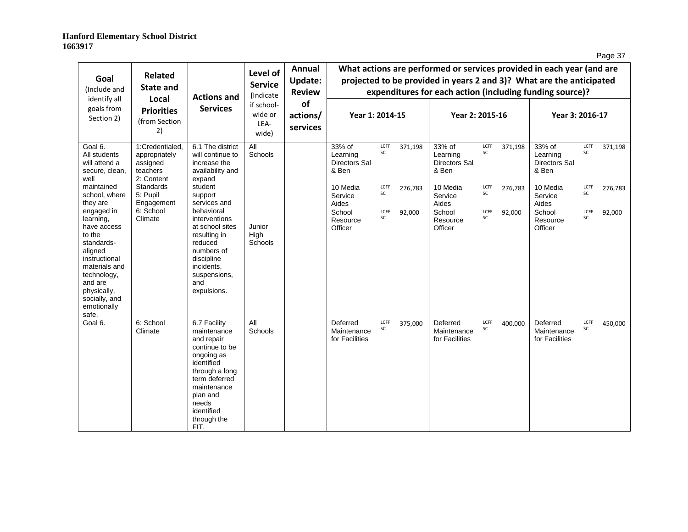| r<br>⊷ |
|--------|
|--------|

| Goal<br>(Include and<br>identify all                                                                                                                                                          | <b>Related</b><br><b>State and</b><br>Local                                  | <b>Actions and</b>                                                                                                                                                                                  | Level of<br><b>Service</b><br>(Indicate | Annual<br><b>Update:</b><br><b>Review</b> |                                                     |            |                 |                                                     |            |                 | What actions are performed or services provided in each year (and are<br>projected to be provided in years 2 and 3)? What are the anticipated<br>expenditures for each action (including funding source)? |            |         |
|-----------------------------------------------------------------------------------------------------------------------------------------------------------------------------------------------|------------------------------------------------------------------------------|-----------------------------------------------------------------------------------------------------------------------------------------------------------------------------------------------------|-----------------------------------------|-------------------------------------------|-----------------------------------------------------|------------|-----------------|-----------------------------------------------------|------------|-----------------|-----------------------------------------------------------------------------------------------------------------------------------------------------------------------------------------------------------|------------|---------|
| goals from<br>Section 2)                                                                                                                                                                      | <b>Services</b><br><b>Priorities</b><br>(from Section<br>LEA-<br>2)<br>wide) | if school-<br>wide or                                                                                                                                                                               | of<br>actions/<br>services              | Year 1: 2014-15                           |                                                     |            | Year 2: 2015-16 |                                                     |            | Year 3: 2016-17 |                                                                                                                                                                                                           |            |         |
| Goal 6.<br>All students<br>will attend a<br>secure, clean,<br>well                                                                                                                            | 1:Credentialed,<br>appropriately<br>assigned<br>teachers<br>2: Content       | 6.1 The district<br>will continue to<br>increase the<br>availability and<br>expand                                                                                                                  | All<br>Schools                          |                                           | 33% of<br>Learning<br><b>Directors Sal</b><br>& Ben | LCFF<br>SC | 371,198         | 33% of<br>Learning<br><b>Directors Sal</b><br>& Ben | LCFF<br>SC | 371,198         | 33% of<br>Learning<br><b>Directors Sal</b><br>& Ben                                                                                                                                                       | LCFF<br>SC | 371,198 |
| maintained<br>school, where<br>they are                                                                                                                                                       | <b>Standards</b><br>5: Pupil<br>Engagement                                   | student<br>support<br>services and                                                                                                                                                                  |                                         |                                           | 10 Media<br>Service<br>Aides                        | LCFF<br>SC | 276,783         | 10 Media<br>Service<br>Aides                        | LCFF<br>SC | 276,783         | 10 Media<br>Service<br>Aides                                                                                                                                                                              | LCFF<br>SC | 276,783 |
| engaged in<br>learning,<br>have access<br>to the<br>standards-<br>aligned<br>instructional<br>materials and<br>technology,<br>and are<br>physically,<br>socially, and<br>emotionally<br>safe. | 6: School<br>Climate                                                         | behavioral<br>interventions<br>at school sites<br>resulting in<br>reduced<br>numbers of<br>discipline<br>incidents,<br>suspensions,<br>and<br>expulsions.                                           | Junior<br>High<br>Schools               |                                           | School<br>Resource<br>Officer                       | LCFF<br>SC | 92,000          | School<br>Resource<br>Officer                       | LCFF<br>SC | 92,000          | School<br>Resource<br>Officer                                                                                                                                                                             | LCFF<br>SC | 92,000  |
| Goal 6.                                                                                                                                                                                       | 6: School<br>Climate                                                         | 6.7 Facility<br>maintenance<br>and repair<br>continue to be<br>ongoing as<br>identified<br>through a long<br>term deferred<br>maintenance<br>plan and<br>needs<br>identified<br>through the<br>FIT. | All<br>Schools                          |                                           | Deferred<br>Maintenance<br>for Facilities           | LCFF<br>SC | 375,000         | Deferred<br>Maintenance<br>for Facilities           | LCFF<br>SC | 400,000         | Deferred<br>Maintenance<br>for Facilities                                                                                                                                                                 | LCFF<br>SC | 450,000 |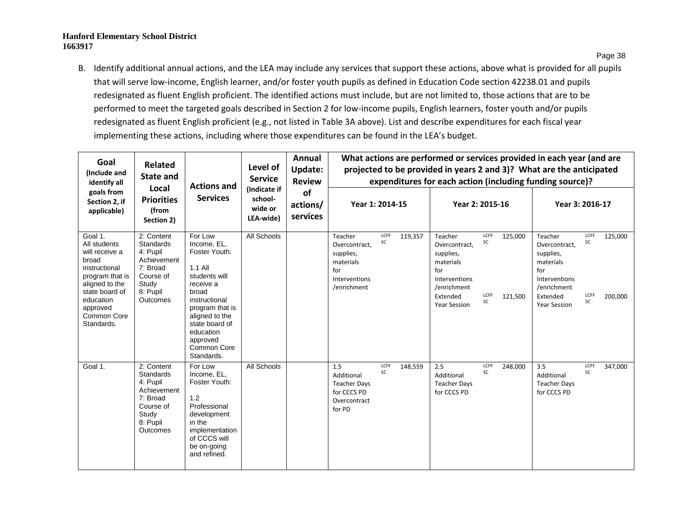B. Identify additional annual actions, and the LEA may include any services that support these actions, above what is provided for all pupils that will serve low-income, English learner, and/or foster youth pupils as defined in Education Code section 42238.01 and pupils redesignated as fluent English proficient. The identified actions must include, but are not limited to, those actions that are to be performed to meet the targeted goals described in Section 2 for low-income pupils, English learners, foster youth and/or pupils redesignated as fluent English proficient (e.g., not listed in Table 3A above). List and describe expenditures for each fiscal year implementing these actions, including where those expenditures can be found in the LEA's budget.

| Goal<br>(Include and<br>identify all                                                                                                                                             | Related<br>State and<br><b>Actions and</b>                                                                          |                                                                                                                                                                                                                         |                                                 | Annual<br>Level of<br><b>Update:</b><br><b>Service</b><br><b>Review</b> | What actions are performed or services provided in each year (and are<br>projected to be provided in years 2 and 3)? What are the anticipated<br>expenditures for each action (including funding source)? |                                                                                                                                                                                |                                                                                                                                                                                |  |  |  |  |  |  |
|----------------------------------------------------------------------------------------------------------------------------------------------------------------------------------|---------------------------------------------------------------------------------------------------------------------|-------------------------------------------------------------------------------------------------------------------------------------------------------------------------------------------------------------------------|-------------------------------------------------|-------------------------------------------------------------------------|-----------------------------------------------------------------------------------------------------------------------------------------------------------------------------------------------------------|--------------------------------------------------------------------------------------------------------------------------------------------------------------------------------|--------------------------------------------------------------------------------------------------------------------------------------------------------------------------------|--|--|--|--|--|--|
| goals from<br>Section 2, if<br>applicable)                                                                                                                                       | Local<br><b>Priorities</b><br>(from<br>Section 2)                                                                   | <b>Services</b>                                                                                                                                                                                                         | (Indicate if<br>school-<br>wide or<br>LEA-wide) | of<br>actions/<br>services                                              | Year 1: 2014-15                                                                                                                                                                                           | Year 2: 2015-16                                                                                                                                                                | Year 3: 2016-17                                                                                                                                                                |  |  |  |  |  |  |
| Goal 1.<br>All students<br>will receive a<br>broad<br>instructional<br>program that is<br>aligned to the<br>state board of<br>education<br>approved<br>Common Core<br>Standards. | 2: Content<br>Standards<br>4: Pupil<br>Achievement<br>7: Broad<br>Course of<br>Study<br>8: Pupil<br>Outcomes        | For Low<br>Income, EL,<br>Foster Youth:<br>1.1 All<br>students will<br>receive a<br>broad<br>instructional<br>program that is<br>aligned to the<br>state board of<br>education<br>approved<br>Common Core<br>Standards. | All Schools                                     |                                                                         | LCFF<br>Teacher<br>119,357<br>SC<br>Overcontract.<br>supplies,<br>materials<br>for<br>Interventions<br>/enrichment                                                                                        | LCFF<br>Teacher<br>125,000<br>SC<br>Overcontract.<br>supplies,<br>materials<br>for<br>Interventions<br>/enrichment<br>LCFF<br>Extended<br>121,500<br>SC<br><b>Year Session</b> | LCFF<br>125,000<br>Teacher<br>SC<br>Overcontract.<br>supplies,<br>materials<br>for<br>Interventions<br>/enrichment<br>LCFF<br>Extended<br>200,000<br>SC<br><b>Year Session</b> |  |  |  |  |  |  |
| Goal 1.                                                                                                                                                                          | 2: Content<br><b>Standards</b><br>4: Pupil<br>Achievement<br>7: Broad<br>Course of<br>Study<br>8: Pupil<br>Outcomes | For Low<br>Income. EL.<br>Foster Youth:<br>1.2<br>Professional<br>development<br>in the<br>implementation<br>of CCCS will<br>be on-going<br>and refined.                                                                | All Schools                                     |                                                                         | LCFF<br>1.5<br>148,559<br>SC<br>Additional<br><b>Teacher Days</b><br>for CCCS PD<br>Overcontract<br>for PD                                                                                                | LCFF<br>2.5<br>248,000<br>SC<br>Additional<br><b>Teacher Days</b><br>for CCCS PD                                                                                               | LCFF<br>3.5<br>347,000<br>SC<br>Additional<br><b>Teacher Days</b><br>for CCCS PD                                                                                               |  |  |  |  |  |  |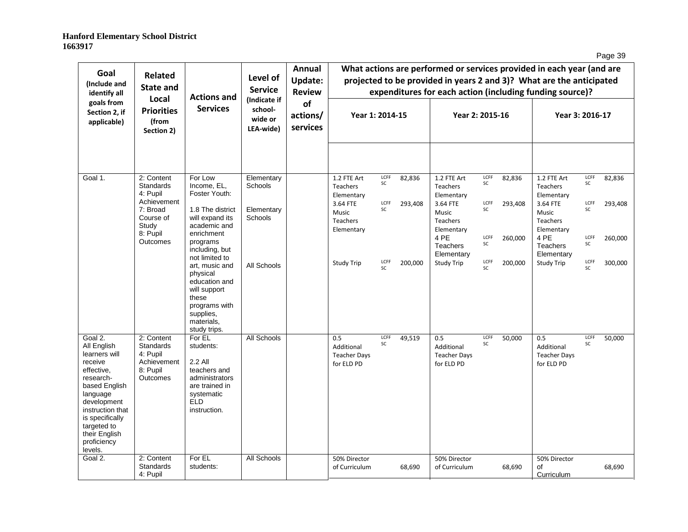| ۱Α<br>c |
|---------|
|---------|

| Goal<br>(Include and<br>identify all                                                                                                                                                                                       | <b>Related</b><br><b>State and</b>                                                             | <b>Actions and</b>                                                                                                                                                               | Level of<br><b>Service</b>                      | Annual<br>Update:<br><b>Review</b> | What actions are performed or services provided in each year (and are<br>projected to be provided in years 2 and 3)? What are the anticipated<br>expenditures for each action (including funding source)? |                  |                   |                                                                                                     |                          |                              |                                                                                              |                          |                              |  |
|----------------------------------------------------------------------------------------------------------------------------------------------------------------------------------------------------------------------------|------------------------------------------------------------------------------------------------|----------------------------------------------------------------------------------------------------------------------------------------------------------------------------------|-------------------------------------------------|------------------------------------|-----------------------------------------------------------------------------------------------------------------------------------------------------------------------------------------------------------|------------------|-------------------|-----------------------------------------------------------------------------------------------------|--------------------------|------------------------------|----------------------------------------------------------------------------------------------|--------------------------|------------------------------|--|
| goals from<br>Section 2, if<br>applicable)                                                                                                                                                                                 | Local<br><b>Priorities</b><br>(from<br>Section 2)                                              | <b>Services</b>                                                                                                                                                                  | (Indicate if<br>school-<br>wide or<br>LEA-wide) | of<br>actions/<br>services         | Year 1: 2014-15                                                                                                                                                                                           |                  |                   | Year 2: 2015-16                                                                                     |                          |                              | Year 3: 2016-17                                                                              |                          |                              |  |
| Goal 1.                                                                                                                                                                                                                    | 2: Content                                                                                     | For Low                                                                                                                                                                          | Elementary                                      |                                    |                                                                                                                                                                                                           | LCFF             |                   |                                                                                                     | LCFF                     |                              |                                                                                              | LCFF                     |                              |  |
|                                                                                                                                                                                                                            | Standards<br>4: Pupil<br>Achievement<br>7: Broad<br>Course of<br>Study<br>8: Pupil<br>Outcomes | Income. EL.<br>Foster Youth:<br>1.8 The district<br>will expand its<br>academic and<br>enrichment                                                                                | Schools<br>Elementary<br>Schools                |                                    | 1.2 FTE Art<br><b>Teachers</b><br>Elementary<br>3.64 FTE<br>Music<br><b>Teachers</b><br>Elementary                                                                                                        | SC<br>LCFF<br>SC | 82,836<br>293,408 | 1.2 FTE Art<br><b>Teachers</b><br>Elementary<br>3.64 FTE<br>Music<br>Teachers<br>Elementary<br>4 PE | SC<br>LCFF<br>SC<br>LCFF | 82,836<br>293,408<br>260,000 | 1.2 FTE Art<br>Teachers<br>Elementary<br>3.64 FTE<br>Music<br>Teachers<br>Elementary<br>4 PE | SC<br>LCFF<br>SC<br>LCFF | 82,836<br>293,408<br>260,000 |  |
|                                                                                                                                                                                                                            |                                                                                                | programs<br>including, but<br>not limited to<br>art, music and<br>physical<br>education and<br>will support<br>these<br>programs with<br>supplies,<br>materials,<br>study trips. | All Schools                                     |                                    | Study Trip                                                                                                                                                                                                | LCFF<br>SC       | 200,000           | <b>Teachers</b><br>Elementary<br><b>Study Trip</b>                                                  | SC<br>LCFF<br>SC         | 200,000                      | <b>Teachers</b><br>Elementary<br><b>Study Trip</b>                                           | SC<br>LCFF<br>SC         | 300,000                      |  |
| Goal 2.<br>All English<br>learners will<br>receive<br>effective,<br>research-<br>based English<br>language<br>development<br>instruction that<br>is specifically<br>targeted to<br>their English<br>proficiency<br>levels. | 2: Content<br><b>Standards</b><br>4: Pupil<br>Achievement<br>8: Pupil<br>Outcomes              | For EL<br>students:<br>2.2 All<br>teachers and<br>administrators<br>are trained in<br>systematic<br><b>ELD</b><br>instruction.                                                   | All Schools                                     |                                    | 0.5<br>Additional<br><b>Teacher Days</b><br>for ELD PD                                                                                                                                                    | LCFF<br>SC       | 49,519            | 0.5<br>Additional<br><b>Teacher Days</b><br>for ELD PD                                              | LCFF<br>SC               | 50,000                       | 0.5<br>Additional<br><b>Teacher Days</b><br>for ELD PD                                       | LCFF<br>SC               | 50,000                       |  |
| Goal 2.                                                                                                                                                                                                                    | 2: Content<br><b>Standards</b><br>4: Pupil                                                     | For EL<br>students:                                                                                                                                                              | All Schools                                     |                                    | 50% Director<br>of Curriculum                                                                                                                                                                             |                  | 68,690            | 50% Director<br>of Curriculum                                                                       |                          | 68,690                       | 50% Director<br>οf<br>Curriculum                                                             |                          | 68,690                       |  |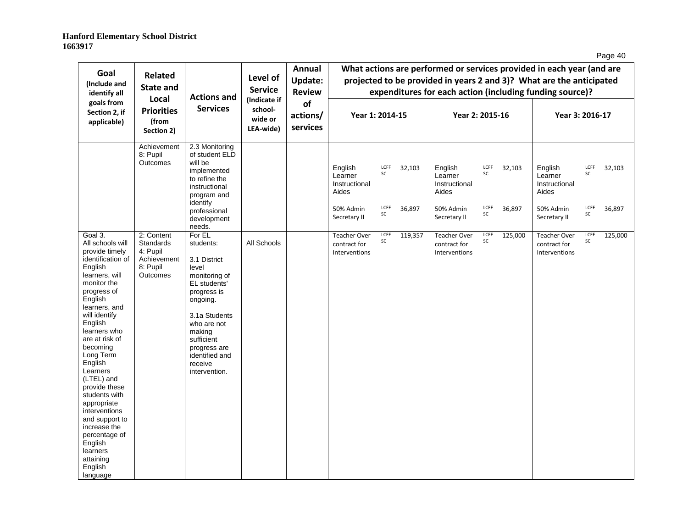| Goal<br>(Include and<br>identify all                                                                                                                                                                                                                                                                                                                                                                                                                                  | <b>Related</b><br><b>State and</b>                                         |                                                                                                                                                                                                                                          | Level of<br><b>Service</b>                      | <b>Annual</b><br><b>Update:</b><br><b>Review</b><br>of<br>actions/<br>services | What actions are performed or services provided in each year (and are<br>projected to be provided in years 2 and 3)? What are the anticipated<br>expenditures for each action (including funding source)? |                          |                  |                                                                           |                          |                  |                                                                           |                          |                  |
|-----------------------------------------------------------------------------------------------------------------------------------------------------------------------------------------------------------------------------------------------------------------------------------------------------------------------------------------------------------------------------------------------------------------------------------------------------------------------|----------------------------------------------------------------------------|------------------------------------------------------------------------------------------------------------------------------------------------------------------------------------------------------------------------------------------|-------------------------------------------------|--------------------------------------------------------------------------------|-----------------------------------------------------------------------------------------------------------------------------------------------------------------------------------------------------------|--------------------------|------------------|---------------------------------------------------------------------------|--------------------------|------------------|---------------------------------------------------------------------------|--------------------------|------------------|
| goals from<br>Section 2, if<br>applicable)                                                                                                                                                                                                                                                                                                                                                                                                                            | Local<br><b>Priorities</b><br>(from<br>Section 2)                          | <b>Actions and</b><br><b>Services</b>                                                                                                                                                                                                    | (Indicate if<br>school-<br>wide or<br>LEA-wide) |                                                                                | Year 1: 2014-15                                                                                                                                                                                           |                          |                  | Year 2: 2015-16                                                           |                          |                  | Year 3: 2016-17                                                           |                          |                  |
|                                                                                                                                                                                                                                                                                                                                                                                                                                                                       | Achievement<br>8: Pupil<br>Outcomes                                        | 2.3 Monitoring<br>of student ELD<br>will be<br>implemented<br>to refine the<br>instructional<br>program and<br>identify<br>professional<br>development                                                                                   |                                                 |                                                                                | English<br>Learner<br>Instructional<br>Aides<br>50% Admin<br>Secretary II                                                                                                                                 | LCFF<br>SC<br>LCFF<br>SC | 32,103<br>36,897 | English<br>Learner<br>Instructional<br>Aides<br>50% Admin<br>Secretary II | LCFF<br>SC<br>LCFF<br>SC | 32,103<br>36,897 | English<br>Learner<br>Instructional<br>Aides<br>50% Admin<br>Secretary II | LCFF<br>SC<br>LCFF<br>SC | 32,103<br>36,897 |
| Goal 3.<br>All schools will<br>provide timely<br>identification of<br>English<br>learners, will<br>monitor the<br>progress of<br>English<br>learners, and<br>will identify<br>English<br>learners who<br>are at risk of<br>becoming<br>Long Term<br>English<br>Learners<br>(LTEL) and<br>provide these<br>students with<br>appropriate<br>interventions<br>and support to<br>increase the<br>percentage of<br>English<br>learners<br>attaining<br>English<br>language | 2: Content<br>Standards<br>4: Pupil<br>Achievement<br>8: Pupil<br>Outcomes | needs.<br>For EL<br>students:<br>3.1 District<br>level<br>monitoring of<br>EL students'<br>progress is<br>ongoing.<br>3.1a Students<br>who are not<br>making<br>sufficient<br>progress are<br>identified and<br>receive<br>intervention. | All Schools                                     |                                                                                | <b>Teacher Over</b><br>contract for<br>Interventions                                                                                                                                                      | LCFF<br>SC               | 119,357          | <b>Teacher Over</b><br>contract for<br>Interventions                      | LCFF<br>SC               | 125,000          | <b>Teacher Over</b><br>contract for<br>Interventions                      | LCFF<br>SC               | 125,000          |

Page 40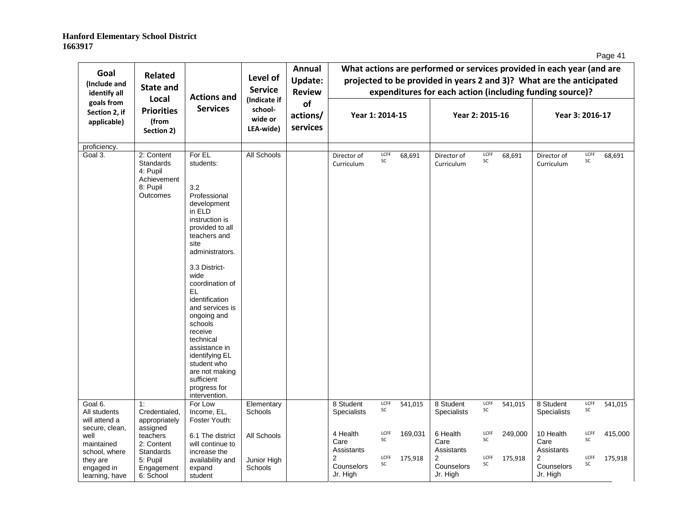| age | 4 |
|-----|---|
|     |   |

| Goal<br>(Include and<br>identify all                                                             | <b>Related</b><br><b>State and</b>                                                         | <b>Actions and</b>                                                                                                                                                                                                                                                                                                                                                                              | Level of<br><b>Service</b>                      | Annual<br><b>Update:</b><br><b>Review</b> |                                                                |                          |                    |                                                                |                          |                    | What actions are performed or services provided in each year (and are<br>projected to be provided in years 2 and 3)? What are the anticipated<br>expenditures for each action (including funding source)? |                          |                    |
|--------------------------------------------------------------------------------------------------|--------------------------------------------------------------------------------------------|-------------------------------------------------------------------------------------------------------------------------------------------------------------------------------------------------------------------------------------------------------------------------------------------------------------------------------------------------------------------------------------------------|-------------------------------------------------|-------------------------------------------|----------------------------------------------------------------|--------------------------|--------------------|----------------------------------------------------------------|--------------------------|--------------------|-----------------------------------------------------------------------------------------------------------------------------------------------------------------------------------------------------------|--------------------------|--------------------|
| goals from<br>Section 2, if<br>applicable)                                                       | Local<br><b>Priorities</b><br>(from<br>Section 2)                                          | <b>Services</b>                                                                                                                                                                                                                                                                                                                                                                                 | (Indicate if<br>school-<br>wide or<br>LEA-wide) | of<br>actions/<br>services                | Year 1: 2014-15                                                |                          |                    | Year 2: 2015-16                                                |                          |                    | Year 3: 2016-17                                                                                                                                                                                           |                          |                    |
| proficiency.                                                                                     |                                                                                            |                                                                                                                                                                                                                                                                                                                                                                                                 |                                                 |                                           |                                                                |                          |                    |                                                                |                          |                    |                                                                                                                                                                                                           |                          |                    |
| Goal 3.                                                                                          | 2: Content<br><b>Standards</b><br>4: Pupil<br>Achievement<br>8: Pupil<br>Outcomes          | For EL<br>students:<br>3.2<br>Professional<br>development<br>in ELD<br>instruction is<br>provided to all<br>teachers and<br>site<br>administrators.<br>3.3 District-<br>wide<br>coordination of<br>EL.<br>identification<br>and services is<br>ongoing and<br>schools<br>receive<br>technical<br>assistance in<br>identifying EL<br>student who<br>are not making<br>sufficient<br>progress for | All Schools                                     |                                           | Director of<br>Curriculum                                      | LCFF<br>SC               | 68,691             | Director of<br>Curriculum                                      | LCFF<br>SC               | 68,691             | Director of<br>Curriculum                                                                                                                                                                                 | LCFF<br>SC               | 68,691             |
| Goal 6.<br>All students                                                                          | 1:<br>Credentialed,                                                                        | intervention.<br>For Low<br>Income, EL,                                                                                                                                                                                                                                                                                                                                                         | Elementary<br>Schools                           |                                           | 8 Student<br><b>Specialists</b>                                | LCFF<br>SC               | 541,015            | 8 Student<br><b>Specialists</b>                                | LCFF<br>SC               | 541,015            | 8 Student<br><b>Specialists</b>                                                                                                                                                                           | LCFF<br>SC               | 541,015            |
| will attend a<br>secure, clean,<br>well<br>maintained<br>school, where<br>they are<br>engaged in | appropriately<br>assigned<br>teachers<br>2: Content<br>Standards<br>5: Pupil<br>Engagement | Foster Youth:<br>6.1 The district<br>will continue to<br>increase the<br>availability and<br>expand                                                                                                                                                                                                                                                                                             | All Schools<br>Junior High<br><b>Schools</b>    |                                           | 4 Health<br>Care<br>Assistants<br>$\overline{2}$<br>Counselors | LCFF<br>SC<br>LCFF<br>SC | 169,031<br>175,918 | 6 Health<br>Care<br>Assistants<br>$\overline{2}$<br>Counselors | LCFF<br>SC<br>LCFF<br>SC | 249,000<br>175,918 | 10 Health<br>Care<br>Assistants<br>2<br>Counselors                                                                                                                                                        | LCFF<br>SC<br>LCFF<br>SC | 415,000<br>175,918 |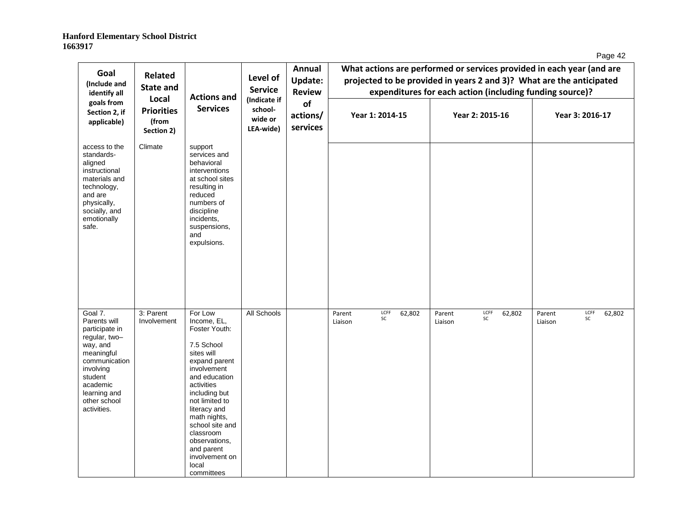| ane<br>42 |
|-----------|
|-----------|

| Goal<br>(Include and<br>identify all                                                                                                                                                     | Related<br><b>State and</b><br>Local     | <b>Actions and</b>                                                                                                                                                                                                                                                                                            | Level of<br><b>Service</b>      |                            |                                           | Annual<br><b>Update:</b><br><b>Review</b><br>(Indicate if |                                           |  | What actions are performed or services provided in each year (and are<br>projected to be provided in years 2 and 3)? What are the anticipated<br>expenditures for each action (including funding source)? |  |
|------------------------------------------------------------------------------------------------------------------------------------------------------------------------------------------|------------------------------------------|---------------------------------------------------------------------------------------------------------------------------------------------------------------------------------------------------------------------------------------------------------------------------------------------------------------|---------------------------------|----------------------------|-------------------------------------------|-----------------------------------------------------------|-------------------------------------------|--|-----------------------------------------------------------------------------------------------------------------------------------------------------------------------------------------------------------|--|
| goals from<br>Section 2, if<br>applicable)                                                                                                                                               | <b>Priorities</b><br>(from<br>Section 2) | <b>Services</b>                                                                                                                                                                                                                                                                                               | school-<br>wide or<br>LEA-wide) | of<br>actions/<br>services | Year 1: 2014-15                           | Year 2: 2015-16                                           | Year 3: 2016-17                           |  |                                                                                                                                                                                                           |  |
| access to the<br>standards-<br>aligned<br>instructional<br>materials and<br>technology,<br>and are<br>physically,<br>socially, and<br>emotionally<br>safe.                               | Climate                                  | support<br>services and<br>behavioral<br>interventions<br>at school sites<br>resulting in<br>reduced<br>numbers of<br>discipline<br>incidents,<br>suspensions,<br>and<br>expulsions.                                                                                                                          |                                 |                            |                                           |                                                           |                                           |  |                                                                                                                                                                                                           |  |
| Goal 7.<br>Parents will<br>participate in<br>regular, two-<br>way, and<br>meaningful<br>communication<br>involving<br>student<br>academic<br>learning and<br>other school<br>activities. | 3: Parent<br>Involvement                 | For Low<br>Income, EL,<br>Foster Youth:<br>7.5 School<br>sites will<br>expand parent<br>involvement<br>and education<br>activities<br>including but<br>not limited to<br>literacy and<br>math nights,<br>school site and<br>classroom<br>observations,<br>and parent<br>involvement on<br>local<br>committees | All Schools                     |                            | LCFF<br>62,802<br>Parent<br>SC<br>Liaison | LCFF<br>62,802<br>Parent<br>SC<br>Liaison                 | LCFF<br>62,802<br>Parent<br>SC<br>Liaison |  |                                                                                                                                                                                                           |  |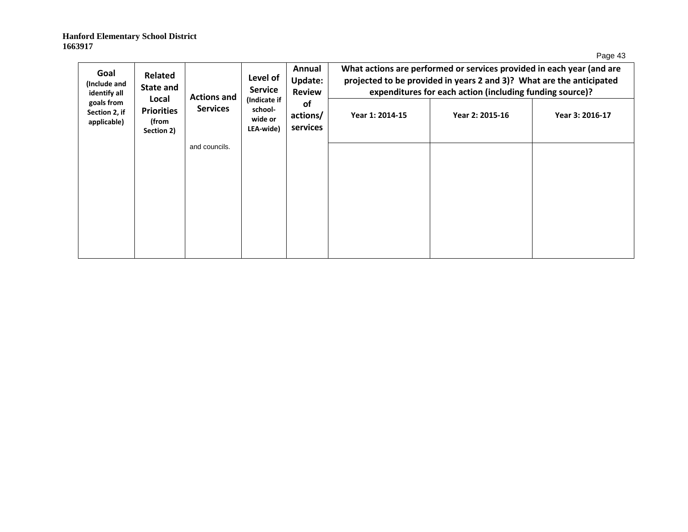Page 43

| Goal<br>(Include and<br>identify all       | Related<br><b>State and</b><br>Local     | <b>Actions and</b> | Level of<br><b>Service</b><br>(Indicate if | Annual<br>Update:<br><b>Review</b> |                 | What actions are performed or services provided in each year (and are<br>projected to be provided in years 2 and 3)? What are the anticipated<br>expenditures for each action (including funding source)? |                 |
|--------------------------------------------|------------------------------------------|--------------------|--------------------------------------------|------------------------------------|-----------------|-----------------------------------------------------------------------------------------------------------------------------------------------------------------------------------------------------------|-----------------|
| goals from<br>Section 2, if<br>applicable) | <b>Priorities</b><br>(from<br>Section 2) | <b>Services</b>    | school-<br>wide or<br>LEA-wide)            | <b>of</b><br>actions/<br>services  | Year 1: 2014-15 | Year 2: 2015-16                                                                                                                                                                                           | Year 3: 2016-17 |
|                                            |                                          | and councils.      |                                            |                                    |                 |                                                                                                                                                                                                           |                 |
|                                            |                                          |                    |                                            |                                    |                 |                                                                                                                                                                                                           |                 |
|                                            |                                          |                    |                                            |                                    |                 |                                                                                                                                                                                                           |                 |
|                                            |                                          |                    |                                            |                                    |                 |                                                                                                                                                                                                           |                 |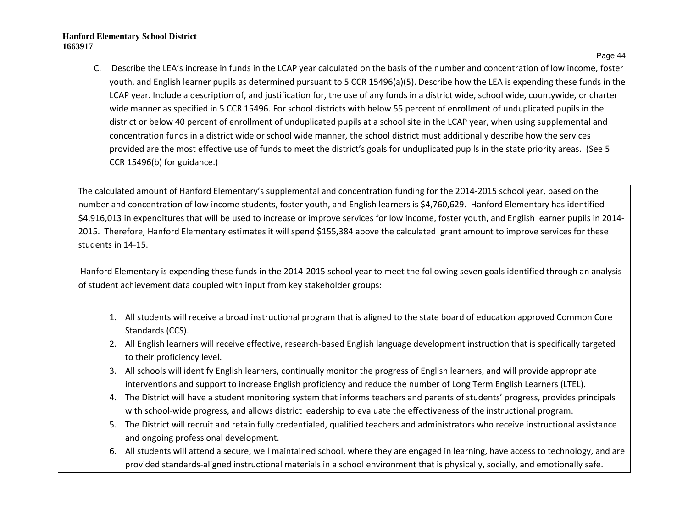Page 44

C. Describe the LEA's increase in funds in the LCAP year calculated on the basis of the number and concentration of low income, foster youth, and English learner pupils as determined pursuant to 5 CCR 15496(a)(5). Describe how the LEA is expending these funds in the LCAP year. Include a description of, and justification for, the use of any funds in a district wide, school wide, countywide, or charter wide manner as specified in 5 CCR 15496. For school districts with below 55 percent of enrollment of unduplicated pupils in the district or below 40 percent of enrollment of unduplicated pupils at a school site in the LCAP year, when using supplemental and concentration funds in a district wide or school wide manner, the school district must additionally describe how the services provided are the most effective use of funds to meet the district's goals for unduplicated pupils in the state priority areas. (See 5 CCR 15496(b) for guidance.)

The calculated amount of Hanford Elementary's supplemental and concentration funding for the 2014-2015 school year, based on the number and concentration of low income students, foster youth, and English learners is \$4,760,629. Hanford Elementary has identified \$4,916,013 in expenditures that will be used to increase or improve services for low income, foster youth, and English learner pupils in 2014- 2015. Therefore, Hanford Elementary estimates it will spend \$155,384 above the calculated grant amount to improve services for these students in 14-15.

Hanford Elementary is expending these funds in the 2014-2015 school year to meet the following seven goals identified through an analysis of student achievement data coupled with input from key stakeholder groups:

- 1. All students will receive a broad instructional program that is aligned to the state board of education approved Common Core Standards (CCS).
- 2. All English learners will receive effective, research-based English language development instruction that is specifically targeted to their proficiency level.
- 3. All schools will identify English learners, continually monitor the progress of English learners, and will provide appropriate interventions and support to increase English proficiency and reduce the number of Long Term English Learners (LTEL).
- 4. The District will have a student monitoring system that informs teachers and parents of students' progress, provides principals with school-wide progress, and allows district leadership to evaluate the effectiveness of the instructional program.
- 5. The District will recruit and retain fully credentialed, qualified teachers and administrators who receive instructional assistance and ongoing professional development.
- 6. All students will attend a secure, well maintained school, where they are engaged in learning, have access to technology, and are provided standards-aligned instructional materials in a school environment that is physically, socially, and emotionally safe.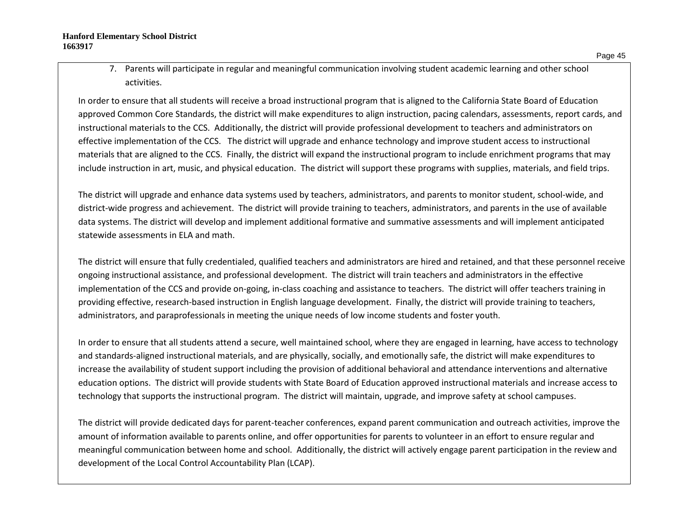7. Parents will participate in regular and meaningful communication involving student academic learning and other school activities.

In order to ensure that all students will receive a broad instructional program that is aligned to the California State Board of Education approved Common Core Standards, the district will make expenditures to align instruction, pacing calendars, assessments, report cards, and instructional materials to the CCS. Additionally, the district will provide professional development to teachers and administrators on effective implementation of the CCS. The district will upgrade and enhance technology and improve student access to instructional materials that are aligned to the CCS. Finally, the district will expand the instructional program to include enrichment programs that may include instruction in art, music, and physical education. The district will support these programs with supplies, materials, and field trips.

The district will upgrade and enhance data systems used by teachers, administrators, and parents to monitor student, school-wide, and district-wide progress and achievement. The district will provide training to teachers, administrators, and parents in the use of available data systems. The district will develop and implement additional formative and summative assessments and will implement anticipated statewide assessments in ELA and math.

The district will ensure that fully credentialed, qualified teachers and administrators are hired and retained, and that these personnel receive ongoing instructional assistance, and professional development. The district will train teachers and administrators in the effective implementation of the CCS and provide on-going, in-class coaching and assistance to teachers. The district will offer teachers training in providing effective, research-based instruction in English language development. Finally, the district will provide training to teachers, administrators, and paraprofessionals in meeting the unique needs of low income students and foster youth.

In order to ensure that all students attend a secure, well maintained school, where they are engaged in learning, have access to technology and standards-aligned instructional materials, and are physically, socially, and emotionally safe, the district will make expenditures to increase the availability of student support including the provision of additional behavioral and attendance interventions and alternative education options. The district will provide students with State Board of Education approved instructional materials and increase access to technology that supports the instructional program. The district will maintain, upgrade, and improve safety at school campuses.

The district will provide dedicated days for parent-teacher conferences, expand parent communication and outreach activities, improve the amount of information available to parents online, and offer opportunities for parents to volunteer in an effort to ensure regular and meaningful communication between home and school. Additionally, the district will actively engage parent participation in the review and development of the Local Control Accountability Plan (LCAP).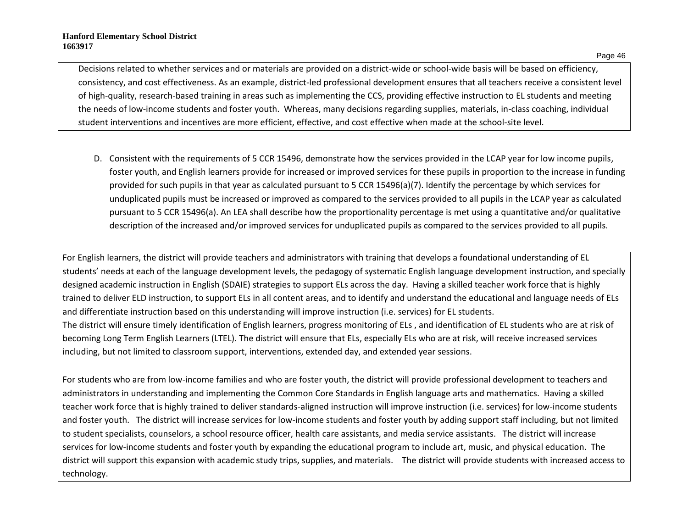Decisions related to whether services and or materials are provided on a district-wide or school-wide basis will be based on efficiency, consistency, and cost effectiveness. As an example, district-led professional development ensures that all teachers receive a consistent level of high-quality, research-based training in areas such as implementing the CCS, providing effective instruction to EL students and meeting the needs of low-income students and foster youth. Whereas, many decisions regarding supplies, materials, in-class coaching, individual student interventions and incentives are more efficient, effective, and cost effective when made at the school-site level.

D. Consistent with the requirements of 5 CCR 15496, demonstrate how the services provided in the LCAP year for low income pupils, foster youth, and English learners provide for increased or improved services for these pupils in proportion to the increase in funding provided for such pupils in that year as calculated pursuant to 5 CCR 15496(a)(7). Identify the percentage by which services for unduplicated pupils must be increased or improved as compared to the services provided to all pupils in the LCAP year as calculated pursuant to 5 CCR 15496(a). An LEA shall describe how the proportionality percentage is met using a quantitative and/or qualitative description of the increased and/or improved services for unduplicated pupils as compared to the services provided to all pupils.

For English learners, the district will provide teachers and administrators with training that develops a foundational understanding of EL students' needs at each of the language development levels, the pedagogy of systematic English language development instruction, and specially designed academic instruction in English (SDAIE) strategies to support ELs across the day. Having a skilled teacher work force that is highly trained to deliver ELD instruction, to support ELs in all content areas, and to identify and understand the educational and language needs of ELs and differentiate instruction based on this understanding will improve instruction (i.e. services) for EL students. The district will ensure timely identification of English learners, progress monitoring of ELs, and identification of EL students who are at risk of becoming Long Term English Learners (LTEL). The district will ensure that ELs, especially ELs who are at risk, will receive increased services including, but not limited to classroom support, interventions, extended day, and extended year sessions.

For students who are from low-income families and who are foster youth, the district will provide professional development to teachers and administrators in understanding and implementing the Common Core Standards in English language arts and mathematics. Having a skilled teacher work force that is highly trained to deliver standards-aligned instruction will improve instruction (i.e. services) for low-income students and foster youth. The district will increase services for low-income students and foster youth by adding support staff including, but not limited to student specialists, counselors, a school resource officer, health care assistants, and media service assistants. The district will increase services for low-income students and foster youth by expanding the educational program to include art, music, and physical education. The district will support this expansion with academic study trips, supplies, and materials. The district will provide students with increased access to technology.